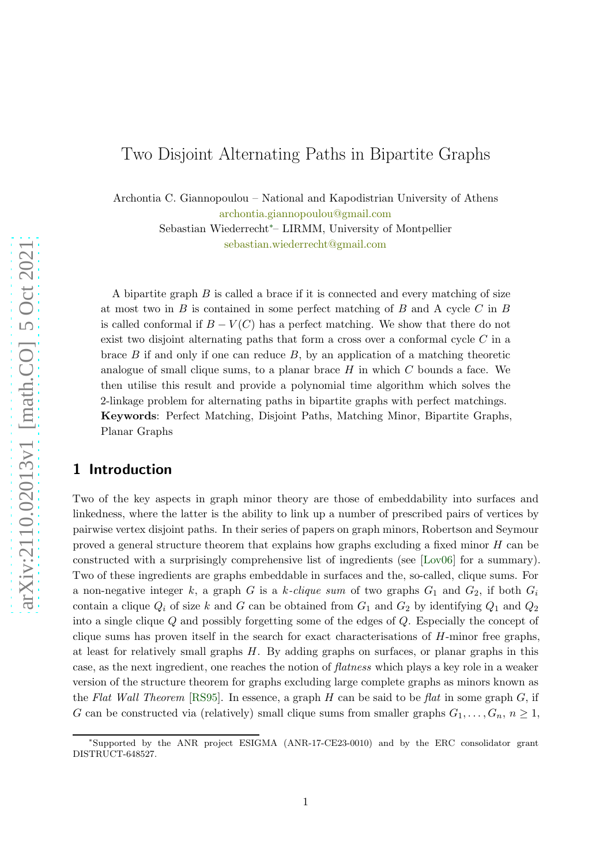# Two Disjoint Alternating Paths in Bipartite Graphs

Archontia C. Giannopoulou – National and Kapodistrian University of Athens [archontia.giannopoulou@gmail.com](mailto:archontia.giannopoulou@gmail.com)

> Sebastian Wiederrecht∗– LIRMM, University of Montpellier [sebastian.wiederrecht@gmail.com](mailto:sebastian.wiederrecht@gmail.com)

A bipartite graph  $B$  is called a brace if it is connected and every matching of size at most two in  $B$  is contained in some perfect matching of  $B$  and A cycle  $C$  in  $B$ is called conformal if  $B - V(C)$  has a perfect matching. We show that there do not exist two disjoint alternating paths that form a cross over a conformal cycle C in a brace  $B$  if and only if one can reduce  $B$ , by an application of a matching theoretic analogue of small clique sums, to a planar brace  $H$  in which  $C$  bounds a face. We then utilise this result and provide a polynomial time algorithm which solves the 2-linkage problem for alternating paths in bipartite graphs with perfect matchings. Keywords: Perfect Matching, Disjoint Paths, Matching Minor, Bipartite Graphs, Planar Graphs

# 1 Introduction

Two of the key aspects in graph minor theory are those of embeddability into surfaces and linkedness, where the latter is the ability to link up a number of prescribed pairs of vertices by pairwise vertex disjoint paths. In their series of papers on graph minors, Robertson and Seymour proved a general structure theorem that explains how graphs excluding a fixed minor H can be constructed with a surprisingly comprehensive list of ingredients (see [\[Lov06\]](#page-47-0) for a summary). Two of these ingredients are graphs embeddable in surfaces and the, so-called, clique sums. For a non-negative integer k, a graph G is a k-clique sum of two graphs  $G_1$  and  $G_2$ , if both  $G_i$ contain a clique  $Q_i$  of size k and G can be obtained from  $G_1$  and  $G_2$  by identifying  $Q_1$  and  $Q_2$ into a single clique Q and possibly forgetting some of the edges of Q. Especially the concept of clique sums has proven itself in the search for exact characterisations of H-minor free graphs, at least for relatively small graphs H. By adding graphs on surfaces, or planar graphs in this case, as the next ingredient, one reaches the notion of flatness which plays a key role in a weaker version of the structure theorem for graphs excluding large complete graphs as minors known as the Flat Wall Theorem [\[RS95\]](#page-48-0). In essence, a graph H can be said to be flat in some graph  $G$ , if G can be constructed via (relatively) small clique sums from smaller graphs  $G_1, \ldots, G_n, n \geq 1$ ,

<sup>∗</sup> Supported by the ANR project ESIGMA (ANR-17-CE23-0010) and by the ERC consolidator grant DISTRUCT-648527.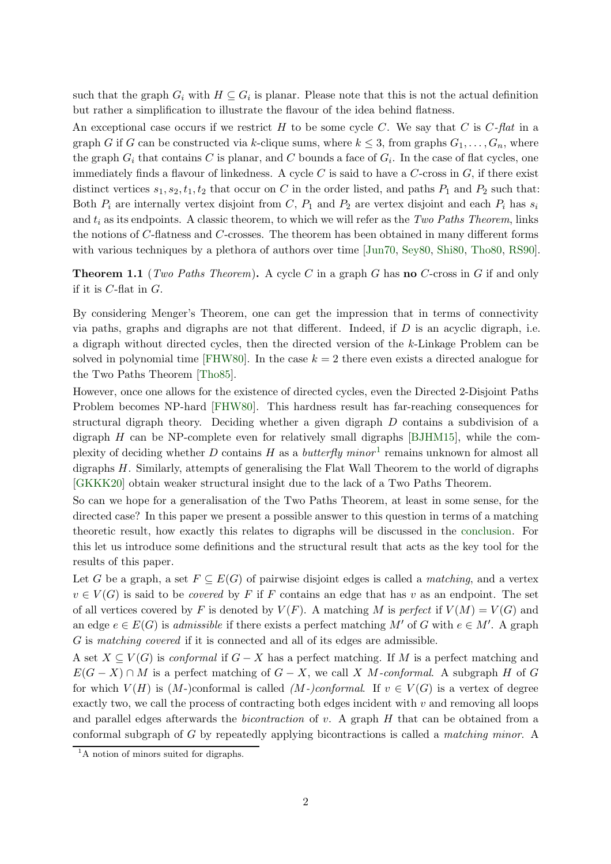such that the graph  $G_i$  with  $H \subseteq G_i$  is planar. Please note that this is not the actual definition but rather a simplification to illustrate the flavour of the idea behind flatness.

An exceptional case occurs if we restrict  $H$  to be some cycle  $C$ . We say that  $C$  is  $C$ -flat in a graph G if G can be constructed via k-clique sums, where  $k \leq 3$ , from graphs  $G_1, \ldots, G_n$ , where the graph  $G_i$  that contains C is planar, and C bounds a face of  $G_i$ . In the case of flat cycles, one immediately finds a flavour of linkedness. A cycle  $C$  is said to have a  $C$ -cross in  $G$ , if there exist distinct vertices  $s_1, s_2, t_1, t_2$  that occur on C in the order listed, and paths  $P_1$  and  $P_2$  such that: Both  $P_i$  are internally vertex disjoint from C,  $P_1$  and  $P_2$  are vertex disjoint and each  $P_i$  has  $s_i$ and  $t_i$  as its endpoints. A classic theorem, to which we will refer as the Two Paths Theorem, links the notions of C-flatness and C-crosses. The theorem has been obtained in many different forms with various techniques by a plethora of authors over time [\[Jun70,](#page-47-1) [Sey80,](#page-48-1) [Shi80,](#page-48-2) [Tho80,](#page-48-3) [RS90\]](#page-48-4).

<span id="page-1-0"></span>**Theorem 1.1** (*Two Paths Theorem*). A cycle C in a graph G has **no** C-cross in G if and only if it is  $C$ -flat in  $G$ .

By considering Menger's Theorem, one can get the impression that in terms of connectivity via paths, graphs and digraphs are not that different. Indeed, if  $D$  is an acyclic digraph, i.e. a digraph without directed cycles, then the directed version of the k-Linkage Problem can be solved in polynomial time [\[FHW80\]](#page-47-2). In the case  $k = 2$  there even exists a directed analogue for the Two Paths Theorem [\[Tho85\]](#page-48-5).

However, once one allows for the existence of directed cycles, even the Directed 2-Disjoint Paths Problem becomes NP-hard [\[FHW80\]](#page-47-2). This hardness result has far-reaching consequences for structural digraph theory. Deciding whether a given digraph D contains a subdivision of a digraph  $H$  can be NP-complete even for relatively small digraphs [\[BJHM15\]](#page-47-3), while the complexity of deciding whether D contains H as a butterfly minor<sup>1</sup> remains unknown for almost all digraphs H. Similarly, attempts of generalising the Flat Wall Theorem to the world of digraphs [\[GKKK20\]](#page-47-4) obtain weaker structural insight due to the lack of a Two Paths Theorem.

So can we hope for a generalisation of the Two Paths Theorem, at least in some sense, for the directed case? In this paper we present a possible answer to this question in terms of a matching theoretic result, how exactly this relates to digraphs will be discussed in the [conclusion.](#page-45-0) For this let us introduce some definitions and the structural result that acts as the key tool for the results of this paper.

Let G be a graph, a set  $F \subseteq E(G)$  of pairwise disjoint edges is called a *matching*, and a vertex  $v \in V(G)$  is said to be *covered* by F if F contains an edge that has v as an endpoint. The set of all vertices covered by F is denoted by  $V(F)$ . A matching M is perfect if  $V(M) = V(G)$  and an edge  $e \in E(G)$  is *admissible* if there exists a perfect matching M' of G with  $e \in M'$ . A graph G is matching covered if it is connected and all of its edges are admissible.

A set  $X \subseteq V(G)$  is *conformal* if  $G - X$  has a perfect matching. If M is a perfect matching and  $E(G - X) \cap M$  is a perfect matching of  $G - X$ , we call X M-conformal. A subgraph H of G for which  $V(H)$  is  $(M-)$ conformal is called  $(M-)$ conformal. If  $v \in V(G)$  is a vertex of degree exactly two, we call the process of contracting both edges incident with  $v$  and removing all loops and parallel edges afterwards the bicontraction of v. A graph H that can be obtained from a conformal subgraph of G by repeatedly applying bicontractions is called a matching minor. A

<sup>&</sup>lt;sup>1</sup>A notion of minors suited for digraphs.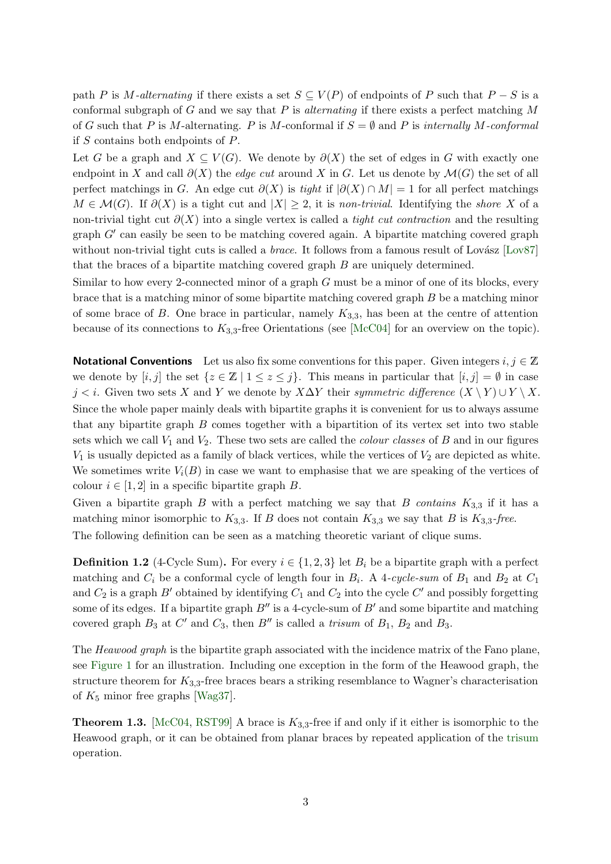path P is M-alternating if there exists a set  $S \subseteq V(P)$  of endpoints of P such that  $P-S$  is a conformal subgraph of G and we say that P is *alternating* if there exists a perfect matching  $M$ of G such that P is M-alternating. P is M-conformal if  $S = \emptyset$  and P is internally M-conformal if  $S$  contains both endpoints of  $P$ .

Let G be a graph and  $X \subseteq V(G)$ . We denote by  $\partial(X)$  the set of edges in G with exactly one endpoint in X and call  $\partial(X)$  the *edge cut* around X in G. Let us denote by  $\mathcal{M}(G)$  the set of all perfect matchings in G. An edge cut  $\partial(X)$  is tight if  $|\partial(X) \cap M| = 1$  for all perfect matchings  $M \in \mathcal{M}(G)$ . If  $\partial(X)$  is a tight cut and  $|X| \geq 2$ , it is non-trivial. Identifying the shore X of a non-trivial tight cut  $\partial(X)$  into a single vertex is called a *tight cut contraction* and the resulting graph G′ can easily be seen to be matching covered again. A bipartite matching covered graph without non-trivial tight cuts is called a *brace*. It follows from a famous result of Lov $87$ ] that the braces of a bipartite matching covered graph B are uniquely determined.

Similar to how every 2-connected minor of a graph G must be a minor of one of its blocks, every brace that is a matching minor of some bipartite matching covered graph B be a matching minor of some brace of B. One brace in particular, namely  $K_{3,3}$ , has been at the centre of attention because of its connections to  $K_{3,3}$ -free Orientations (see [\[McC04\]](#page-47-6) for an overview on the topic).

**Notational Conventions** Let us also fix some conventions for this paper. Given integers  $i, j \in \mathbb{Z}$ we denote by  $[i, j]$  the set  $\{z \in \mathbb{Z} \mid 1 \leq z \leq j\}$ . This means in particular that  $[i, j] = \emptyset$  in case j < i. Given two sets X and Y we denote by X∆Y their symmetric difference  $(X \ Y) \cup Y \ X$ . Since the whole paper mainly deals with bipartite graphs it is convenient for us to always assume that any bipartite graph B comes together with a bipartition of its vertex set into two stable sets which we call  $V_1$  and  $V_2$ . These two sets are called the *colour classes* of B and in our figures  $V_1$  is usually depicted as a family of black vertices, while the vertices of  $V_2$  are depicted as white. We sometimes write  $V_i(B)$  in case we want to emphasise that we are speaking of the vertices of colour  $i \in [1, 2]$  in a specific bipartite graph B.

Given a bipartite graph B with a perfect matching we say that B contains  $K_{3,3}$  if it has a matching minor isomorphic to  $K_{3,3}$ . If B does not contain  $K_{3,3}$  we say that B is  $K_{3,3}$ -free. The following definition can be seen as a matching theoretic variant of clique sums.

<span id="page-2-0"></span>**Definition 1.2** (4-Cycle Sum). For every  $i \in \{1, 2, 3\}$  let  $B_i$  be a bipartite graph with a perfect matching and  $C_i$  be a conformal cycle of length four in  $B_i$ . A 4-cycle-sum of  $B_1$  and  $B_2$  at  $C_1$ and  $C_2$  is a graph  $B'$  obtained by identifying  $C_1$  and  $C_2$  into the cycle  $C'$  and possibly forgetting some of its edges. If a bipartite graph  $B''$  is a 4-cycle-sum of  $B'$  and some bipartite and matching covered graph  $B_3$  at  $C'$  and  $C_3$ , then  $B''$  is called a trisum of  $B_1$ ,  $B_2$  and  $B_3$ .

The Heawood graph is the bipartite graph associated with the incidence matrix of the Fano plane, see [Figure 1](#page-3-0) for an illustration. Including one exception in the form of the Heawood graph, the structure theorem for  $K_{3,3}$ -free braces bears a striking resemblance to Wagner's characterisation of  $K_5$  minor free graphs [\[Wag37\]](#page-48-6).

<span id="page-2-2"></span><span id="page-2-1"></span>**Theorem 1.3.** [\[McC04,](#page-47-6) [RST99\]](#page-48-7) A brace is  $K_{3,3}$ -free if and only if it either is isomorphic to the Heawood graph, or it can be obtained from planar braces by repeated application of the [trisum](#page-2-0) operation.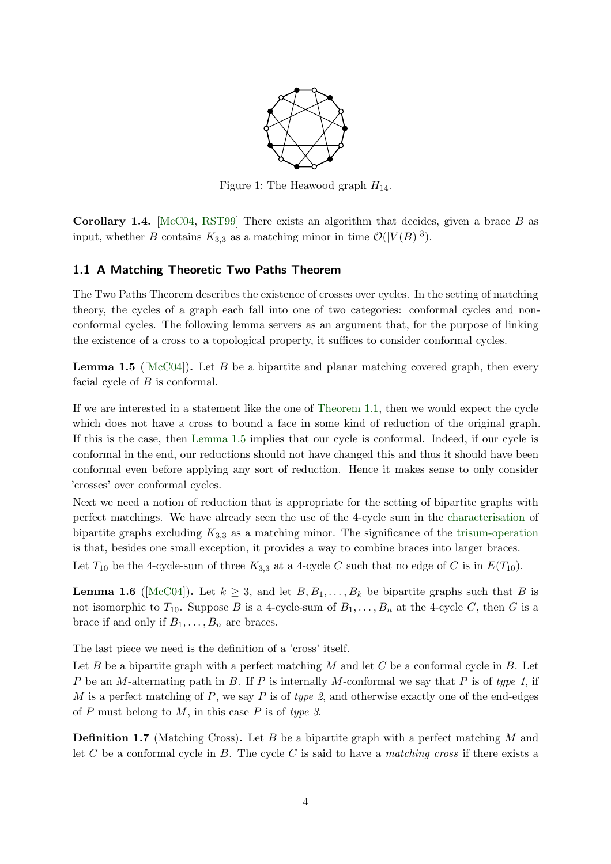<span id="page-3-0"></span>

Figure 1: The Heawood graph  $H_{14}$ .

**Corollary 1.4.** [\[McC04,](#page-47-6) [RST99\]](#page-48-7) There exists an algorithm that decides, given a brace  $B$  as input, whether B contains  $K_{3,3}$  as a matching minor in time  $\mathcal{O}(|V(B)|^3)$ .

### 1.1 A Matching Theoretic Two Paths Theorem

The Two Paths Theorem describes the existence of crosses over cycles. In the setting of matching theory, the cycles of a graph each fall into one of two categories: conformal cycles and nonconformal cycles. The following lemma servers as an argument that, for the purpose of linking the existence of a cross to a topological property, it suffices to consider conformal cycles.

<span id="page-3-1"></span>**Lemma 1.5** ( $\text{[McC04]}$  $\text{[McC04]}$  $\text{[McC04]}$ ). Let B be a bipartite and planar matching covered graph, then every facial cycle of  $B$  is conformal.

If we are interested in a statement like the one of [Theorem 1.1,](#page-1-0) then we would expect the cycle which does not have a cross to bound a face in some kind of reduction of the original graph. If this is the case, then [Lemma 1.5](#page-3-1) implies that our cycle is conformal. Indeed, if our cycle is conformal in the end, our reductions should not have changed this and thus it should have been conformal even before applying any sort of reduction. Hence it makes sense to only consider 'crosses' over conformal cycles.

Next we need a notion of reduction that is appropriate for the setting of bipartite graphs with perfect matchings. We have already seen the use of the 4-cycle sum in the [characterisation](#page-2-1) of bipartite graphs excluding  $K_{3,3}$  as a matching minor. The significance of the [trisum-operation](#page-2-0) is that, besides one small exception, it provides a way to combine braces into larger braces.

Let  $T_{10}$  be the 4-cycle-sum of three  $K_{3,3}$  at a 4-cycle C such that no edge of C is in  $E(T_{10})$ .

**Lemma 1.6** ([\[McC04\]](#page-47-6)). Let  $k \geq 3$ , and let  $B, B_1, \ldots, B_k$  be bipartite graphs such that B is not isomorphic to  $T_{10}$ . Suppose B is a 4-cycle-sum of  $B_1, \ldots, B_n$  at the 4-cycle C, then G is a brace if and only if  $B_1, \ldots, B_n$  are braces.

The last piece we need is the definition of a 'cross' itself.

Let B be a bipartite graph with a perfect matching M and let C be a conformal cycle in B. Let P be an M-alternating path in B. If P is internally M-conformal we say that P is of type 1, if M is a perfect matching of P, we say P is of type 2, and otherwise exactly one of the end-edges of  $P$  must belong to  $M$ , in this case  $P$  is of type 3.

<span id="page-3-2"></span>**Definition 1.7** (Matching Cross). Let B be a bipartite graph with a perfect matching M and let C be a conformal cycle in B. The cycle C is said to have a matching cross if there exists a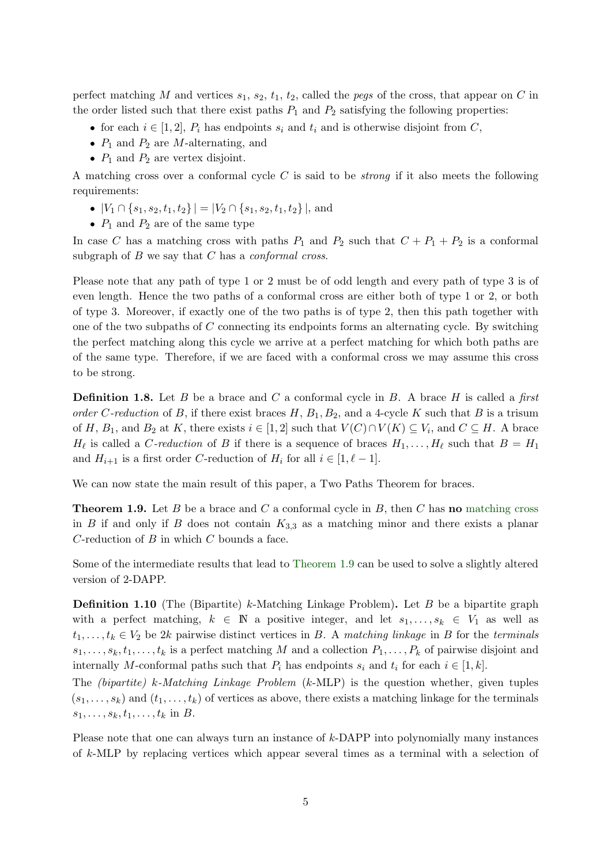perfect matching M and vertices  $s_1$ ,  $s_2$ ,  $t_1$ ,  $t_2$ , called the *pegs* of the cross, that appear on C in the order listed such that there exist paths  $P_1$  and  $P_2$  satisfying the following properties:

- for each  $i \in [1,2], P_i$  has endpoints  $s_i$  and  $t_i$  and is otherwise disjoint from C,
- $P_1$  and  $P_2$  are M-alternating, and
- $P_1$  and  $P_2$  are vertex disjoint.

A matching cross over a conformal cycle  $C$  is said to be *strong* if it also meets the following requirements:

- $|V_1 \cap \{s_1, s_2, t_1, t_2\}| = |V_2 \cap \{s_1, s_2, t_1, t_2\}|$ , and
- $P_1$  and  $P_2$  are of the same type

In case C has a matching cross with paths  $P_1$  and  $P_2$  such that  $C + P_1 + P_2$  is a conformal subgraph of  $B$  we say that  $C$  has a *conformal cross*.

Please note that any path of type 1 or 2 must be of odd length and every path of type 3 is of even length. Hence the two paths of a conformal cross are either both of type 1 or 2, or both of type 3. Moreover, if exactly one of the two paths is of type 2, then this path together with one of the two subpaths of  $C$  connecting its endpoints forms an alternating cycle. By switching the perfect matching along this cycle we arrive at a perfect matching for which both paths are of the same type. Therefore, if we are faced with a conformal cross we may assume this cross to be strong.

**Definition 1.8.** Let B be a brace and C a conformal cycle in B. A brace H is called a first order C-reduction of B, if there exist braces  $H$ ,  $B_1$ ,  $B_2$ , and a 4-cycle K such that B is a trisum of H,  $B_1$ , and  $B_2$  at K, there exists  $i \in [1,2]$  such that  $V(C) \cap V(K) \subseteq V_i$ , and  $C \subseteq H$ . A brace  $H_{\ell}$  is called a *C*-reduction of B if there is a sequence of braces  $H_1, \ldots, H_{\ell}$  such that  $B = H_1$ and  $H_{i+1}$  is a first order C-reduction of  $H_i$  for all  $i \in [1, \ell - 1]$ .

<span id="page-4-0"></span>We can now state the main result of this paper, a Two Paths Theorem for braces.

**Theorem 1.9.** Let B be a brace and C a conformal cycle in B, then C has **no** [matching cross](#page-3-2) in B if and only if B does not contain  $K_{3,3}$  as a matching minor and there exists a planar  $C$ -reduction of  $B$  in which  $C$  bounds a face.

Some of the intermediate results that lead to [Theorem 1.9](#page-4-0) can be used to solve a slightly altered version of 2-DAPP.

**Definition 1.10** (The (Bipartite) k-Matching Linkage Problem). Let B be a bipartite graph with a perfect matching,  $k \in \mathbb{N}$  a positive integer, and let  $s_1, \ldots, s_k \in V_1$  as well as  $t_1, \ldots, t_k \in V_2$  be 2k pairwise distinct vertices in B. A matching linkage in B for the terminals  $s_1, \ldots, s_k, t_1, \ldots, t_k$  is a perfect matching M and a collection  $P_1, \ldots, P_k$  of pairwise disjoint and internally M-conformal paths such that  $P_i$  has endpoints  $s_i$  and  $t_i$  for each  $i \in [1, k]$ .

The (bipartite) k-Matching Linkage Problem (k-MLP) is the question whether, given tuples  $(s_1, \ldots, s_k)$  and  $(t_1, \ldots, t_k)$  of vertices as above, there exists a matching linkage for the terminals  $s_1, \ldots, s_k, t_1, \ldots, t_k$  in B.

Please note that one can always turn an instance of  $k$ -DAPP into polynomially many instances of k-MLP by replacing vertices which appear several times as a terminal with a selection of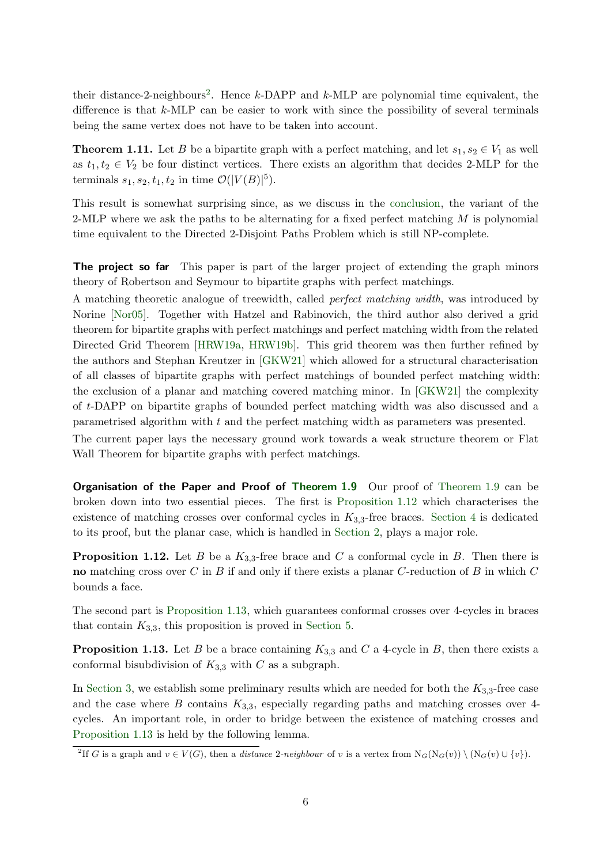their distance-2-neighbours<sup>2</sup>. Hence  $k$ -DAPP and  $k$ -MLP are polynomial time equivalent, the difference is that  $k$ -MLP can be easier to work with since the possibility of several terminals being the same vertex does not have to be taken into account.

<span id="page-5-3"></span>**Theorem 1.11.** Let B be a bipartite graph with a perfect matching, and let  $s_1, s_2 \in V_1$  as well as  $t_1, t_2 \in V_2$  be four distinct vertices. There exists an algorithm that decides 2-MLP for the terminals  $s_1, s_2, t_1, t_2$  in time  $\mathcal{O}(|V(B)|^5)$ .

This result is somewhat surprising since, as we discuss in the [conclusion,](#page-45-0) the variant of the 2-MLP where we ask the paths to be alternating for a fixed perfect matching  $M$  is polynomial time equivalent to the Directed 2-Disjoint Paths Problem which is still NP-complete.

The project so far This paper is part of the larger project of extending the graph minors theory of Robertson and Seymour to bipartite graphs with perfect matchings.

A matching theoretic analogue of treewidth, called perfect matching width, was introduced by Norine [\[Nor05\]](#page-47-7). Together with Hatzel and Rabinovich, the third author also derived a grid theorem for bipartite graphs with perfect matchings and perfect matching width from the related Directed Grid Theorem [\[HRW19a,](#page-47-8) [HRW19b\]](#page-47-9). This grid theorem was then further refined by the authors and Stephan Kreutzer in [\[GKW21\]](#page-47-10) which allowed for a structural characterisation of all classes of bipartite graphs with perfect matchings of bounded perfect matching width: the exclusion of a planar and matching covered matching minor. In [\[GKW21\]](#page-47-10) the complexity of t-DAPP on bipartite graphs of bounded perfect matching width was also discussed and a parametrised algorithm with t and the perfect matching width as parameters was presented.

The current paper lays the necessary ground work towards a weak structure theorem or Flat Wall Theorem for bipartite graphs with perfect matchings.

**Organisation of the Paper and Proof of [Theorem 1.9](#page-4-0)** Our proof of Theorem 1.9 can be broken down into two essential pieces. The first is [Proposition 1.12](#page-5-0) which characterises the existence of matching crosses over conformal cycles in  $K_{3,3}$ -free braces. [Section 4](#page-15-0) is dedicated to its proof, but the planar case, which is handled in [Section 2,](#page-7-0) plays a major role.

<span id="page-5-0"></span>**Proposition 1.12.** Let B be a  $K_{3,3}$ -free brace and C a conformal cycle in B. Then there is no matching cross over C in B if and only if there exists a planar C-reduction of B in which  $C$ bounds a face.

<span id="page-5-1"></span>The second part is [Proposition 1.13,](#page-5-1) which guarantees conformal crosses over 4-cycles in braces that contain  $K_{3,3}$ , this proposition is proved in [Section 5.](#page-28-0)

**Proposition 1.13.** Let B be a brace containing  $K_{3,3}$  and C a 4-cycle in B, then there exists a conformal bisubdivision of  $K_{3,3}$  with C as a subgraph.

In [Section 3,](#page-12-0) we establish some preliminary results which are needed for both the  $K_{3,3}$ -free case and the case where  $B$  contains  $K_{3,3}$ , especially regarding paths and matching crosses over 4cycles. An important role, in order to bridge between the existence of matching crosses and [Proposition 1.13](#page-5-1) is held by the following lemma.

<span id="page-5-2"></span><sup>&</sup>lt;sup>2</sup>If G is a graph and  $v \in V(G)$ , then a *distance* 2-neighbour of v is a vertex from  $N_G(N_G(v)) \setminus (N_G(v) \cup \{v\})$ .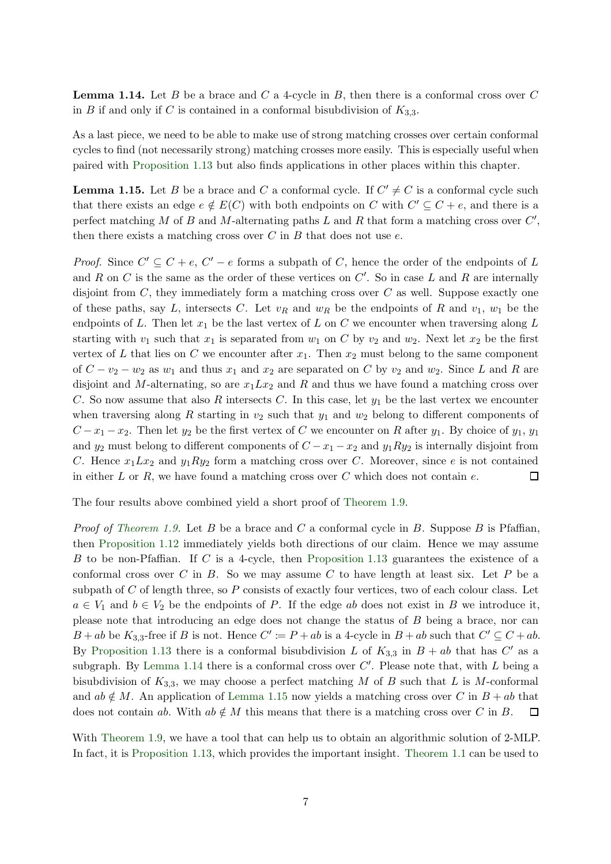**Lemma 1.14.** Let B be a brace and C a 4-cycle in B, then there is a conformal cross over C in B if and only if C is contained in a conformal bisubdivision of  $K_{3,3}$ .

As a last piece, we need to be able to make use of strong matching crosses over certain conformal cycles to find (not necessarily strong) matching crosses more easily. This is especially useful when paired with [Proposition 1.13](#page-5-1) but also finds applications in other places within this chapter.

<span id="page-6-0"></span>**Lemma 1.15.** Let B be a brace and C a conformal cycle. If  $C' \neq C$  is a conformal cycle such that there exists an edge  $e \notin E(C)$  with both endpoints on C with  $C' \subseteq C + e$ , and there is a perfect matching M of B and M-alternating paths L and R that form a matching cross over  $C'$ , then there exists a matching cross over  $C$  in  $B$  that does not use  $e$ .

*Proof.* Since  $C' \subseteq C + e$ ,  $C' - e$  forms a subpath of C, hence the order of the endpoints of L and R on C is the same as the order of these vertices on  $C'$ . So in case L and R are internally disjoint from  $C$ , they immediately form a matching cross over  $C$  as well. Suppose exactly one of these paths, say L, intersects C. Let  $v_R$  and  $w_R$  be the endpoints of R and  $v_1$ ,  $w_1$  be the endpoints of L. Then let  $x_1$  be the last vertex of L on C we encounter when traversing along L starting with  $v_1$  such that  $x_1$  is separated from  $w_1$  on C by  $v_2$  and  $w_2$ . Next let  $x_2$  be the first vertex of L that lies on C we encounter after  $x_1$ . Then  $x_2$  must belong to the same component of  $C - v_2 - w_2$  as  $w_1$  and thus  $x_1$  and  $x_2$  are separated on C by  $v_2$  and  $w_2$ . Since L and R are disjoint and M-alternating, so are  $x_1 L x_2$  and R and thus we have found a matching cross over C. So now assume that also R intersects C. In this case, let  $y_1$  be the last vertex we encounter when traversing along R starting in  $v_2$  such that  $y_1$  and  $w_2$  belong to different components of  $C-x_1-x_2$ . Then let  $y_2$  be the first vertex of C we encounter on R after  $y_1$ . By choice of  $y_1, y_1$ and  $y_2$  must belong to different components of  $C - x_1 - x_2$  and  $y_1Ry_2$  is internally disjoint from C. Hence  $x_1 L x_2$  and  $y_1 R y_2$  form a matching cross over C. Moreover, since e is not contained in either  $L$  or  $R$ , we have found a matching cross over  $C$  which does not contain  $e$ .  $\Box$ 

The four results above combined yield a short proof of [Theorem 1.9.](#page-4-0)

*Proof of [Theorem 1.9.](#page-4-0)* Let B be a brace and C a conformal cycle in B. Suppose B is Pfaffian, then [Proposition 1.12](#page-5-0) immediately yields both directions of our claim. Hence we may assume B to be non-Pfaffian. If C is a 4-cycle, then [Proposition 1.13](#page-5-1) guarantees the existence of a conformal cross over  $C$  in  $B$ . So we may assume  $C$  to have length at least six. Let  $P$  be a subpath of  $C$  of length three, so  $P$  consists of exactly four vertices, two of each colour class. Let  $a \in V_1$  and  $b \in V_2$  be the endpoints of P. If the edge ab does not exist in B we introduce it, please note that introducing an edge does not change the status of B being a brace, nor can  $B + ab$  be  $K_{3,3}$ -free if B is not. Hence  $C' \coloneqq P + ab$  is a 4-cycle in  $B + ab$  such that  $C' \subseteq C + ab$ . By [Proposition 1.13](#page-5-1) there is a conformal bisubdivision L of  $K_{3,3}$  in  $B + ab$  that has C' as a subgraph. By [Lemma 1.14](#page-5-2) there is a conformal cross over  $C'$ . Please note that, with  $L$  being a bisubdivision of  $K_{3,3}$ , we may choose a perfect matching M of B such that L is M-conformal and  $ab \notin M$ . An application of [Lemma 1.15](#page-6-0) now yields a matching cross over C in  $B + ab$  that does not contain ab. With  $ab \notin M$  this means that there is a matching cross over C in B.  $\Box$ 

With [Theorem 1.9,](#page-4-0) we have a tool that can help us to obtain an algorithmic solution of 2-MLP. In fact, it is [Proposition 1.13,](#page-5-1) which provides the important insight. [Theorem 1.1](#page-1-0) can be used to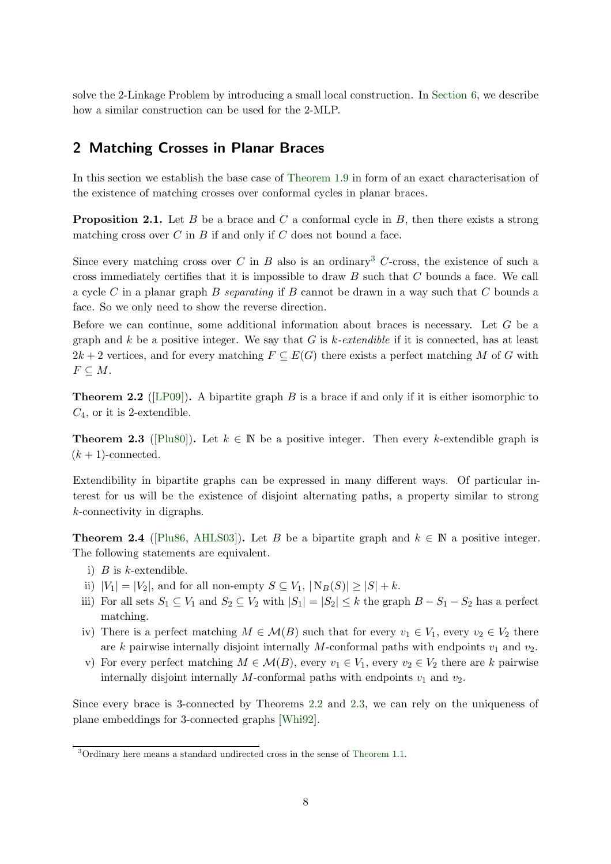solve the 2-Linkage Problem by introducing a small local construction. In [Section 6,](#page-39-0) we describe how a similar construction can be used for the 2-MLP.

# <span id="page-7-0"></span>2 Matching Crosses in Planar Braces

<span id="page-7-4"></span>In this section we establish the base case of [Theorem 1.9](#page-4-0) in form of an exact characterisation of the existence of matching crosses over conformal cycles in planar braces.

**Proposition 2.1.** Let B be a brace and C a conformal cycle in B, then there exists a strong matching cross over  $C$  in  $B$  if and only if  $C$  does not bound a face.

Since every matching cross over C in B also is an ordinary<sup>3</sup> C-cross, the existence of such a cross immediately certifies that it is impossible to draw  $B$  such that  $C$  bounds a face. We call a cycle C in a planar graph B separating if B cannot be drawn in a way such that C bounds a face. So we only need to show the reverse direction.

Before we can continue, some additional information about braces is necessary. Let G be a graph and k be a positive integer. We say that G is  $k$ -extendible if it is connected, has at least  $2k+2$  vertices, and for every matching  $F \subseteq E(G)$  there exists a perfect matching M of G with  $F \subseteq M$ .

<span id="page-7-1"></span>**Theorem 2.2** ([\[LP09\]](#page-47-11)). A bipartite graph B is a brace if and only if it is either isomorphic to  $C_4$ , or it is 2-extendible.

<span id="page-7-2"></span>**Theorem 2.3** ([\[Plu80\]](#page-47-12)). Let  $k \in \mathbb{N}$  be a positive integer. Then every k-extendible graph is  $(k + 1)$ -connected.

Extendibility in bipartite graphs can be expressed in many different ways. Of particular interest for us will be the existence of disjoint alternating paths, a property similar to strong k-connectivity in digraphs.

<span id="page-7-3"></span>**Theorem 2.4** ([\[Plu86,](#page-47-13) [AHLS03\]](#page-47-14)). Let B be a bipartite graph and  $k \in \mathbb{N}$  a positive integer. The following statements are equivalent.

- i)  $B$  is k-extendible.
- ii)  $|V_1| = |V_2|$ , and for all non-empty  $S \subseteq V_1$ ,  $|N_B(S)| \ge |S| + k$ .
- iii) For all sets  $S_1 \subseteq V_1$  and  $S_2 \subseteq V_2$  with  $|S_1| = |S_2| \leq k$  the graph  $B S_1 S_2$  has a perfect matching.
- iv) There is a perfect matching  $M \in \mathcal{M}(B)$  such that for every  $v_1 \in V_1$ , every  $v_2 \in V_2$  there are k pairwise internally disjoint internally M-conformal paths with endpoints  $v_1$  and  $v_2$ .
- v) For every perfect matching  $M \in \mathcal{M}(B)$ , every  $v_1 \in V_1$ , every  $v_2 \in V_2$  there are k pairwise internally disjoint internally M-conformal paths with endpoints  $v_1$  and  $v_2$ .

Since every brace is 3-connected by Theorems [2.2](#page-7-1) and [2.3,](#page-7-2) we can rely on the uniqueness of plane embeddings for 3-connected graphs [\[Whi92\]](#page-48-8).

<sup>3</sup>Ordinary here means a standard undirected cross in the sense of [Theorem 1.1.](#page-1-0)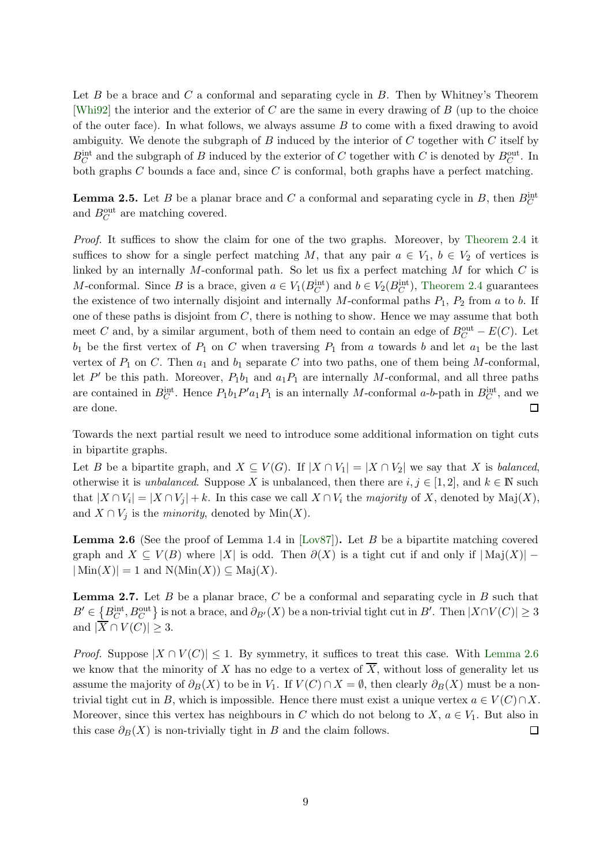Let  $B$  be a brace and  $C$  a conformal and separating cycle in  $B$ . Then by Whitney's Theorem [\[Whi92\]](#page-48-8) the interior and the exterior of  $C$  are the same in every drawing of  $B$  (up to the choice of the outer face). In what follows, we always assume  $B$  to come with a fixed drawing to avoid ambiguity. We denote the subgraph of  $B$  induced by the interior of  $C$  together with  $C$  itself by  $B_C^{\text{int}}$  and the subgraph of B induced by the exterior of C together with C is denoted by  $B_C^{\text{out}}$ . In both graphs  $C$  bounds a face and, since  $C$  is conformal, both graphs have a perfect matching.

<span id="page-8-1"></span>**Lemma 2.5.** Let B be a planar brace and C a conformal and separating cycle in B, then  $B_C^{\text{int}}$ and  $B_C^{\text{out}}$  are matching covered.

Proof. It suffices to show the claim for one of the two graphs. Moreover, by [Theorem 2.4](#page-7-3) it suffices to show for a single perfect matching M, that any pair  $a \in V_1$ ,  $b \in V_2$  of vertices is linked by an internally M-conformal path. So let us fix a perfect matching  $M$  for which  $C$  is M-conformal. Since B is a brace, given  $a \in V_1(B_C^{\text{int}})$  and  $b \in V_2(B_C^{\text{int}})$ , [Theorem 2.4](#page-7-3) guarantees the existence of two internally disjoint and internally  $M$ -conformal paths  $P_1$ ,  $P_2$  from a to b. If one of these paths is disjoint from  $C$ , there is nothing to show. Hence we may assume that both meet C and, by a similar argument, both of them need to contain an edge of  $B_C^{\text{out}} - E(C)$ . Let  $b_1$  be the first vertex of  $P_1$  on C when traversing  $P_1$  from a towards b and let  $a_1$  be the last vertex of  $P_1$  on C. Then  $a_1$  and  $b_1$  separate C into two paths, one of them being M-conformal, let  $P'$  be this path. Moreover,  $P_1b_1$  and  $a_1P_1$  are internally M-conformal, and all three paths are contained in  $B_C^{\text{int}}$ . Hence  $P_1b_1P'a_1P_1$  is an internally M-conformal a-b-path in  $B_C^{\text{int}}$ , and we are done.  $\Box$ 

Towards the next partial result we need to introduce some additional information on tight cuts in bipartite graphs.

Let B be a bipartite graph, and  $X \subseteq V(G)$ . If  $|X \cap V_1| = |X \cap V_2|$  we say that X is balanced, otherwise it is *unbalanced*. Suppose X is unbalanced, then there are  $i, j \in [1, 2]$ , and  $k \in \mathbb{N}$  such that  $|X \cap V_i| = |X \cap V_j| + k$ . In this case we call  $X \cap V_i$  the *majority* of X, denoted by Maj $(X)$ , and  $X \cap V_j$  is the *minority*, denoted by Min $(X)$ .

<span id="page-8-0"></span>**Lemma 2.6** (See the proof of Lemma 1.4 in [\[Lov87\]](#page-47-5)). Let B be a bipartite matching covered graph and  $X \subseteq V(B)$  where |X| is odd. Then  $\partial(X)$  is a tight cut if and only if  $|\text{Maj}(X)|$  –  $|\text{Min}(X)| = 1$  and  $N(\text{Min}(X)) \subseteq \text{Maj}(X)$ .

<span id="page-8-2"></span>**Lemma 2.7.** Let B be a planar brace, C be a conformal and separating cycle in B such that  $B' \in \left\{B_C^{\text{int}}, B_C^{\text{out}}\right\}$  is not a brace, and  $\partial_{B'}(X)$  be a non-trivial tight cut in  $B'$ . Then  $|X \cap V(C)| \geq 3$ and  $|X \cap V(C)| \geq 3$ .

<span id="page-8-3"></span>*Proof.* Suppose  $|X \cap V(C)| \leq 1$ . By symmetry, it suffices to treat this case. With [Lemma 2.6](#page-8-0) we know that the minority of X has no edge to a vertex of  $\overline{X}$ , without loss of generality let us assume the majority of  $\partial_B(X)$  to be in  $V_1$ . If  $V(C) \cap X = \emptyset$ , then clearly  $\partial_B(X)$  must be a nontrivial tight cut in B, which is impossible. Hence there must exist a unique vertex  $a \in V(C) \cap X$ . Moreover, since this vertex has neighbours in C which do not belong to  $X, a \in V_1$ . But also in this case  $\partial_B(X)$  is non-trivially tight in B and the claim follows.  $\Box$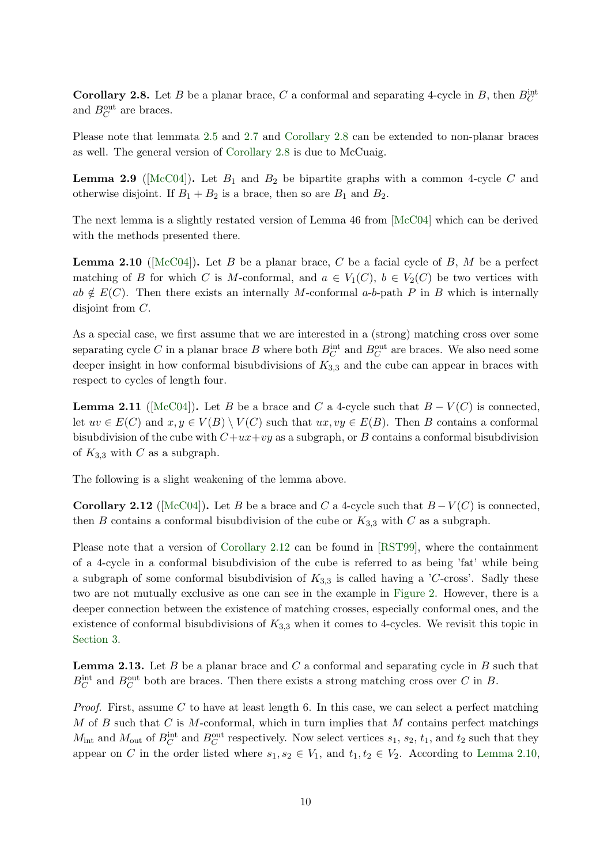**Corollary 2.8.** Let B be a planar brace, C a conformal and separating 4-cycle in B, then  $B_C^{\text{int}}$ and  $B_C^{\text{out}}$  are braces.

Please note that lemmata [2.5](#page-8-1) and [2.7](#page-8-2) and [Corollary 2.8](#page-8-3) can be extended to non-planar braces as well. The general version of [Corollary 2.8](#page-8-3) is due to McCuaig.

**Lemma 2.9** ( $[\text{McC04}]$ ). Let  $B_1$  and  $B_2$  be bipartite graphs with a common 4-cycle C and otherwise disjoint. If  $B_1 + B_2$  is a brace, then so are  $B_1$  and  $B_2$ .

<span id="page-9-1"></span>The next lemma is a slightly restated version of Lemma 46 from [\[McC04\]](#page-47-6) which can be derived with the methods presented there.

**Lemma 2.10** ( $[\text{McC04}]$ ). Let B be a planar brace, C be a facial cycle of B, M be a perfect matching of B for which C is M-conformal, and  $a \in V_1(C)$ ,  $b \in V_2(C)$  be two vertices with  $ab \notin E(C)$ . Then there exists an internally M-conformal a-b-path P in B which is internally disjoint from C.

As a special case, we first assume that we are interested in a (strong) matching cross over some separating cycle C in a planar brace B where both  $B_C^{\text{int}}$  and  $B_C^{\text{out}}$  are braces. We also need some deeper insight in how conformal bisubdivisions of  $K_{3,3}$  and the cube can appear in braces with respect to cycles of length four.

<span id="page-9-3"></span>**Lemma 2.11** ([\[McC04\]](#page-47-6)). Let B be a brace and C a 4-cycle such that  $B - V(C)$  is connected, let  $uv \in E(C)$  and  $x, y \in V(B) \setminus V(C)$  such that  $ux, vy \in E(B)$ . Then B contains a conformal bisubdivision of the cube with  $C+ux+vy$  as a subgraph, or B contains a conformal bisubdivision of  $K_{3,3}$  with C as a subgraph.

<span id="page-9-0"></span>The following is a slight weakening of the lemma above.

**Corollary 2.12** ([\[McC04\]](#page-47-6)). Let B be a brace and C a 4-cycle such that  $B-V(C)$  is connected, then B contains a conformal bisubdivision of the cube or  $K_{3,3}$  with C as a subgraph.

Please note that a version of [Corollary 2.12](#page-9-0) can be found in [\[RST99\]](#page-48-7), where the containment of a 4-cycle in a conformal bisubdivision of the cube is referred to as being 'fat' while being a subgraph of some conformal bisubdivision of  $K_{3,3}$  is called having a 'C-cross'. Sadly these two are not mutually exclusive as one can see in the example in [Figure 2.](#page-10-0) However, there is a deeper connection between the existence of matching crosses, especially conformal ones, and the existence of conformal bisubdivisions of  $K_{3,3}$  when it comes to 4-cycles. We revisit this topic in [Section 3.](#page-12-0)

<span id="page-9-2"></span>**Lemma 2.13.** Let B be a planar brace and C a conformal and separating cycle in B such that  $B_C^{\text{int}}$  and  $B_C^{\text{out}}$  both are braces. Then there exists a strong matching cross over C in B.

*Proof.* First, assume C to have at least length 6. In this case, we can select a perfect matching  $M$  of  $B$  such that  $C$  is  $M$ -conformal, which in turn implies that  $M$  contains perfect matchings  $M_{\text{int}}$  and  $M_{\text{out}}$  of  $B_C^{\text{int}}$  and  $B_C^{\text{out}}$  respectively. Now select vertices  $s_1$ ,  $s_2$ ,  $t_1$ , and  $t_2$  such that they appear on C in the order listed where  $s_1, s_2 \in V_1$ , and  $t_1, t_2 \in V_2$ . According to [Lemma 2.10,](#page-9-1)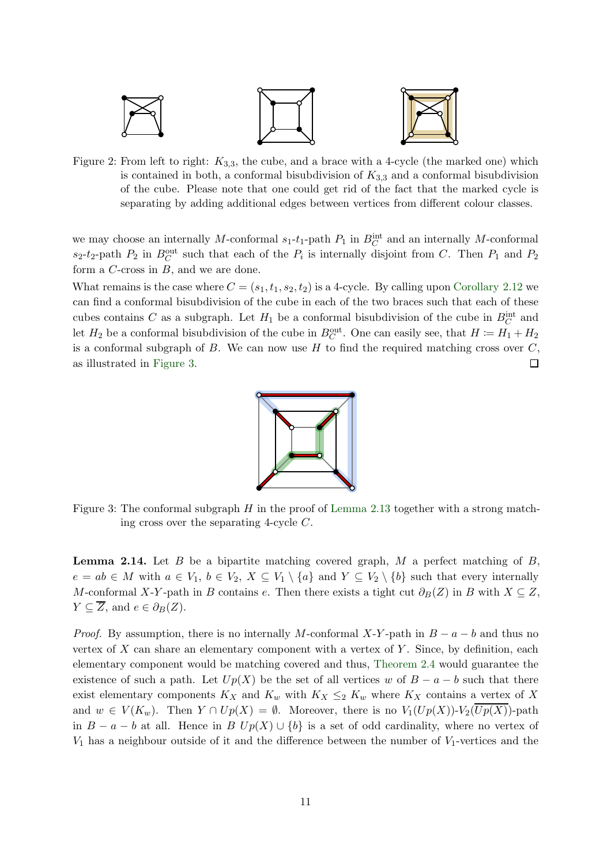<span id="page-10-0"></span>

Figure 2: From left to right:  $K_{3,3}$ , the cube, and a brace with a 4-cycle (the marked one) which is contained in both, a conformal bisubdivision of  $K_{3,3}$  and a conformal bisubdivision of the cube. Please note that one could get rid of the fact that the marked cycle is separating by adding additional edges between vertices from different colour classes.

we may choose an internally M-conformal  $s_1$ - $t_1$ -path  $P_1$  in  $B_C^{\text{int}}$  and an internally M-conformal  $s_2-t_2$ -path  $P_2$  in  $B_C^{\text{out}}$  such that each of the  $P_i$  is internally disjoint from C. Then  $P_1$  and  $P_2$ form a C-cross in B, and we are done.

<span id="page-10-1"></span>What remains is the case where  $C = (s_1, t_1, s_2, t_2)$  is a 4-cycle. By calling upon [Corollary 2.12](#page-9-0) we can find a conformal bisubdivision of the cube in each of the two braces such that each of these cubes contains C as a subgraph. Let  $H_1$  be a conformal bisubdivision of the cube in  $B_C^{\text{int}}$  and let  $H_2$  be a conformal bisubdivision of the cube in  $B_C^{\text{out}}$ . One can easily see, that  $H := H_1 + H_2$ is a conformal subgraph of  $B$ . We can now use  $H$  to find the required matching cross over  $C$ , as illustrated in [Figure 3.](#page-10-1)  $\Box$ 



<span id="page-10-2"></span>Figure 3: The conformal subgraph  $H$  in the proof of [Lemma 2.13](#page-9-2) together with a strong matching cross over the separating 4-cycle C.

**Lemma 2.14.** Let B be a bipartite matching covered graph, M a perfect matching of B,  $e = ab \in M$  with  $a \in V_1$ ,  $b \in V_2$ ,  $X \subseteq V_1 \setminus \{a\}$  and  $Y \subseteq V_2 \setminus \{b\}$  such that every internally M-conformal X-Y-path in B contains e. Then there exists a tight cut  $\partial_B(Z)$  in B with  $X \subseteq Z$ ,  $Y \subseteq \overline{Z}$ , and  $e \in \partial_B(Z)$ .

*Proof.* By assumption, there is no internally M-conformal X-Y-path in  $B - a - b$  and thus no vertex of  $X$  can share an elementary component with a vertex of  $Y$ . Since, by definition, each elementary component would be matching covered and thus, [Theorem 2.4](#page-7-3) would guarantee the existence of such a path. Let  $Up(X)$  be the set of all vertices w of  $B - a - b$  such that there exist elementary components  $K_X$  and  $K_w$  with  $K_X \leq_2 K_w$  where  $K_X$  contains a vertex of X and  $w \in V(K_w)$ . Then  $Y \cap Up(X) = \emptyset$ . Moreover, there is no  $V_1(Up(X))\text{-}V_2(\overline{Up(X)})\text{-}path$ in  $B - a - b$  at all. Hence in B  $Up(X) \cup \{b\}$  is a set of odd cardinality, where no vertex of  $V_1$  has a neighbour outside of it and the difference between the number of  $V_1$ -vertices and the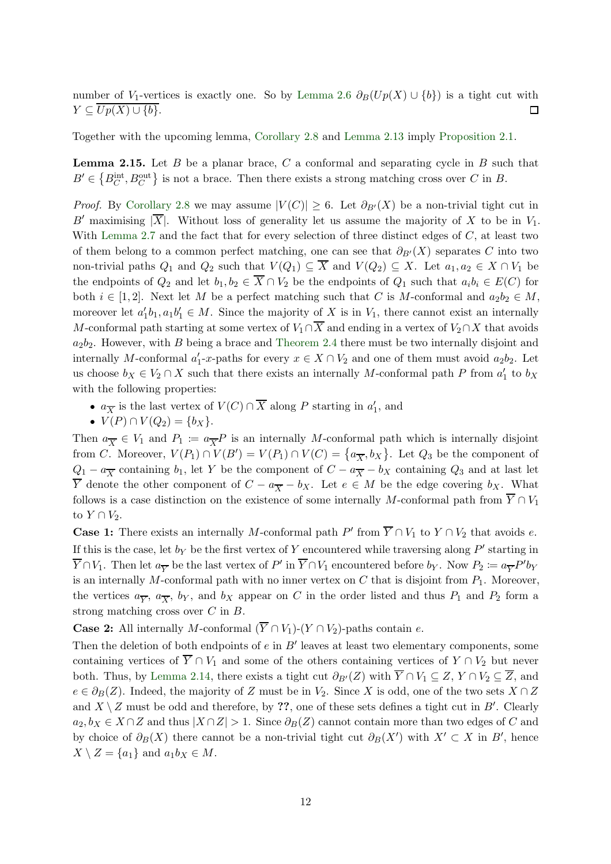number of V<sub>1</sub>-vertices is exactly one. So by [Lemma 2.6](#page-8-0)  $\partial_B(Up(X) \cup \{b\})$  is a tight cut with  $Y \subseteq \overline{Up(X) \cup \{b\}}.$  $\Box$ 

<span id="page-11-0"></span>Together with the upcoming lemma, [Corollary 2.8](#page-8-3) and [Lemma 2.13](#page-9-2) imply [Proposition 2.1.](#page-7-4)

**Lemma 2.15.** Let B be a planar brace, C a conformal and separating cycle in B such that  $B' \in \{B_C^{\text{int}}, B_C^{\text{out}}\}\$ is not a brace. Then there exists a strong matching cross over C in B.

*Proof.* By [Corollary 2.8](#page-8-3) we may assume  $|V(C)| \geq 6$ . Let  $\partial_{B'}(X)$  be a non-trivial tight cut in B' maximising  $|\overline{X}|$ . Without loss of generality let us assume the majority of X to be in  $V_1$ . With [Lemma 2.7](#page-8-2) and the fact that for every selection of three distinct edges of  $C$ , at least two of them belong to a common perfect matching, one can see that  $\partial_{B'}(X)$  separates C into two non-trivial paths  $Q_1$  and  $Q_2$  such that  $V(Q_1) \subseteq \overline{X}$  and  $V(Q_2) \subseteq X$ . Let  $a_1, a_2 \in X \cap V_1$  be the endpoints of  $Q_2$  and let  $b_1, b_2 \in \overline{X} \cap V_2$  be the endpoints of  $Q_1$  such that  $a_i b_i \in E(C)$  for both  $i \in [1,2]$ . Next let M be a perfect matching such that C is M-conformal and  $a_2b_2 \in M$ , moreover let  $a'_1b_1, a_1b'_1 \in M$ . Since the majority of X is in  $V_1$ , there cannot exist an internally M-conformal path starting at some vertex of  $V_1 \cap \overline{X}$  and ending in a vertex of  $V_2 \cap X$  that avoids  $a_2b_2$ . However, with B being a brace and [Theorem 2.4](#page-7-3) there must be two internally disjoint and internally M-conformal  $a'_1$ -x-paths for every  $x \in X \cap V_2$  and one of them must avoid  $a_2b_2$ . Let us choose  $b_X \in V_2 \cap X$  such that there exists an internally M-conformal path P from  $a'_1$  to  $b_X$ with the following properties:

- $a_{\overline{X}}$  is the last vertex of  $V(C) \cap \overline{X}$  along P starting in  $a'_1$ , and
- $V(P) \cap V(Q_2) = \{b_X\}.$

Then  $a_{\overline{X}} \in V_1$  and  $P_1 := a_{\overline{X}} P$  is an internally M-conformal path which is internally disjoint from C. Moreover,  $V(P_1) \cap V(B') = V(P_1) \cap V(C) = \{a_{\overline{X}}, b_X\}$ . Let  $Q_3$  be the component of  $Q_1 - a_{\overline{X}}$  containing  $b_1$ , let Y be the component of  $C - a_{\overline{X}} - b_X$  containing  $Q_3$  and at last let  $\overline{Y}$  denote the other component of  $C - a_{\overline{X}} - b_X$ . Let  $e \in M$  be the edge covering  $b_X$ . What follows is a case distinction on the existence of some internally M-conformal path from  $\overline{Y} \cap V_1$ to  $Y \cap V_2$ .

**Case 1:** There exists an internally M-conformal path  $P'$  from  $\overline{Y} \cap V_1$  to  $Y \cap V_2$  that avoids e. If this is the case, let  $b_Y$  be the first vertex of Y encountered while traversing along  $P'$  starting in  $\overline{Y} \cap V_1$ . Then let  $a_{\overline{Y}}$  be the last vertex of  $P'$  in  $\overline{Y} \cap V_1$  encountered before  $b_Y$ . Now  $P_2 := a_{\overline{Y}} P' b_Y$ is an internally M-conformal path with no inner vertex on  $C$  that is disjoint from  $P_1$ . Moreover, the vertices  $a_{\overline{Y}}$ ,  $a_{\overline{X}}$ , b<sub>Y</sub>, and b<sub>X</sub> appear on C in the order listed and thus  $P_1$  and  $P_2$  form a strong matching cross over C in B.

**Case 2:** All internally M-conformal  $(\overline{Y} \cap V_1)$ - $(Y \cap V_2)$ -paths contain e.

Then the deletion of both endpoints of  $e$  in  $B'$  leaves at least two elementary components, some containing vertices of  $\overline{Y} \cap V_1$  and some of the others containing vertices of  $Y \cap V_2$  but never both. Thus, by [Lemma 2.14,](#page-10-2) there exists a tight cut  $\partial_{B'}(Z)$  with  $\overline{Y} \cap V_1 \subseteq Z$ ,  $Y \cap V_2 \subseteq \overline{Z}$ , and  $e \in \partial_B(Z)$ . Indeed, the majority of Z must be in  $V_2$ . Since X is odd, one of the two sets  $X \cap Z$ and  $X \setminus Z$  must be odd and therefore, by ??, one of these sets defines a tight cut in B'. Clearly  $a_2, b_X \in X \cap Z$  and thus  $|X \cap Z| > 1$ . Since  $\partial_B(Z)$  cannot contain more than two edges of C and by choice of  $\partial_B(X)$  there cannot be a non-trivial tight cut  $\partial_B(X')$  with  $X' \subset X$  in B', hence  $X \setminus Z = \{a_1\}$  and  $a_1b_X \in M$ .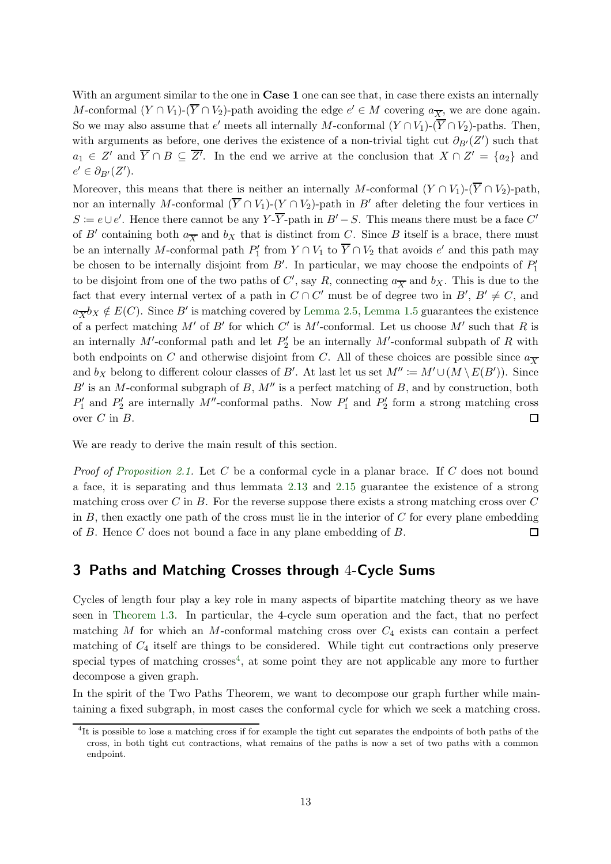With an argument similar to the one in **Case 1** one can see that, in case there exists an internally M-conformal  $(Y \cap V_1)$ - $(\overline{Y} \cap V_2)$ -path avoiding the edge  $e' \in M$  covering  $a_{\overline{X}}$ , we are done again. So we may also assume that  $e'$  meets all internally M-conformal  $(Y \cap V_1)$ - $(\overline{Y} \cap V_2)$ -paths. Then, with arguments as before, one derives the existence of a non-trivial tight cut  $\partial_{B'}(Z')$  such that  $a_1 \in Z'$  and  $\overline{Y} \cap B \subseteq \overline{Z'}$ . In the end we arrive at the conclusion that  $X \cap Z' = \{a_2\}$  and  $e' \in \partial_{B'}(Z').$ 

Moreover, this means that there is neither an internally M-conformal  $(Y \cap V_1)$ - $(\overline{Y} \cap V_2)$ -path, nor an internally M-conformal  $(\overline{Y} \cap V_1)$ - $(Y \cap V_2)$ -path in B' after deleting the four vertices in  $S = e \cup e'$ . Hence there cannot be any Y- $\overline{Y}$ -path in  $B' - S$ . This means there must be a face C' of B' containing both  $a_{\overline{X}}$  and  $b_X$  that is distinct from C. Since B itself is a brace, there must be an internally M-conformal path  $P'_1$  from  $Y \cap V_1$  to  $\overline{Y} \cap V_2$  that avoids  $e'$  and this path may be chosen to be internally disjoint from  $B'$ . In particular, we may choose the endpoints of  $P'_1$ to be disjoint from one of the two paths of  $C'$ , say R, connecting  $a_{\overline{X}}$  and  $b_X$ . This is due to the fact that every internal vertex of a path in  $C \cap C'$  must be of degree two in  $B'$ ,  $B' \neq C$ , and  $a_{\overline{X}}b_X \notin E(C)$ . Since B' is matching covered by [Lemma 2.5,](#page-8-1) [Lemma 1.5](#page-3-1) guarantees the existence of a perfect matching M' of B' for which C' is M'-conformal. Let us choose M' such that R is an internally  $M'$ -conformal path and let  $P'_2$  be an internally  $M'$ -conformal subpath of R with both endpoints on C and otherwise disjoint from C. All of these choices are possible since  $a_{\overline{X}}$ and  $b_X$  belong to different colour classes of B'. At last let us set  $M'' \coloneqq M' \cup (M \setminus E(B'))$ . Since  $B'$  is an M-conformal subgraph of B,  $M''$  is a perfect matching of B, and by construction, both  $P'_1$  and  $P'_2$  are internally M''-conformal paths. Now  $P'_1$  and  $P'_2$  form a strong matching cross over  $C$  in  $B$ .  $\Box$ 

We are ready to derive the main result of this section.

*Proof of [Proposition 2.1.](#page-7-4)* Let C be a conformal cycle in a planar brace. If C does not bound a face, it is separating and thus lemmata [2.13](#page-9-2) and [2.15](#page-11-0) guarantee the existence of a strong matching cross over C in B. For the reverse suppose there exists a strong matching cross over  $C$ in  $B$ , then exactly one path of the cross must lie in the interior of  $C$  for every plane embedding of B. Hence C does not bound a face in any plane embedding of B.  $\Box$ 

#### <span id="page-12-0"></span>3 Paths and Matching Crosses through 4-Cycle Sums

Cycles of length four play a key role in many aspects of bipartite matching theory as we have seen in [Theorem 1.3.](#page-2-1) In particular, the 4-cycle sum operation and the fact, that no perfect matching  $M$  for which an  $M$ -conformal matching cross over  $C_4$  exists can contain a perfect matching of  $C_4$  itself are things to be considered. While tight cut contractions only preserve special types of matching crosses<sup>4</sup>, at some point they are not applicable any more to further decompose a given graph.

In the spirit of the Two Paths Theorem, we want to decompose our graph further while maintaining a fixed subgraph, in most cases the conformal cycle for which we seek a matching cross.

<sup>&</sup>lt;sup>4</sup>It is possible to lose a matching cross if for example the tight cut separates the endpoints of both paths of the cross, in both tight cut contractions, what remains of the paths is now a set of two paths with a common endpoint.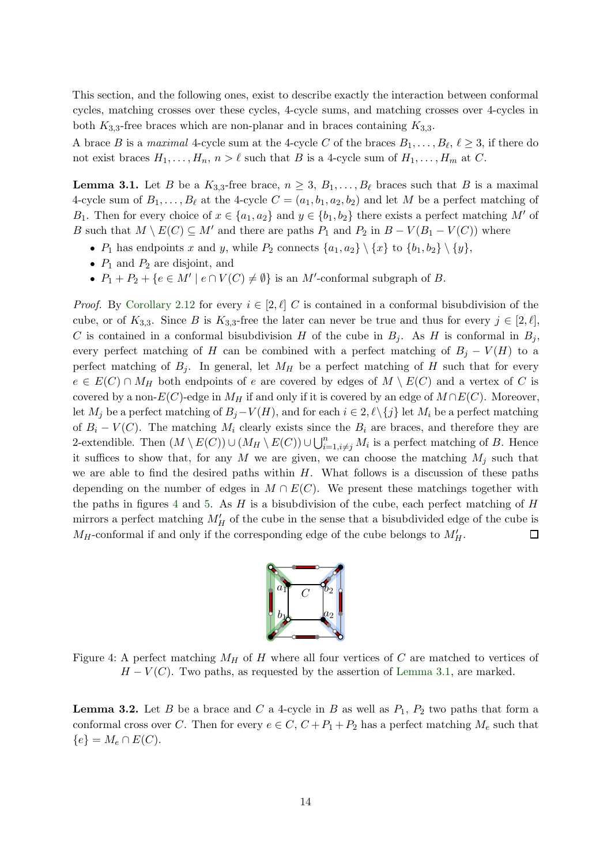This section, and the following ones, exist to describe exactly the interaction between conformal cycles, matching crosses over these cycles, 4-cycle sums, and matching crosses over 4-cycles in both  $K_{3,3}$ -free braces which are non-planar and in braces containing  $K_{3,3}$ .

<span id="page-13-1"></span>A brace B is a maximal 4-cycle sum at the 4-cycle C of the braces  $B_1, \ldots, B_\ell, \ell \geq 3$ , if there do not exist braces  $H_1, \ldots, H_n, n > \ell$  such that B is a 4-cycle sum of  $H_1, \ldots, H_m$  at C.

**Lemma 3.1.** Let B be a  $K_{3,3}$ -free brace,  $n \geq 3$ ,  $B_1, \ldots, B_\ell$  braces such that B is a maximal 4-cycle sum of  $B_1, \ldots, B_\ell$  at the 4-cycle  $C = (a_1, b_1, a_2, b_2)$  and let M be a perfect matching of B<sub>1</sub>. Then for every choice of  $x \in \{a_1, a_2\}$  and  $y \in \{b_1, b_2\}$  there exists a perfect matching M' of B such that  $M \setminus E(C) \subseteq M'$  and there are paths  $P_1$  and  $P_2$  in  $B - V(B_1 - V(C))$  where

- $P_1$  has endpoints x and y, while  $P_2$  connects  $\{a_1, a_2\} \setminus \{x\}$  to  $\{b_1, b_2\} \setminus \{y\}$ ,
- $P_1$  and  $P_2$  are disjoint, and
- $P_1 + P_2 + \{e \in M' \mid e \cap V(C) \neq \emptyset\}$  is an M'-conformal subgraph of B.

*Proof.* By [Corollary 2.12](#page-9-0) for every  $i \in [2, \ell]$  C is contained in a conformal bisubdivision of the cube, or of  $K_{3,3}$ . Since B is  $K_{3,3}$ -free the later can never be true and thus for every  $j \in [2,\ell],$ C is contained in a conformal bisubdivision H of the cube in  $B_i$ . As H is conformal in  $B_i$ , every perfect matching of H can be combined with a perfect matching of  $B_j - V(H)$  to a perfect matching of  $B_i$ . In general, let  $M_H$  be a perfect matching of H such that for every  $e \in E(C) \cap M_H$  both endpoints of e are covered by edges of  $M \setminus E(C)$  and a vertex of C is covered by a non- $E(C)$ -edge in  $M_H$  if and only if it is covered by an edge of  $M \cap E(C)$ . Moreover, let  $M_j$  be a perfect matching of  $B_j-V(H)$ , and for each  $i \in 2, \ell \setminus \{j\}$  let  $M_i$  be a perfect matching of  $B_i - V(C)$ . The matching  $M_i$  clearly exists since the  $B_i$  are braces, and therefore they are 2-extendible. Then  $(M \setminus E(C)) \cup (M_H \setminus E(C)) \cup \bigcup_{i=1, i \neq j}^{n} M_i$  is a perfect matching of B. Hence it suffices to show that, for any M we are given, we can choose the matching  $M_i$  such that we are able to find the desired paths within  $H$ . What follows is a discussion of these paths depending on the number of edges in  $M \cap E(C)$ . We present these matchings together with the paths in figures [4](#page-13-0) and [5.](#page-14-0) As  $H$  is a bisubdivision of the cube, each perfect matching of  $H$ mirrors a perfect matching  $M'_{H}$  of the cube in the sense that a bisubdivided edge of the cube is  $M_H$ -conformal if and only if the corresponding edge of the cube belongs to  $M'_H$ .  $\Box$ 



<span id="page-13-0"></span>Figure 4: A perfect matching  $M_H$  of H where all four vertices of C are matched to vertices of  $H - V(C)$ . Two paths, as requested by the assertion of [Lemma 3.1,](#page-13-1) are marked.

**Lemma 3.2.** Let B be a brace and C a 4-cycle in B as well as  $P_1$ ,  $P_2$  two paths that form a conformal cross over C. Then for every  $e \in C$ ,  $C + P_1 + P_2$  has a perfect matching  $M_e$  such that  ${e} = M_e \cap E(C).$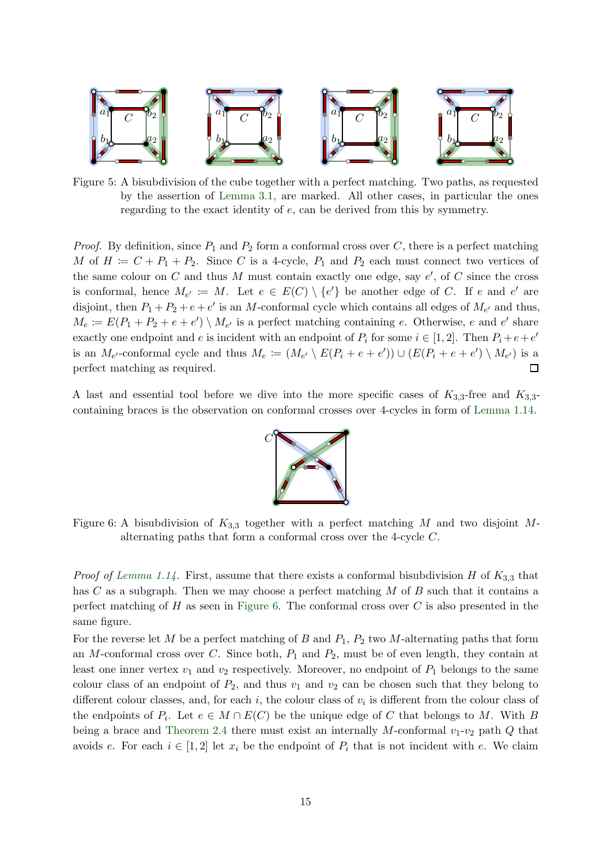<span id="page-14-0"></span>

Figure 5: A bisubdivision of the cube together with a perfect matching. Two paths, as requested by the assertion of [Lemma 3.1,](#page-13-1) are marked. All other cases, in particular the ones regarding to the exact identity of e, can be derived from this by symmetry.

*Proof.* By definition, since  $P_1$  and  $P_2$  form a conformal cross over C, there is a perfect matching M of  $H := C + P_1 + P_2$ . Since C is a 4-cycle,  $P_1$  and  $P_2$  each must connect two vertices of the same colour on  $C$  and thus  $M$  must contain exactly one edge, say  $e'$ , of  $C$  since the cross is conformal, hence  $M_{e'} := M$ . Let  $e \in E(C) \setminus \{e'\}$  be another edge of C. If e and e' are disjoint, then  $P_1 + P_2 + e + e'$  is an M-conformal cycle which contains all edges of  $M_{e'}$  and thus,  $M_e \coloneqq E(P_1 + P_2 + e + e') \setminus M_{e'}$  is a perfect matching containing e. Otherwise, e and e' share exactly one endpoint and e is incident with an endpoint of  $P_i$  for some  $i \in [1,2]$ . Then  $P_i + e + e'$ is an  $M_{e'}$ -conformal cycle and thus  $M_e := (M_{e'} \setminus E(P_i + e + e')) \cup (E(P_i + e + e') \setminus M_{e'})$  is a perfect matching as required.  $\Box$ 

<span id="page-14-1"></span>A last and essential tool before we dive into the more specific cases of  $K_{3,3}$ -free and  $K_{3,3}$ containing braces is the observation on conformal crosses over 4-cycles in form of [Lemma 1.14.](#page-5-2)



Figure 6: A bisubdivision of  $K_{3,3}$  together with a perfect matching M and two disjoint Malternating paths that form a conformal cross over the 4-cycle C.

*Proof of [Lemma 1.14.](#page-5-2)* First, assume that there exists a conformal bisubdivision H of  $K_{3,3}$  that has C as a subgraph. Then we may choose a perfect matching M of B such that it contains a perfect matching of  $H$  as seen in [Figure 6.](#page-14-1) The conformal cross over  $C$  is also presented in the same figure.

For the reverse let M be a perfect matching of B and  $P_1$ ,  $P_2$  two M-alternating paths that form an M-conformal cross over C. Since both,  $P_1$  and  $P_2$ , must be of even length, they contain at least one inner vertex  $v_1$  and  $v_2$  respectively. Moreover, no endpoint of  $P_1$  belongs to the same colour class of an endpoint of  $P_2$ , and thus  $v_1$  and  $v_2$  can be chosen such that they belong to different colour classes, and, for each  $i$ , the colour class of  $v_i$  is different from the colour class of the endpoints of  $P_i$ . Let  $e \in M \cap E(C)$  be the unique edge of C that belongs to M. With B being a brace and [Theorem 2.4](#page-7-3) there must exist an internally M-conformal  $v_1$ - $v_2$  path Q that avoids e. For each  $i \in [1,2]$  let  $x_i$  be the endpoint of  $P_i$  that is not incident with e. We claim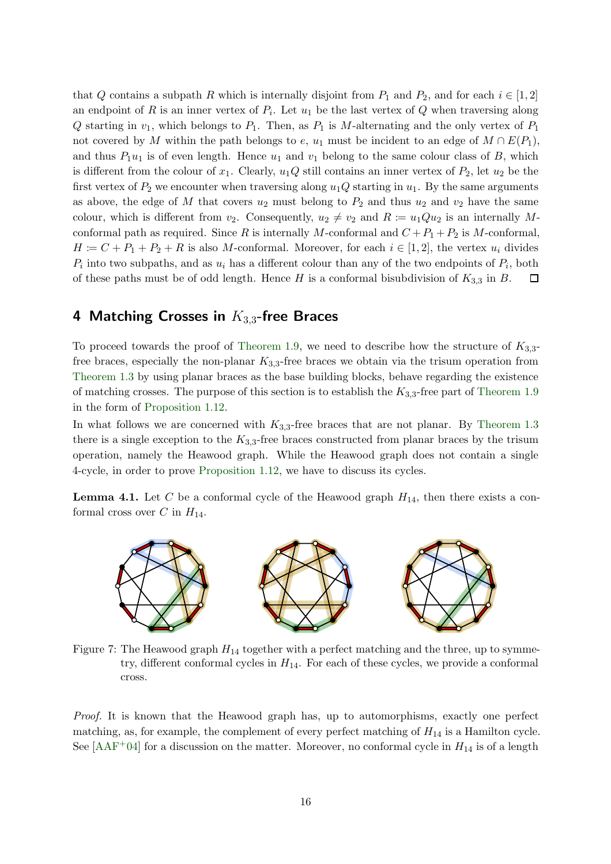that Q contains a subpath R which is internally disjoint from  $P_1$  and  $P_2$ , and for each  $i \in [1,2]$ an endpoint of R is an inner vertex of  $P_i$ . Let  $u_1$  be the last vertex of Q when traversing along Q starting in  $v_1$ , which belongs to  $P_1$ . Then, as  $P_1$  is M-alternating and the only vertex of  $P_1$ not covered by M within the path belongs to e,  $u_1$  must be incident to an edge of  $M \cap E(P_1)$ , and thus  $P_1u_1$  is of even length. Hence  $u_1$  and  $v_1$  belong to the same colour class of B, which is different from the colour of  $x_1$ . Clearly,  $u_1Q$  still contains an inner vertex of  $P_2$ , let  $u_2$  be the first vertex of  $P_2$  we encounter when traversing along  $u_1Q$  starting in  $u_1$ . By the same arguments as above, the edge of M that covers  $u_2$  must belong to  $P_2$  and thus  $u_2$  and  $v_2$  have the same colour, which is different from  $v_2$ . Consequently,  $u_2 \neq v_2$  and  $R := u_1Qu_2$  is an internally Mconformal path as required. Since R is internally M-conformal and  $C + P_1 + P_2$  is M-conformal,  $H = C + P_1 + P_2 + R$  is also M-conformal. Moreover, for each  $i \in [1, 2]$ , the vertex  $u_i$  divides  $P_i$  into two subpaths, and as  $u_i$  has a different colour than any of the two endpoints of  $P_i$ , both of these paths must be of odd length. Hence H is a conformal bisubdivision of  $K_{3,3}$  in B.  $\Box$ 

## <span id="page-15-0"></span>4 Matching Crosses in  $K_{3,3}$ -free Braces

To proceed towards the proof of [Theorem 1.9,](#page-4-0) we need to describe how the structure of  $K_{3,3}$ free braces, especially the non-planar  $K_{3,3}$ -free braces we obtain via the trisum operation from [Theorem 1.3](#page-2-1) by using planar braces as the base building blocks, behave regarding the existence of matching crosses. The purpose of this section is to establish the  $K_{3,3}$ -free part of [Theorem 1.9](#page-4-0) in the form of [Proposition 1.12.](#page-5-0)

In what follows we are concerned with  $K_{3,3}$ -free braces that are not planar. By [Theorem 1.3](#page-2-1) there is a single exception to the  $K_{3,3}$ -free braces constructed from planar braces by the trisum operation, namely the Heawood graph. While the Heawood graph does not contain a single 4-cycle, in order to prove [Proposition 1.12,](#page-5-0) we have to discuss its cycles.

<span id="page-15-2"></span><span id="page-15-1"></span>**Lemma 4.1.** Let C be a conformal cycle of the Heawood graph  $H_{14}$ , then there exists a conformal cross over C in  $H_{14}$ .



Figure 7: The Heawood graph  $H_{14}$  together with a perfect matching and the three, up to symmetry, different conformal cycles in  $H_{14}$ . For each of these cycles, we provide a conformal cross.

Proof. It is known that the Heawood graph has, up to automorphisms, exactly one perfect matching, as, for example, the complement of every perfect matching of  $H_{14}$  is a Hamilton cycle. See [\[AAF](#page-46-0)<sup>+</sup>04] for a discussion on the matter. Moreover, no conformal cycle in  $H_{14}$  is of a length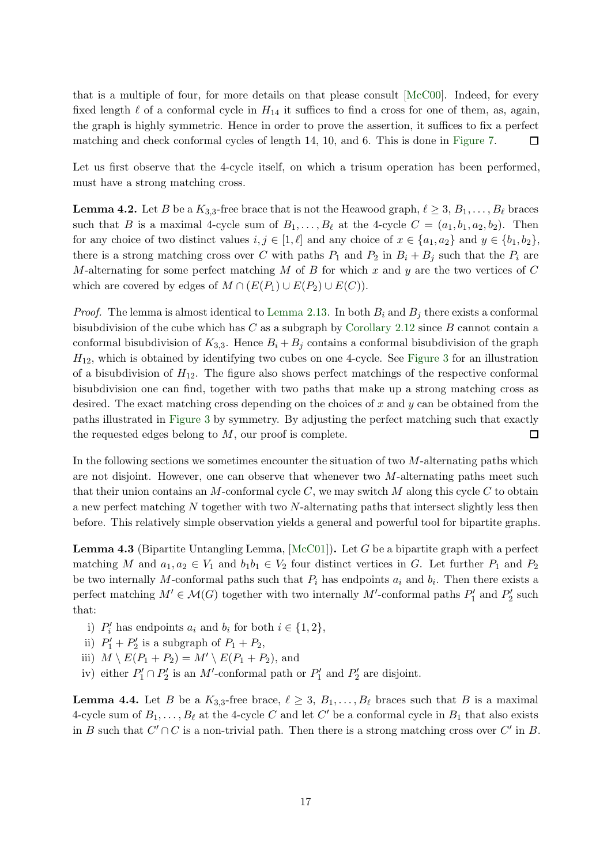that is a multiple of four, for more details on that please consult [\[McC00\]](#page-47-15). Indeed, for every fixed length  $\ell$  of a conformal cycle in  $H_{14}$  it suffices to find a cross for one of them, as, again, the graph is highly symmetric. Hence in order to prove the assertion, it suffices to fix a perfect matching and check conformal cycles of length 14, 10, and 6. This is done in [Figure 7.](#page-15-1) 口

<span id="page-16-2"></span>Let us first observe that the 4-cycle itself, on which a trisum operation has been performed, must have a strong matching cross.

**Lemma 4.2.** Let B be a  $K_{3,3}$ -free brace that is not the Heawood graph,  $\ell \geq 3$ ,  $B_1, \ldots, B_\ell$  braces such that B is a maximal 4-cycle sum of  $B_1, \ldots, B_\ell$  at the 4-cycle  $C = (a_1, b_1, a_2, b_2)$ . Then for any choice of two distinct values  $i, j \in [1, \ell]$  and any choice of  $x \in \{a_1, a_2\}$  and  $y \in \{b_1, b_2\}$ , there is a strong matching cross over C with paths  $P_1$  and  $P_2$  in  $B_i + B_j$  such that the  $P_i$  are M-alternating for some perfect matching M of B for which x and y are the two vertices of C which are covered by edges of  $M \cap (E(P_1) \cup E(P_2) \cup E(C)).$ 

*Proof.* The lemma is almost identical to [Lemma 2.13.](#page-9-2) In both  $B_i$  and  $B_j$  there exists a conformal bisubdivision of the cube which has  $C$  as a subgraph by [Corollary 2.12](#page-9-0) since  $B$  cannot contain a conformal bisubdivision of  $K_{3,3}$ . Hence  $B_i + B_j$  contains a conformal bisubdivision of the graph  $H_{12}$ , which is obtained by identifying two cubes on one 4-cycle. See [Figure 3](#page-10-1) for an illustration of a bisubdivision of  $H_{12}$ . The figure also shows perfect matchings of the respective conformal bisubdivision one can find, together with two paths that make up a strong matching cross as desired. The exact matching cross depending on the choices of x and y can be obtained from the paths illustrated in [Figure 3](#page-10-1) by symmetry. By adjusting the perfect matching such that exactly the requested edges belong to  $M$ , our proof is complete.  $\Box$ 

In the following sections we sometimes encounter the situation of two  $M$ -alternating paths which are not disjoint. However, one can observe that whenever two  $M$ -alternating paths meet such that their union contains an M-conformal cycle  $C$ , we may switch M along this cycle C to obtain a new perfect matching N together with two N-alternating paths that intersect slightly less then before. This relatively simple observation yields a general and powerful tool for bipartite graphs.

<span id="page-16-0"></span>**Lemma 4.3** (Bipartite Untangling Lemma,  $[\text{McC01}]$ ). Let G be a bipartite graph with a perfect matching M and  $a_1, a_2 \in V_1$  and  $b_1b_1 \in V_2$  four distinct vertices in G. Let further  $P_1$  and  $P_2$ be two internally M-conformal paths such that  $P_i$  has endpoints  $a_i$  and  $b_i$ . Then there exists a perfect matching  $M' \in \mathcal{M}(G)$  together with two internally M'-conformal paths  $P'_1$  and  $P'_2$  such that:

- i)  $P'_i$  has endpoints  $a_i$  and  $b_i$  for both  $i \in \{1, 2\}$ ,
- ii)  $P'_1 + P'_2$  is a subgraph of  $P_1 + P_2$ ,
- iii)  $M \setminus E(P_1 + P_2) = M' \setminus E(P_1 + P_2)$ , and
- <span id="page-16-1"></span>iv) either  $P'_1 \cap P'_2$  is an M'-conformal path or  $P'_1$  and  $P'_2$  are disjoint.

**Lemma 4.4.** Let B be a  $K_{3,3}$ -free brace,  $\ell \geq 3$ ,  $B_1, \ldots, B_\ell$  braces such that B is a maximal 4-cycle sum of  $B_1, \ldots, B_\ell$  at the 4-cycle C and let C' be a conformal cycle in  $B_1$  that also exists in B such that  $C' \cap C$  is a non-trivial path. Then there is a strong matching cross over  $C'$  in B.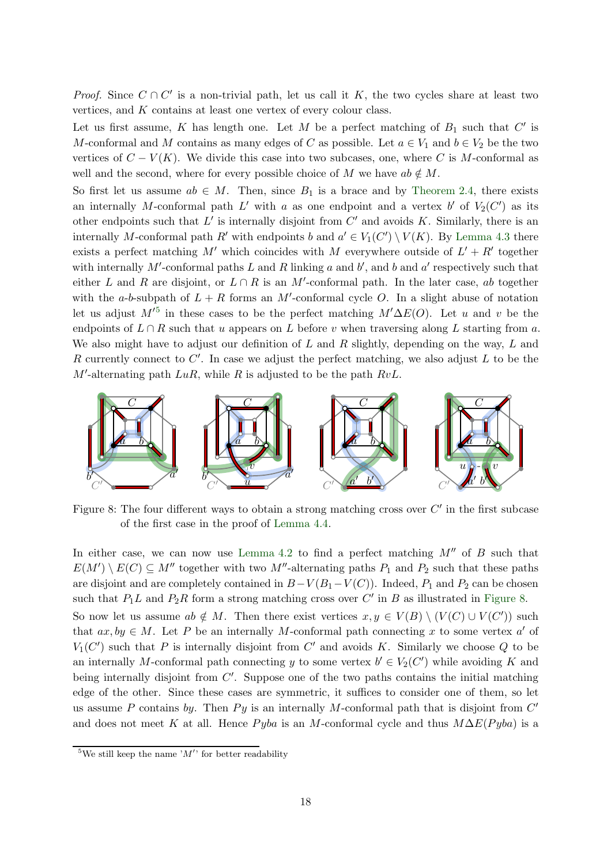*Proof.* Since  $C \cap C'$  is a non-trivial path, let us call it K, the two cycles share at least two vertices, and K contains at least one vertex of every colour class.

Let us first assume, K has length one. Let M be a perfect matching of  $B_1$  such that  $C'$  is M-conformal and M contains as many edges of C as possible. Let  $a \in V_1$  and  $b \in V_2$  be the two vertices of  $C - V(K)$ . We divide this case into two subcases, one, where C is M-conformal as well and the second, where for every possible choice of M we have  $ab \notin M$ .

So first let us assume  $ab \in M$ . Then, since  $B_1$  is a brace and by [Theorem 2.4,](#page-7-3) there exists an internally M-conformal path L' with a as one endpoint and a vertex b' of  $V_2(C')$  as its other endpoints such that  $L'$  is internally disjoint from  $C'$  and avoids K. Similarly, there is an internally M-conformal path R' with endpoints b and  $a' \in V_1(C') \setminus V(K)$ . By [Lemma 4.3](#page-16-0) there exists a perfect matching M' which coincides with M everywhere outside of  $L' + R'$  together with internally  $M'$ -conformal paths  $L$  and  $R$  linking  $a$  and  $b'$ , and  $b$  and  $a'$  respectively such that either L and R are disjoint, or  $L \cap R$  is an M'-conformal path. In the later case, ab together with the a-b-subpath of  $L + R$  forms an M'-conformal cycle O. In a slight abuse of notation let us adjust  $M^{5}$  in these cases to be the perfect matching  $M' \Delta E(O)$ . Let u and v be the endpoints of  $L \cap R$  such that u appears on L before v when traversing along L starting from a. We also might have to adjust our definition of  $L$  and  $R$  slightly, depending on the way,  $L$  and R currently connect to  $C'$ . In case we adjust the perfect matching, we also adjust  $L$  to be the  $M'$ -alternating path  $LuR$ , while R is adjusted to be the path  $RvL$ .

<span id="page-17-0"></span>

Figure 8: The four different ways to obtain a strong matching cross over  $C'$  in the first subcase of the first case in the proof of [Lemma 4.4.](#page-16-1)

In either case, we can now use [Lemma 4.2](#page-16-2) to find a perfect matching  $M''$  of B such that  $E(M')\setminus E(C) \subseteq M''$  together with two M''-alternating paths  $P_1$  and  $P_2$  such that these paths are disjoint and are completely contained in  $B-V(B_1-V(C))$ . Indeed,  $P_1$  and  $P_2$  can be chosen such that  $P_1L$  and  $P_2R$  form a strong matching cross over C' in B as illustrated in [Figure 8.](#page-17-0) So now let us assume  $ab \notin M$ . Then there exist vertices  $x, y \in V(B) \setminus (V(C) \cup V(C'))$  such that  $ax, by \in M$ . Let P be an internally M-conformal path connecting x to some vertex a' of  $V_1(C')$  such that P is internally disjoint from C' and avoids K. Similarly we choose Q to be an internally M-conformal path connecting y to some vertex  $b' \in V_2(C')$  while avoiding K and being internally disjoint from  $C'$ . Suppose one of the two paths contains the initial matching edge of the other. Since these cases are symmetric, it suffices to consider one of them, so let us assume P contains by. Then Py is an internally M-conformal path that is disjoint from  $C'$ and does not meet K at all. Hence Pyba is an M-conformal cycle and thus  $M\Delta E(Pyba)$  is a

<sup>&</sup>lt;sup>5</sup>We still keep the name  $'M'$  for better readability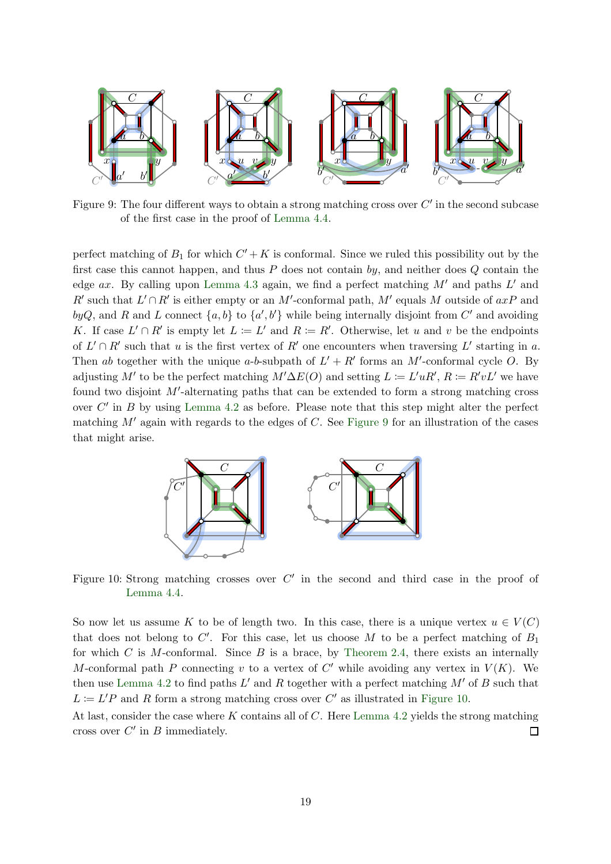<span id="page-18-0"></span>

Figure 9: The four different ways to obtain a strong matching cross over  $C'$  in the second subcase of the first case in the proof of [Lemma 4.4.](#page-16-1)

perfect matching of  $B_1$  for which  $C' + K$  is conformal. Since we ruled this possibility out by the first case this cannot happen, and thus  $P$  does not contain by, and neither does  $Q$  contain the edge  $ax$ . By calling upon [Lemma 4.3](#page-16-0) again, we find a perfect matching  $M'$  and paths  $L'$  and R' such that  $L' \cap R'$  is either empty or an M'-conformal path, M' equals M outside of  $axP$  and byQ, and R and L connect  $\{a, b\}$  to  $\{a', b'\}$  while being internally disjoint from C' and avoiding K. If case  $L' \cap R'$  is empty let  $L := L'$  and  $R := R'$ . Otherwise, let u and v be the endpoints of  $L' \cap R'$  such that u is the first vertex of  $R'$  one encounters when traversing  $L'$  starting in a. Then ab together with the unique a-b-subpath of  $L' + R'$  forms an M'-conformal cycle O. By adjusting M' to be the perfect matching  $M' \Delta E(O)$  and setting  $L \coloneqq L' u R', R \coloneqq R' v L'$  we have found two disjoint M'-alternating paths that can be extended to form a strong matching cross over  $C'$  in  $B$  by using [Lemma 4.2](#page-16-2) as before. Please note that this step might alter the perfect matching  $M'$  again with regards to the edges of C. See [Figure 9](#page-18-0) for an illustration of the cases that might arise.

<span id="page-18-1"></span>

Figure 10: Strong matching crosses over  $C'$  in the second and third case in the proof of [Lemma 4.4.](#page-16-1)

So now let us assume K to be of length two. In this case, there is a unique vertex  $u \in V(C)$ that does not belong to  $C'$ . For this case, let us choose M to be a perfect matching of  $B_1$ for which C is M-conformal. Since B is a brace, by [Theorem 2.4,](#page-7-3) there exists an internally M-conformal path P connecting v to a vertex of  $C'$  while avoiding any vertex in  $V(K)$ . We then use [Lemma 4.2](#page-16-2) to find paths  $L'$  and R together with a perfect matching  $M'$  of B such that  $L := L'P$  and R form a strong matching cross over C' as illustrated in [Figure 10.](#page-18-1)

At last, consider the case where  $K$  contains all of  $C$ . Here [Lemma 4.2](#page-16-2) yields the strong matching cross over  $C'$  in  $B$  immediately.  $\Box$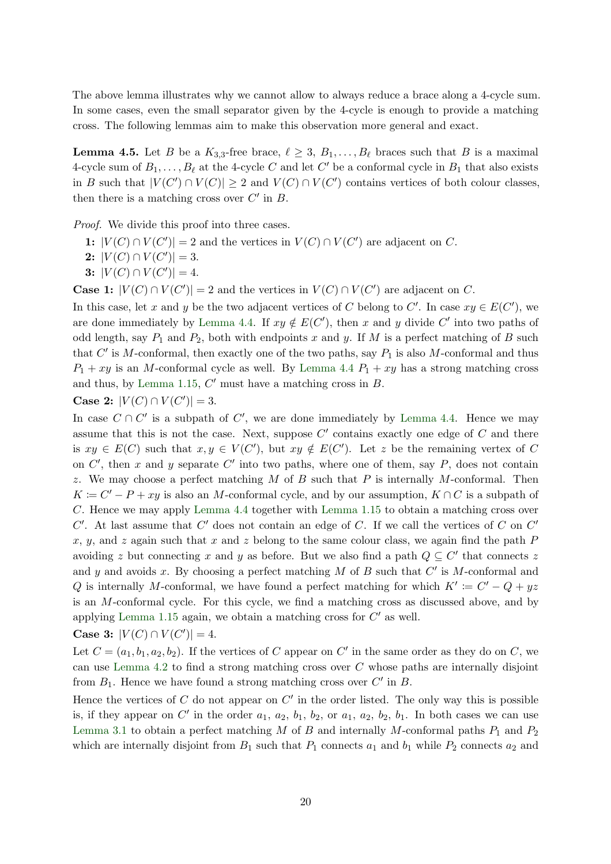<span id="page-19-0"></span>The above lemma illustrates why we cannot allow to always reduce a brace along a 4-cycle sum. In some cases, even the small separator given by the 4-cycle is enough to provide a matching cross. The following lemmas aim to make this observation more general and exact.

**Lemma 4.5.** Let B be a  $K_{3,3}$ -free brace,  $\ell \geq 3$ ,  $B_1, \ldots, B_\ell$  braces such that B is a maximal 4-cycle sum of  $B_1, \ldots, B_\ell$  at the 4-cycle C and let C' be a conformal cycle in  $B_1$  that also exists in B such that  $|V(C') \cap V(C)| \geq 2$  and  $V(C) \cap V(C')$  contains vertices of both colour classes, then there is a matching cross over  $C'$  in  $B$ .

*Proof.* We divide this proof into three cases.

- 1:  $|V(C) \cap V(C')| = 2$  and the vertices in  $V(C) \cap V(C')$  are adjacent on C.
- 2:  $|V(C) \cap V(C')| = 3.$
- 3:  $|V(C) \cap V(C')| = 4$ .

**Case 1:**  $|V(C) \cap V(C')| = 2$  and the vertices in  $V(C) \cap V(C')$  are adjacent on C.

In this case, let x and y be the two adjacent vertices of C belong to C'. In case  $xy \in E(C')$ , we are done immediately by [Lemma 4.4.](#page-16-1) If  $xy \notin E(C')$ , then x and y divide C' into two paths of odd length, say  $P_1$  and  $P_2$ , both with endpoints x and y. If M is a perfect matching of B such that  $C'$  is M-conformal, then exactly one of the two paths, say  $P_1$  is also M-conformal and thus  $P_1 + xy$  is an M-conformal cycle as well. By [Lemma 4.4](#page-16-1)  $P_1 + xy$  has a strong matching cross and thus, by [Lemma 1.15,](#page-6-0)  $C'$  must have a matching cross in  $B$ .

**Case 2:** 
$$
|V(C) \cap V(C')| = 3
$$
.

In case  $C \cap C'$  is a subpath of  $C'$ , we are done immediately by [Lemma 4.4.](#page-16-1) Hence we may assume that this is not the case. Next, suppose  $C'$  contains exactly one edge of  $C$  and there is  $xy \in E(C)$  such that  $x, y \in V(C')$ , but  $xy \notin E(C')$ . Let z be the remaining vertex of C on  $C'$ , then x and y separate  $C'$  into two paths, where one of them, say P, does not contain z. We may choose a perfect matching  $M$  of  $B$  such that  $P$  is internally  $M$ -conformal. Then  $K = C' - P + xy$  is also an M-conformal cycle, and by our assumption,  $K \cap C$  is a subpath of C. Hence we may apply [Lemma 4.4](#page-16-1) together with [Lemma 1.15](#page-6-0) to obtain a matching cross over  $C'$ . At last assume that  $C'$  does not contain an edge of  $C$ . If we call the vertices of  $C$  on  $C'$ x, y, and z again such that x and z belong to the same colour class, we again find the path  $P$ avoiding z but connecting x and y as before. But we also find a path  $Q \subseteq C'$  that connects z and y and avoids x. By choosing a perfect matching  $M$  of  $B$  such that  $C'$  is  $M$ -conformal and Q is internally M-conformal, we have found a perfect matching for which  $K' := C' - Q + yz$ is an M-conformal cycle. For this cycle, we find a matching cross as discussed above, and by applying [Lemma 1.15](#page-6-0) again, we obtain a matching cross for  $C'$  as well.

**Case 3:** 
$$
|V(C) \cap V(C')| = 4
$$
.

Let  $C = (a_1, b_1, a_2, b_2)$ . If the vertices of C appear on C' in the same order as they do on C, we can use [Lemma 4.2](#page-16-2) to find a strong matching cross over  $C$  whose paths are internally disjoint from  $B_1$ . Hence we have found a strong matching cross over  $C'$  in  $B$ .

Hence the vertices of  $C$  do not appear on  $C'$  in the order listed. The only way this is possible is, if they appear on C' in the order  $a_1, a_2, b_1, b_2$ , or  $a_1, a_2, b_2, b_1$ . In both cases we can use [Lemma 3.1](#page-13-1) to obtain a perfect matching  $M$  of  $B$  and internally  $M$ -conformal paths  $P_1$  and  $P_2$ which are internally disjoint from  $B_1$  such that  $P_1$  connects  $a_1$  and  $b_1$  while  $P_2$  connects  $a_2$  and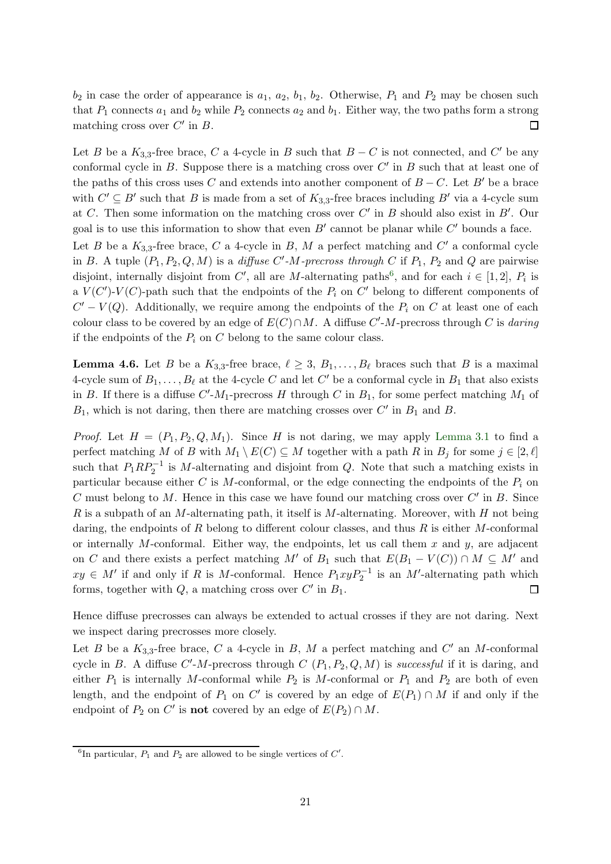$b_2$  in case the order of appearance is  $a_1, a_2, b_1, b_2$ . Otherwise,  $P_1$  and  $P_2$  may be chosen such that  $P_1$  connects  $a_1$  and  $b_2$  while  $P_2$  connects  $a_2$  and  $b_1$ . Either way, the two paths form a strong matching cross over  $C'$  in  $B$ . □

Let B be a  $K_{3,3}$ -free brace, C a 4-cycle in B such that  $B - C$  is not connected, and C' be any conformal cycle in  $B$ . Suppose there is a matching cross over  $C'$  in  $B$  such that at least one of the paths of this cross uses C and extends into another component of  $B - C$ . Let B' be a brace with  $C' \subseteq B'$  such that B is made from a set of  $K_{3,3}$ -free braces including B' via a 4-cycle sum at C. Then some information on the matching cross over  $C'$  in B should also exist in  $B'$ . Our goal is to use this information to show that even  $B'$  cannot be planar while  $C'$  bounds a face. Let B be a  $K_{3,3}$ -free brace, C a 4-cycle in B, M a perfect matching and C' a conformal cycle in B. A tuple  $(P_1, P_2, Q, M)$  is a *diffuse C'-M-precross through C* if  $P_1$ ,  $P_2$  and Q are pairwise disjoint, internally disjoint from C', all are M-alternating paths<sup>6</sup>, and for each  $i \in [1,2]$ ,  $P_i$  is a  $V(C')\text{-}V(C)$ -path such that the endpoints of the  $P_i$  on  $C'$  belong to different components of  $C' - V(Q)$ . Additionally, we require among the endpoints of the  $P_i$  on C at least one of each colour class to be covered by an edge of  $E(C) \cap M$ . A diffuse  $C'$ -M-precross through C is daring if the endpoints of the  $P_i$  on C belong to the same colour class.

<span id="page-20-0"></span>**Lemma 4.6.** Let B be a  $K_{3,3}$ -free brace,  $\ell \geq 3$ ,  $B_1, \ldots, B_\ell$  braces such that B is a maximal 4-cycle sum of  $B_1, \ldots, B_\ell$  at the 4-cycle C and let C' be a conformal cycle in  $B_1$  that also exists in B. If there is a diffuse  $C'$ - $M_1$ -precross H through C in  $B_1$ , for some perfect matching  $M_1$  of  $B_1$ , which is not daring, then there are matching crosses over  $C'$  in  $B_1$  and  $B$ .

*Proof.* Let  $H = (P_1, P_2, Q, M_1)$ . Since H is not daring, we may apply [Lemma 3.1](#page-13-1) to find a perfect matching M of B with  $M_1 \setminus E(C) \subseteq M$  together with a path R in  $B_j$  for some  $j \in [2, \ell]$ such that  $P_1RP_2^{-1}$  is M-alternating and disjoint from Q. Note that such a matching exists in particular because either C is M-conformal, or the edge connecting the endpoints of the  $P_i$  on C must belong to  $M$ . Hence in this case we have found our matching cross over  $C'$  in  $B$ . Since  $R$  is a subpath of an M-alternating path, it itself is M-alternating. Moreover, with  $H$  not being daring, the endpoints of  $R$  belong to different colour classes, and thus  $R$  is either  $M$ -conformal or internally M-conformal. Either way, the endpoints, let us call them  $x$  and  $y$ , are adjacent on C and there exists a perfect matching M' of B<sub>1</sub> such that  $E(B_1 - V(C)) \cap M \subseteq M'$  and  $xy \in M'$  if and only if R is M-conformal. Hence  $P_1xyP_2^{-1}$  is an M'-alternating path which forms, together with  $Q$ , a matching cross over  $C'$  in  $B_1$ .  $\Box$ 

Hence diffuse precrosses can always be extended to actual crosses if they are not daring. Next we inspect daring precrosses more closely.

Let B be a  $K_{3,3}$ -free brace, C a 4-cycle in B, M a perfect matching and C' an M-conformal cycle in B. A diffuse  $C'$ -M-precross through  $C(P_1, P_2, Q, M)$  is successful if it is daring, and either  $P_1$  is internally M-conformal while  $P_2$  is M-conformal or  $P_1$  and  $P_2$  are both of even length, and the endpoint of  $P_1$  on C' is covered by an edge of  $E(P_1) \cap M$  if and only if the endpoint of  $P_2$  on  $C'$  is **not** covered by an edge of  $E(P_2) \cap M$ .

<span id="page-20-1"></span><sup>&</sup>lt;sup>6</sup>In particular,  $P_1$  and  $P_2$  are allowed to be single vertices of  $C'$ .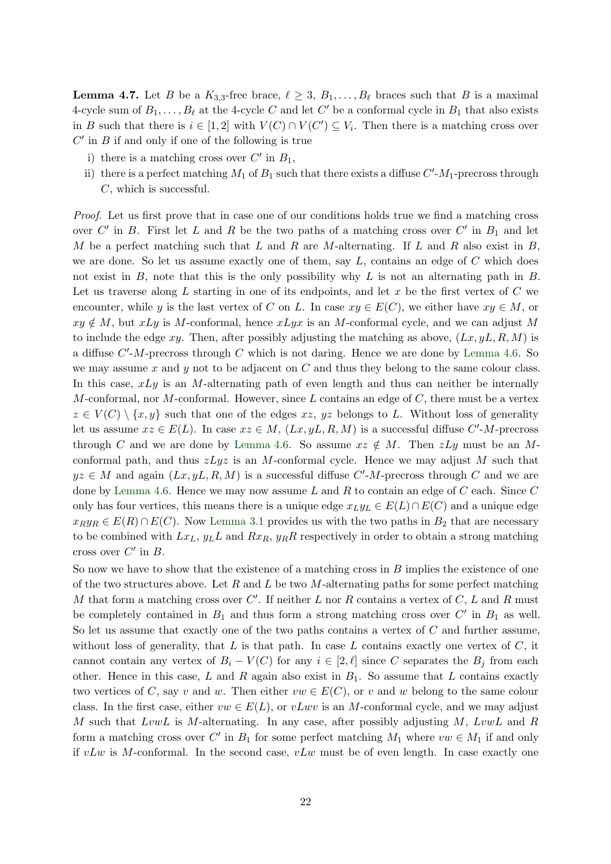**Lemma 4.7.** Let B be a  $K_{3,3}$ -free brace,  $\ell \geq 3$ ,  $B_1, \ldots, B_\ell$  braces such that B is a maximal 4-cycle sum of  $B_1, \ldots, B_\ell$  at the 4-cycle C and let C' be a conformal cycle in  $B_1$  that also exists in B such that there is  $i \in [1,2]$  with  $V(C) \cap V(C') \subseteq V_i$ . Then there is a matching cross over  $C'$  in  $B$  if and only if one of the following is true

- i) there is a matching cross over  $C'$  in  $B_1$ ,
- ii) there is a perfect matching  $M_1$  of  $B_1$  such that there exists a diffuse  $C'$ - $M_1$ -precross through C, which is successful.

Proof. Let us first prove that in case one of our conditions holds true we find a matching cross over  $C'$  in  $B$ . First let  $L$  and  $R$  be the two paths of a matching cross over  $C'$  in  $B_1$  and let M be a perfect matching such that  $L$  and  $R$  are M-alternating. If  $L$  and  $R$  also exist in  $B$ , we are done. So let us assume exactly one of them, say  $L$ , contains an edge of  $C$  which does not exist in B, note that this is the only possibility why L is not an alternating path in B. Let us traverse along  $L$  starting in one of its endpoints, and let  $x$  be the first vertex of  $C$  we encounter, while y is the last vertex of C on L. In case  $xy \in E(C)$ , we either have  $xy \in M$ , or  $xy \notin M$ , but xLy is M-conformal, hence xLyx is an M-conformal cycle, and we can adjust M to include the edge xy. Then, after possibly adjusting the matching as above,  $(Lx, yL, R, M)$  is a diffuse  $C'$ -*M*-precross through  $C$  which is not daring. Hence we are done by [Lemma 4.6.](#page-20-0) So we may assume x and y not to be adjacent on  $C$  and thus they belong to the same colour class. In this case,  $xLy$  is an M-alternating path of even length and thus can neither be internally M-conformal, nor M-conformal. However, since L contains an edge of C, there must be a vertex  $z \in V(C) \setminus \{x, y\}$  such that one of the edges  $xz, yz$  belongs to L. Without loss of generality let us assume  $xz \in E(L)$ . In case  $xz \in M$ ,  $(Lx, yL, R, M)$  is a successful diffuse C'-M-precross through C and we are done by [Lemma 4.6.](#page-20-0) So assume  $xz \notin M$ . Then  $zLy$  must be an Mconformal path, and thus  $zLyz$  is an M-conformal cycle. Hence we may adjust M such that  $yz \in M$  and again  $(Lx, yL, R, M)$  is a successful diffuse C'-M-precross through C and we are done by [Lemma 4.6.](#page-20-0) Hence we may now assume  $L$  and  $R$  to contain an edge of  $C$  each. Since  $C$ only has four vertices, this means there is a unique edge  $x_L y_L \in E(L) \cap E(C)$  and a unique edge  $x_R y_R \in E(R) \cap E(C)$ . Now [Lemma 3.1](#page-13-1) provides us with the two paths in  $B_2$  that are necessary to be combined with  $Lx_L$ ,  $y_L$  and  $Rx_R$ ,  $y_R$ R respectively in order to obtain a strong matching cross over  $C'$  in  $B$ .

So now we have to show that the existence of a matching cross in  $B$  implies the existence of one of the two structures above. Let  $R$  and  $L$  be two  $M$ -alternating paths for some perfect matching M that form a matching cross over  $C'$ . If neither L nor R contains a vertex of  $C, L$  and R must be completely contained in  $B_1$  and thus form a strong matching cross over  $C'$  in  $B_1$  as well. So let us assume that exactly one of the two paths contains a vertex of  $C$  and further assume, without loss of generality, that  $L$  is that path. In case  $L$  contains exactly one vertex of  $C$ , it cannot contain any vertex of  $B_i - V(C)$  for any  $i \in [2, \ell]$  since C separates the  $B_j$  from each other. Hence in this case, L and R again also exist in  $B_1$ . So assume that L contains exactly two vertices of C, say v and w. Then either  $vw \in E(C)$ , or v and w belong to the same colour class. In the first case, either  $vw \in E(L)$ , or  $vLwv$  is an M-conformal cycle, and we may adjust M such that  $LvwL$  is M-alternating. In any case, after possibly adjusting M,  $LvwL$  and R form a matching cross over C' in  $B_1$  for some perfect matching  $M_1$  where  $vw \in M_1$  if and only if  $vLw$  is M-conformal. In the second case,  $vLw$  must be of even length. In case exactly one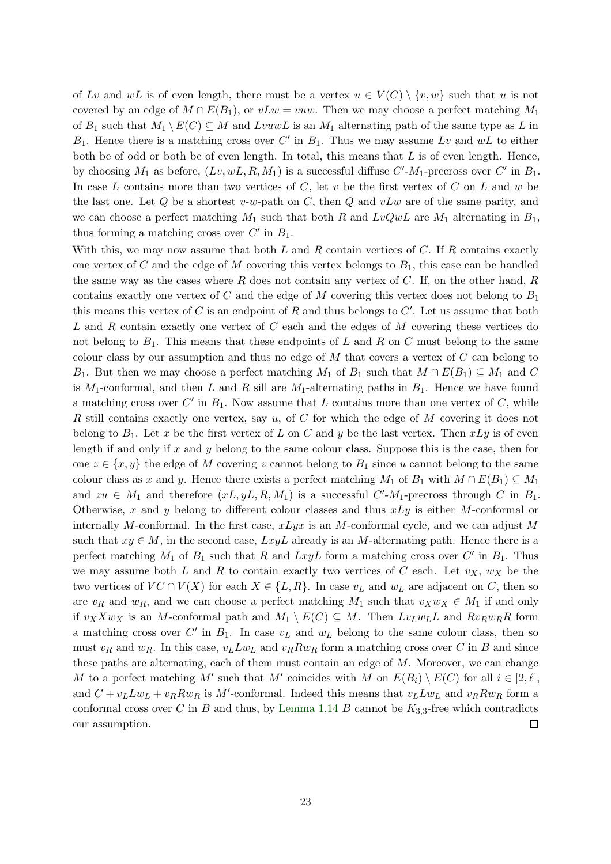of Lv and wL is of even length, there must be a vertex  $u \in V(C) \setminus \{v, w\}$  such that u is not covered by an edge of  $M \cap E(B_1)$ , or  $vLw = vuw$ . Then we may choose a perfect matching  $M_1$ of  $B_1$  such that  $M_1 \backslash E(C) \subseteq M$  and LvuwL is an  $M_1$  alternating path of the same type as L in  $B_1$ . Hence there is a matching cross over C' in  $B_1$ . Thus we may assume Lv and wL to either both be of odd or both be of even length. In total, this means that  $L$  is of even length. Hence, by choosing  $M_1$  as before,  $(Lv, wL, R, M_1)$  is a successful diffuse  $C'M_1$ -precross over  $C'$  in  $B_1$ . In case L contains more than two vertices of  $C$ , let  $v$  be the first vertex of  $C$  on  $L$  and  $w$  be the last one. Let Q be a shortest v-w-path on C, then Q and  $vLw$  are of the same parity, and we can choose a perfect matching  $M_1$  such that both R and  $LvQwL$  are  $M_1$  alternating in  $B_1$ , thus forming a matching cross over  $C'$  in  $B_1$ .

With this, we may now assume that both  $L$  and  $R$  contain vertices of  $C$ . If  $R$  contains exactly one vertex of C and the edge of M covering this vertex belongs to  $B_1$ , this case can be handled the same way as the cases where  $R$  does not contain any vertex of  $C$ . If, on the other hand,  $R$ contains exactly one vertex of C and the edge of M covering this vertex does not belong to  $B_1$ this means this vertex of C is an endpoint of R and thus belongs to  $C'$ . Let us assume that both L and R contain exactly one vertex of C each and the edges of M covering these vertices do not belong to  $B_1$ . This means that these endpoints of L and R on C must belong to the same colour class by our assumption and thus no edge of  $M$  that covers a vertex of  $C$  can belong to B<sub>1</sub>. But then we may choose a perfect matching  $M_1$  of  $B_1$  such that  $M \cap E(B_1) \subseteq M_1$  and C is  $M_1$ -conformal, and then L and R sill are  $M_1$ -alternating paths in  $B_1$ . Hence we have found a matching cross over  $C'$  in  $B_1$ . Now assume that L contains more than one vertex of C, while R still contains exactly one vertex, say  $u$ , of C for which the edge of M covering it does not belong to  $B_1$ . Let x be the first vertex of L on C and y be the last vertex. Then  $xLy$  is of even length if and only if  $x$  and  $y$  belong to the same colour class. Suppose this is the case, then for one  $z \in \{x, y\}$  the edge of M covering z cannot belong to  $B_1$  since u cannot belong to the same colour class as x and y. Hence there exists a perfect matching  $M_1$  of  $B_1$  with  $M \cap E(B_1) \subseteq M_1$ and  $zu \in M_1$  and therefore  $(xL, yL, R, M_1)$  is a successful C'-M<sub>1</sub>-precross through C in B<sub>1</sub>. Otherwise, x and y belong to different colour classes and thus  $xLy$  is either M-conformal or internally M-conformal. In the first case,  $xLyx$  is an M-conformal cycle, and we can adjust M such that  $xy \in M$ , in the second case,  $LxyL$  already is an M-alternating path. Hence there is a perfect matching  $M_1$  of  $B_1$  such that R and  $LxyL$  form a matching cross over C' in  $B_1$ . Thus we may assume both L and R to contain exactly two vertices of C each. Let  $v_X$ ,  $w_X$  be the two vertices of  $VC \cap V(X)$  for each  $X \in \{L, R\}$ . In case  $v<sub>L</sub>$  and  $w<sub>L</sub>$  are adjacent on C, then so are  $v_R$  and  $w_R$ , and we can choose a perfect matching  $M_1$  such that  $v_X w_X \in M_1$  if and only if  $v_XXw_X$  is an M-conformal path and  $M_1 \setminus E(C) \subseteq M$ . Then  $Lv_Lw_LL$  and  $Rv_Rw_RR$  form a matching cross over  $C'$  in  $B_1$ . In case  $v<sub>L</sub>$  and  $w<sub>L</sub>$  belong to the same colour class, then so must  $v_R$  and  $w_R$ . In this case,  $v_L L w_L$  and  $v_R R w_R$  form a matching cross over C in B and since these paths are alternating, each of them must contain an edge of  $M$ . Moreover, we can change M to a perfect matching M' such that M' coincides with M on  $E(B_i) \setminus E(C)$  for all  $i \in [2, \ell],$ and  $C + v_L L w_L + v_R R w_R$  is M'-conformal. Indeed this means that  $v_L L w_L$  and  $v_R R w_R$  form a conformal cross over C in B and thus, by [Lemma 1.14](#page-5-2) B cannot be  $K_{3,3}$ -free which contradicts our assumption.  $\Box$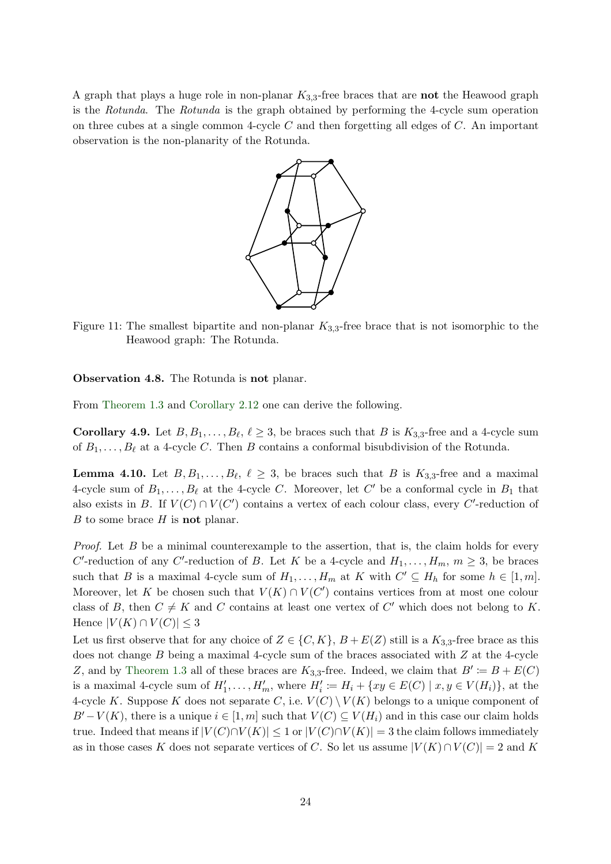A graph that plays a huge role in non-planar  $K_{3,3}$ -free braces that are not the Heawood graph is the Rotunda. The Rotunda is the graph obtained by performing the 4-cycle sum operation on three cubes at a single common 4-cycle  $C$  and then forgetting all edges of  $C$ . An important observation is the non-planarity of the Rotunda.



Figure 11: The smallest bipartite and non-planar  $K_{3,3}$ -free brace that is not isomorphic to the Heawood graph: The Rotunda.

Observation 4.8. The Rotunda is not planar.

<span id="page-23-1"></span>From [Theorem 1.3](#page-2-1) and [Corollary 2.12](#page-9-0) one can derive the following.

**Corollary 4.9.** Let  $B, B_1, \ldots, B_\ell, \ell \geq 3$ , be braces such that B is  $K_{3,3}$ -free and a 4-cycle sum of  $B_1, \ldots, B_\ell$  at a 4-cycle C. Then B contains a conformal bisubdivision of the Rotunda.

<span id="page-23-0"></span>**Lemma 4.10.** Let  $B, B_1, \ldots, B_{\ell}, \ell \geq 3$ , be braces such that B is  $K_{3,3}$ -free and a maximal 4-cycle sum of  $B_1, \ldots, B_\ell$  at the 4-cycle C. Moreover, let C' be a conformal cycle in  $B_1$  that also exists in B. If  $V(C) \cap V(C')$  contains a vertex of each colour class, every C'-reduction of  $B$  to some brace  $H$  is **not** planar.

*Proof.* Let  $B$  be a minimal counterexample to the assertion, that is, the claim holds for every C'-reduction of any C'-reduction of B. Let K be a 4-cycle and  $H_1, \ldots, H_m, m \geq 3$ , be braces such that B is a maximal 4-cycle sum of  $H_1, \ldots, H_m$  at K with  $C' \subseteq H_h$  for some  $h \in [1, m]$ . Moreover, let K be chosen such that  $V(K) \cap V(C')$  contains vertices from at most one colour class of B, then  $C \neq K$  and C contains at least one vertex of C' which does not belong to K. Hence  $|V(K) \cap V(C)| \leq 3$ 

Let us first observe that for any choice of  $Z \in \{C, K\}$ ,  $B + E(Z)$  still is a  $K_{3,3}$ -free brace as this does not change  $B$  being a maximal 4-cycle sum of the braces associated with  $Z$  at the 4-cycle Z, and by [Theorem 1.3](#page-2-1) all of these braces are  $K_{3,3}$ -free. Indeed, we claim that  $B' := B + E(C)$ is a maximal 4-cycle sum of  $H'_1, \ldots, H'_m$ , where  $H'_i := H_i + \{xy \in E(C) \mid x, y \in V(H_i)\}\)$ , at the 4-cycle K. Suppose K does not separate C, i.e.  $V(C) \setminus V(K)$  belongs to a unique component of  $B'-V(K)$ , there is a unique  $i \in [1, m]$  such that  $V(C) \subseteq V(H_i)$  and in this case our claim holds true. Indeed that means if  $|V(C) \cap V(K)| \leq 1$  or  $|V(C) \cap V(K)| = 3$  the claim follows immediately as in those cases K does not separate vertices of C. So let us assume  $|V(K) \cap V(C)| = 2$  and K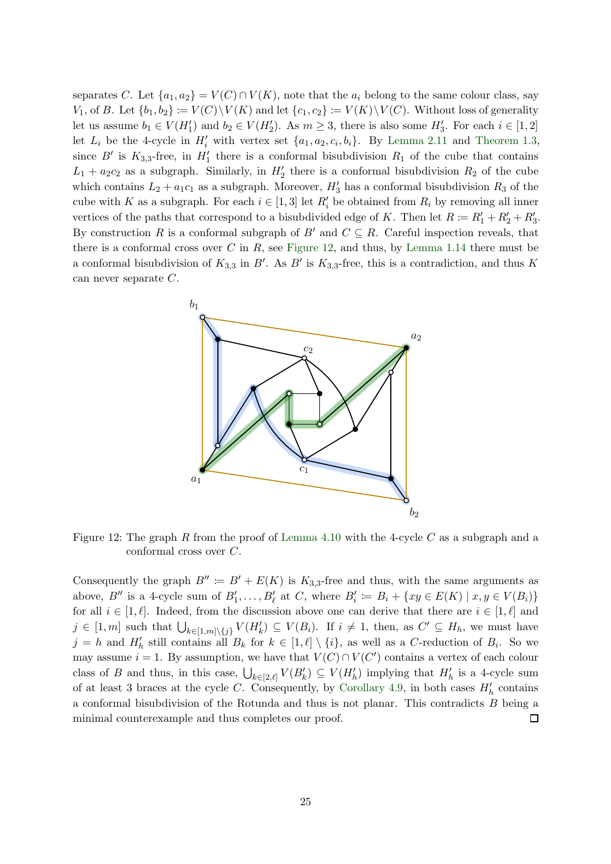separates C. Let  $\{a_1, a_2\} = V(C) \cap V(K)$ , note that the  $a_i$  belong to the same colour class, say  $V_1$ , of B. Let  $\{b_1, b_2\} := V(C) \backslash V(K)$  and let  $\{c_1, c_2\} := V(K) \backslash V(C)$ . Without loss of generality let us assume  $b_1 \in V(H'_1)$  and  $b_2 \in V(H'_2)$ . As  $m \geq 3$ , there is also some  $H'_3$ . For each  $i \in [1,2]$ let  $L_i$  be the 4-cycle in  $H'_i$  with vertex set  $\{a_1, a_2, c_i, b_i\}$ . By [Lemma 2.11](#page-9-3) and [Theorem 1.3,](#page-2-1) since B' is  $K_{3,3}$ -free, in  $H'_1$  there is a conformal bisubdivision  $R_1$  of the cube that contains  $L_1 + a_2c_2$  as a subgraph. Similarly, in  $H'_2$  there is a conformal bisubdivision  $R_2$  of the cube which contains  $L_2 + a_1c_1$  as a subgraph. Moreover,  $H'_3$  has a conformal bisubdivision  $R_3$  of the cube with K as a subgraph. For each  $i \in [1,3]$  let  $R'_i$  be obtained from  $R_i$  by removing all inner vertices of the paths that correspond to a bisubdivided edge of K. Then let  $R := R'_1 + R'_2 + R'_3$ . By construction R is a conformal subgraph of B' and  $C \subseteq R$ . Careful inspection reveals, that there is a conformal cross over  $C$  in  $R$ , see [Figure 12,](#page-24-0) and thus, by [Lemma 1.14](#page-5-2) there must be a conformal bisubdivision of  $K_{3,3}$  in B'. As B' is  $K_{3,3}$ -free, this is a contradiction, and thus K can never separate C.

<span id="page-24-0"></span>

Figure 12: The graph R from the proof of [Lemma 4.10](#page-23-0) with the 4-cycle  $C$  as a subgraph and a conformal cross over C.

Consequently the graph  $B'' := B' + E(K)$  is  $K_{3,3}$ -free and thus, with the same arguments as above, B'' is a 4-cycle sum of  $B'_1, \ldots, B'_\ell$  at C, where  $B'_i := B_i + \{xy \in E(K) \mid x, y \in V(B_i)\}\$ for all  $i \in [1, \ell]$ . Indeed, from the discussion above one can derive that there are  $i \in [1, \ell]$  and  $j \in [1,m]$  such that  $\bigcup_{k \in [1,m] \setminus \{j\}} V(H'_{k}) \subseteq V(B_i)$ . If  $i \neq 1$ , then, as  $C' \subseteq H_h$ , we must have  $j = h$  and  $H'_{h}$  still contains all  $B_{k}$  for  $k \in [1, \ell] \setminus \{i\}$ , as well as a C-reduction of  $B_{i}$ . So we may assume  $i = 1$ . By assumption, we have that  $V(C) \cap V(C')$  contains a vertex of each colour class of B and thus, in this case,  $\bigcup_{k\in[2,\ell]}V(B'_k)\subseteq V(H'_h)$  implying that  $H'_h$  is a 4-cycle sum of at least 3 braces at the cycle C. Consequently, by [Corollary 4.9,](#page-23-1) in both cases  $H'_{h}$  contains a conformal bisubdivision of the Rotunda and thus is not planar. This contradicts B being a minimal counterexample and thus completes our proof.  $\Box$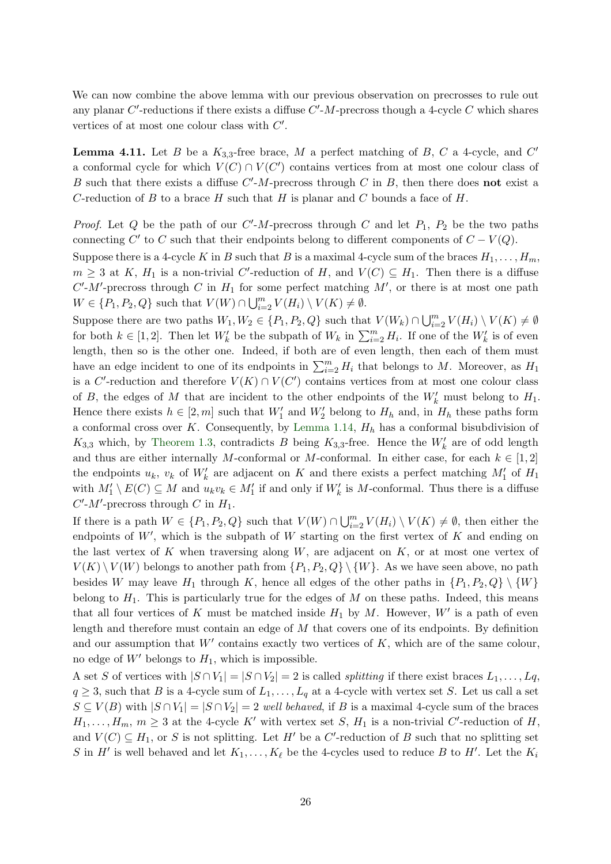<span id="page-25-0"></span>We can now combine the above lemma with our previous observation on precrosses to rule out any planar  $C'$ -reductions if there exists a diffuse  $C'$ - $M$ -precross though a 4-cycle  $C$  which shares vertices of at most one colour class with  $C'$ .

**Lemma 4.11.** Let B be a  $K_{3,3}$ -free brace, M a perfect matching of B, C a 4-cycle, and C' a conformal cycle for which  $V(C) \cap V(C')$  contains vertices from at most one colour class of B such that there exists a diffuse  $C'$ -M-precross through C in B, then there does **not** exist a C-reduction of B to a brace H such that H is planar and C bounds a face of H.

*Proof.* Let Q be the path of our  $C'M$ -precross through C and let  $P_1$ ,  $P_2$  be the two paths connecting  $C'$  to C such that their endpoints belong to different components of  $C - V(Q)$ .

Suppose there is a 4-cycle K in B such that B is a maximal 4-cycle sum of the braces  $H_1, \ldots, H_m$ ,  $m \geq 3$  at K,  $H_1$  is a non-trivial C'-reduction of H, and  $V(C) \subseteq H_1$ . Then there is a diffuse  $C'M'$ -precross through C in  $H_1$  for some perfect matching  $M'$ , or there is at most one path  $W \in \{P_1, P_2, Q\}$  such that  $V(W) \cap \bigcup_{i=2}^{m} V(H_i) \setminus V(K) \neq \emptyset$ .

Suppose there are two paths  $W_1, W_2 \in \{P_1, P_2, Q\}$  such that  $V(W_k) \cap \bigcup_{i=2}^m V(H_i) \setminus V(K) \neq \emptyset$ for both  $k \in [1,2]$ . Then let  $W'_k$  be the subpath of  $W_k$  in  $\sum_{i=2}^m H_i$ . If one of the  $W'_k$  is of even length, then so is the other one. Indeed, if both are of even length, then each of them must have an edge incident to one of its endpoints in  $\sum_{i=2}^{m} H_i$  that belongs to M. Moreover, as  $H_1$ is a C'-reduction and therefore  $V(K) \cap V(C')$  contains vertices from at most one colour class of B, the edges of M that are incident to the other endpoints of the  $W'_{k}$  must belong to  $H_1$ . Hence there exists  $h \in [2, m]$  such that  $W'_1$  and  $W'_2$  belong to  $H_h$  and, in  $H_h$  these paths form a conformal cross over K. Consequently, by [Lemma 1.14,](#page-5-2)  $H<sub>h</sub>$  has a conformal bisubdivision of  $K_{3,3}$  which, by [Theorem 1.3,](#page-2-1) contradicts B being  $K_{3,3}$ -free. Hence the  $W'_{k}$  are of odd length and thus are either internally M-conformal or M-conformal. In either case, for each  $k \in [1,2]$ the endpoints  $u_k$ ,  $v_k$  of  $W'_k$  are adjacent on K and there exists a perfect matching  $M'_1$  of  $H_1$ with  $M'_1 \setminus E(C) \subseteq M$  and  $u_k v_k \in M'_1$  if and only if  $W'_k$  is M-conformal. Thus there is a diffuse  $C'$ - $M'$ -precross through C in  $H_1$ .

If there is a path  $W \in \{P_1, P_2, Q\}$  such that  $V(W) \cap \bigcup_{i=2}^m V(H_i) \setminus V(K) \neq \emptyset$ , then either the endpoints of  $W'$ , which is the subpath of  $W$  starting on the first vertex of  $K$  and ending on the last vertex of K when traversing along  $W$ , are adjacent on  $K$ , or at most one vertex of  $V(K) \setminus V(W)$  belongs to another path from  $\{P_1, P_2, Q\} \setminus \{W\}$ . As we have seen above, no path besides W may leave  $H_1$  through K, hence all edges of the other paths in  $\{P_1, P_2, Q\} \setminus \{W\}$ belong to  $H_1$ . This is particularly true for the edges of  $M$  on these paths. Indeed, this means that all four vertices of K must be matched inside  $H_1$  by M. However,  $W'$  is a path of even length and therefore must contain an edge of M that covers one of its endpoints. By definition and our assumption that  $W'$  contains exactly two vertices of  $K$ , which are of the same colour, no edge of  $W'$  belongs to  $H_1$ , which is impossible.

A set S of vertices with  $|S \cap V_1| = |S \cap V_2| = 2$  is called *splitting* if there exist braces  $L_1, \ldots, L_q$ ,  $q \geq 3$ , such that B is a 4-cycle sum of  $L_1, \ldots, L_q$  at a 4-cycle with vertex set S. Let us call a set  $S \subseteq V(B)$  with  $|S \cap V_1| = |S \cap V_2| = 2$  well behaved, if B is a maximal 4-cycle sum of the braces  $H_1, \ldots, H_m, m \geq 3$  at the 4-cycle K' with vertex set S,  $H_1$  is a non-trivial C'-reduction of H, and  $V(C) \subseteq H_1$ , or S is not splitting. Let H' be a C'-reduction of B such that no splitting set S in H' is well behaved and let  $K_1, \ldots, K_\ell$  be the 4-cycles used to reduce B to H'. Let the  $K_i$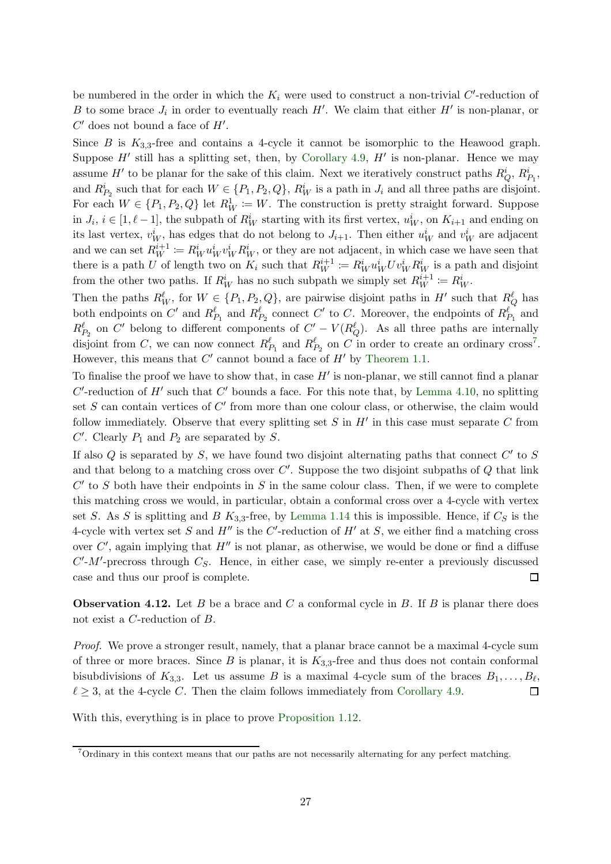be numbered in the order in which the  $K_i$  were used to construct a non-trivial C'-reduction of B to some brace  $J_i$  in order to eventually reach H'. We claim that either H' is non-planar, or  $C'$  does not bound a face of  $H'$ .

Since B is  $K_{3,3}$ -free and contains a 4-cycle it cannot be isomorphic to the Heawood graph. Suppose  $H'$  still has a splitting set, then, by [Corollary 4.9,](#page-23-1)  $H'$  is non-planar. Hence we may assume  $H'$  to be planar for the sake of this claim. Next we iteratively construct paths  $R_Q^i$ ,  $R_{P_1}^i$ , and  $R_{P_2}^i$  such that for each  $W \in \{P_1, P_2, Q\}$ ,  $R_W^i$  is a path in  $J_i$  and all three paths are disjoint. For each  $W \in \{P_1, P_2, Q\}$  let  $R_W^1 := W$ . The construction is pretty straight forward. Suppose in  $J_i$ ,  $i \in [1, \ell - 1]$ , the subpath of  $R_W^i$  starting with its first vertex,  $u_W^i$ , on  $K_{i+1}$  and ending on its last vertex,  $v_W^i$ , has edges that do not belong to  $J_{i+1}$ . Then either  $u_W^i$  and  $v_W^i$  are adjacent and we can set  $R_W^{i+1} := R_W^i u_W^i v_W^i R_W^i$ , or they are not adjacent, in which case we have seen that there is a path U of length two on  $K_i$  such that  $R_W^{i+1} := R_W^i u_W^i U v_W^i R_W^i$  is a path and disjoint from the other two paths. If  $R_W^i$  has no such subpath we simply set  $R_W^{i+1} := R_W^i$ .

Then the paths  $R_W^{\ell}$ , for  $W \in \{P_1, P_2, Q\}$ , are pairwise disjoint paths in  $H'$  such that  $R_Q^{\ell}$  has both endpoints on  $C'$  and  $R_{P_1}^{\ell}$  and  $R_{P_2}^{\ell}$  connect  $C'$  to C. Moreover, the endpoints of  $R_{P_1}^{\ell}$  and  $R_{P_2}^{\ell}$  on C' belong to different components of  $C' - V(R_Q^{\ell})$ . As all three paths are internally disjoint from C, we can now connect  $R_{P_1}^{\ell}$  and  $R_{P_2}^{\ell}$  on C in order to create an ordinary cross<sup>7</sup>. However, this means that  $C'$  cannot bound a face of  $H'$  by [Theorem 1.1.](#page-1-0)

To finalise the proof we have to show that, in case  $H'$  is non-planar, we still cannot find a planar  $C'$ -reduction of  $H'$  such that  $C'$  bounds a face. For this note that, by [Lemma 4.10,](#page-23-0) no splitting set S can contain vertices of C' from more than one colour class, or otherwise, the claim would follow immediately. Observe that every splitting set  $S$  in  $H'$  in this case must separate  $C$  from  $C'$ . Clearly  $P_1$  and  $P_2$  are separated by S.

If also  $Q$  is separated by  $S$ , we have found two disjoint alternating paths that connect  $C'$  to  $S$ and that belong to a matching cross over  $C'$ . Suppose the two disjoint subpaths of  $Q$  that link  $C'$  to S both have their endpoints in S in the same colour class. Then, if we were to complete this matching cross we would, in particular, obtain a conformal cross over a 4-cycle with vertex set S. As S is splitting and B  $K_{3,3}$ -free, by [Lemma 1.14](#page-5-2) this is impossible. Hence, if  $C_S$  is the 4-cycle with vertex set S and  $H''$  is the C'-reduction of  $H'$  at S, we either find a matching cross over  $C'$ , again implying that  $H''$  is not planar, as otherwise, we would be done or find a diffuse  $C'M'$ -precross through  $C_S$ . Hence, in either case, we simply re-enter a previously discussed case and thus our proof is complete.  $\Box$ 

**Observation 4.12.** Let B be a brace and C a conformal cycle in B. If B is planar there does not exist a C-reduction of B.

Proof. We prove a stronger result, namely, that a planar brace cannot be a maximal 4-cycle sum of three or more braces. Since  $B$  is planar, it is  $K_{3,3}$ -free and thus does not contain conformal bisubdivisions of  $K_{3,3}$ . Let us assume B is a maximal 4-cycle sum of the braces  $B_1, \ldots, B_\ell$ ,  $\ell \geq 3$ , at the 4-cycle C. Then the claim follows immediately from [Corollary 4.9.](#page-23-1)  $\Box$ 

With this, everything is in place to prove [Proposition 1.12.](#page-5-0)

<sup>7</sup>Ordinary in this context means that our paths are not necessarily alternating for any perfect matching.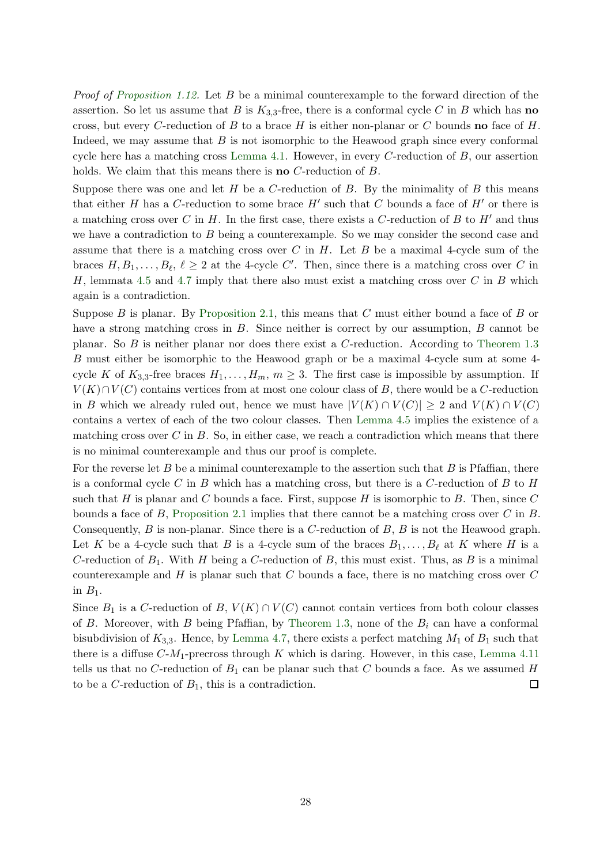Proof of [Proposition 1.12.](#page-5-0) Let B be a minimal counterexample to the forward direction of the assertion. So let us assume that B is  $K_{3,3}$ -free, there is a conformal cycle C in B which has no cross, but every C-reduction of B to a brace H is either non-planar or C bounds **no** face of H. Indeed, we may assume that  $B$  is not isomorphic to the Heawood graph since every conformal cycle here has a matching cross [Lemma 4.1.](#page-15-2) However, in every C-reduction of  $B$ , our assertion holds. We claim that this means there is **no** C-reduction of B.

Suppose there was one and let  $H$  be a  $C$ -reduction of  $B$ . By the minimality of  $B$  this means that either H has a C-reduction to some brace  $H'$  such that C bounds a face of  $H'$  or there is a matching cross over C in H. In the first case, there exists a C-reduction of B to H' and thus we have a contradiction to B being a counterexample. So we may consider the second case and assume that there is a matching cross over  $C$  in  $H$ . Let  $B$  be a maximal 4-cycle sum of the braces  $H, B_1, \ldots, B_\ell, \ell \geq 2$  at the 4-cycle C'. Then, since there is a matching cross over C in H, lemmata [4.5](#page-19-0) and [4.7](#page-20-1) imply that there also must exist a matching cross over C in B which again is a contradiction.

Suppose B is planar. By [Proposition 2.1,](#page-7-4) this means that  $C$  must either bound a face of  $B$  or have a strong matching cross in B. Since neither is correct by our assumption, B cannot be planar. So B is neither planar nor does there exist a C-reduction. According to [Theorem 1.3](#page-2-1) B must either be isomorphic to the Heawood graph or be a maximal 4-cycle sum at some 4 cycle K of  $K_{3,3}$ -free braces  $H_1, \ldots, H_m, m \geq 3$ . The first case is impossible by assumption. If  $V(K) \cap V(C)$  contains vertices from at most one colour class of B, there would be a C-reduction in B which we already ruled out, hence we must have  $|V(K) \cap V(C)| \geq 2$  and  $V(K) \cap V(C)$ contains a vertex of each of the two colour classes. Then [Lemma 4.5](#page-19-0) implies the existence of a matching cross over  $C$  in  $B$ . So, in either case, we reach a contradiction which means that there is no minimal counterexample and thus our proof is complete.

For the reverse let B be a minimal counterexample to the assertion such that B is Pfaffian, there is a conformal cycle C in B which has a matching cross, but there is a C-reduction of B to H such that H is planar and C bounds a face. First, suppose H is isomorphic to B. Then, since  $C$ bounds a face of B, [Proposition 2.1](#page-7-4) implies that there cannot be a matching cross over C in B. Consequently, B is non-planar. Since there is a C-reduction of B, B is not the Heawood graph. Let K be a 4-cycle such that B is a 4-cycle sum of the braces  $B_1, \ldots, B_\ell$  at K where H is a C-reduction of  $B_1$ . With H being a C-reduction of B, this must exist. Thus, as B is a minimal counterexample and H is planar such that C bounds a face, there is no matching cross over  $C$ in  $B_1$ .

Since  $B_1$  is a C-reduction of  $B, V(K) \cap V(C)$  cannot contain vertices from both colour classes of B. Moreover, with B being Pfaffian, by [Theorem 1.3,](#page-2-1) none of the  $B_i$  can have a conformal bisubdivision of  $K_{3,3}$ . Hence, by [Lemma 4.7,](#page-20-1) there exists a perfect matching  $M_1$  of  $B_1$  such that there is a diffuse  $C-M_1$ -precross through K which is daring. However, in this case, [Lemma 4.11](#page-25-0) tells us that no C-reduction of  $B_1$  can be planar such that C bounds a face. As we assumed H to be a C-reduction of  $B_1$ , this is a contradiction.  $\Box$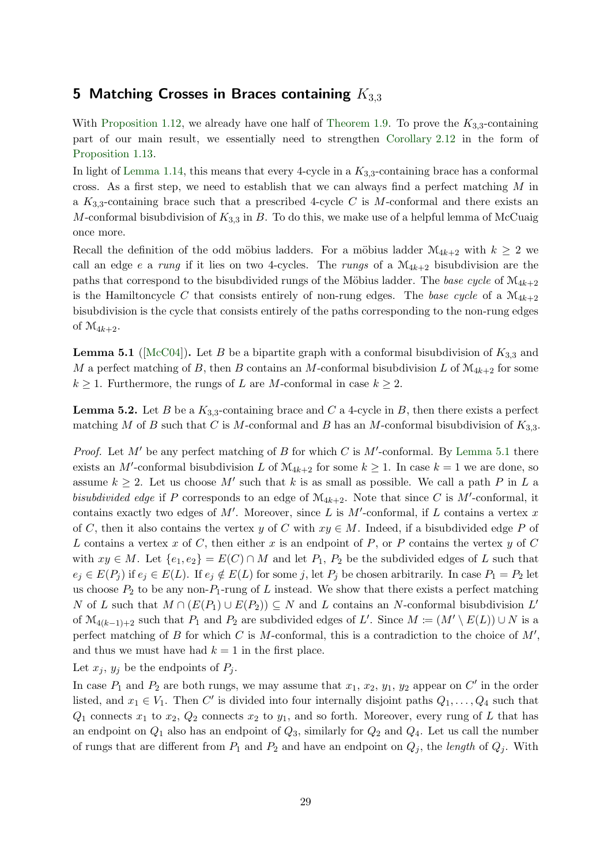# <span id="page-28-0"></span>5 Matching Crosses in Braces containing  $K_{3,3}$

With [Proposition 1.12,](#page-5-0) we already have one half of [Theorem 1.9.](#page-4-0) To prove the  $K_{3,3}$ -containing part of our main result, we essentially need to strengthen [Corollary 2.12](#page-9-0) in the form of [Proposition 1.13.](#page-5-1)

In light of [Lemma 1.14,](#page-5-2) this means that every 4-cycle in a  $K_{3,3}$ -containing brace has a conformal cross. As a first step, we need to establish that we can always find a perfect matching  $M$  in a  $K_{3,3}$ -containing brace such that a prescribed 4-cycle C is M-conformal and there exists an M-conformal bisubdivision of  $K_{3,3}$  in B. To do this, we make use of a helpful lemma of McCuaig once more.

Recall the definition of the odd möbius ladders. For a möbius ladder  $\mathcal{M}_{4k+2}$  with  $k \geq 2$  we call an edge e a rung if it lies on two 4-cycles. The rungs of a  $\mathcal{M}_{4k+2}$  bisubdivision are the paths that correspond to the bisubdivided rungs of the Möbius ladder. The base cycle of  $M_{4k+2}$ is the Hamiltoncycle C that consists entirely of non-rung edges. The base cycle of a  $\mathcal{M}_{4k+2}$ bisubdivision is the cycle that consists entirely of the paths corresponding to the non-rung edges of  $\mathcal{M}_{4k+2}$ .

<span id="page-28-1"></span>**Lemma 5.1** ( $[McC04]$ ). Let B be a bipartite graph with a conformal bisubdivision of  $K_{3,3}$  and M a perfect matching of B, then B contains an M-conformal bisubdivision L of  $\mathcal{M}_{4k+2}$  for some  $k \geq 1$ . Furthermore, the rungs of L are M-conformal in case  $k \geq 2$ .

<span id="page-28-2"></span>**Lemma 5.2.** Let B be a  $K_{3,3}$ -containing brace and C a 4-cycle in B, then there exists a perfect matching M of B such that C is M-conformal and B has an M-conformal bisubdivision of  $K_{3,3}$ .

*Proof.* Let  $M'$  be any perfect matching of B for which C is  $M'$ -conformal. By [Lemma 5.1](#page-28-1) there exists an M'-conformal bisubdivision L of  $\mathcal{M}_{4k+2}$  for some  $k \geq 1$ . In case  $k = 1$  we are done, so assume  $k \geq 2$ . Let us choose M' such that k is as small as possible. We call a path P in L a bisubdivided edge if P corresponds to an edge of  $\mathcal{M}_{4k+2}$ . Note that since C is M'-conformal, it contains exactly two edges of  $M'$ . Moreover, since L is  $M'$ -conformal, if L contains a vertex x of C, then it also contains the vertex y of C with  $xy \in M$ . Indeed, if a bisubdivided edge P of L contains a vertex x of C, then either x is an endpoint of P, or P contains the vertex y of C with  $xy \in M$ . Let  $\{e_1, e_2\} = E(C) \cap M$  and let  $P_1, P_2$  be the subdivided edges of L such that  $e_j \in E(P_j)$  if  $e_j \in E(L)$ . If  $e_j \notin E(L)$  for some j, let  $P_j$  be chosen arbitrarily. In case  $P_1 = P_2$  let us choose  $P_2$  to be any non- $P_1$ -rung of L instead. We show that there exists a perfect matching N of L such that  $M \cap (E(P_1) \cup E(P_2)) \subseteq N$  and L contains an N-conformal bisubdivision L' of  $\mathcal{M}_{4(k-1)+2}$  such that  $P_1$  and  $P_2$  are subdivided edges of L'. Since  $M := (M' \setminus E(L)) \cup N$  is a perfect matching of B for which C is M-conformal, this is a contradiction to the choice of  $M'$ , and thus we must have had  $k = 1$  in the first place.

Let  $x_j$ ,  $y_j$  be the endpoints of  $P_j$ .

In case  $P_1$  and  $P_2$  are both rungs, we may assume that  $x_1, x_2, y_1, y_2$  appear on  $C'$  in the order listed, and  $x_1 \in V_1$ . Then C' is divided into four internally disjoint paths  $Q_1, \ldots, Q_4$  such that  $Q_1$  connects  $x_1$  to  $x_2$ ,  $Q_2$  connects  $x_2$  to  $y_1$ , and so forth. Moreover, every rung of L that has an endpoint on  $Q_1$  also has an endpoint of  $Q_3$ , similarly for  $Q_2$  and  $Q_4$ . Let us call the number of rungs that are different from  $P_1$  and  $P_2$  and have an endpoint on  $Q_i$ , the length of  $Q_i$ . With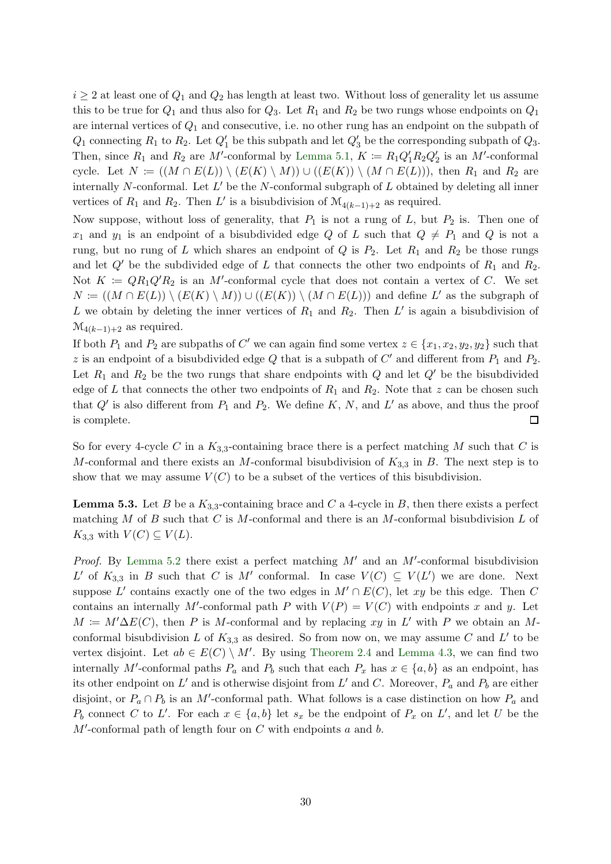$i \geq 2$  at least one of  $Q_1$  and  $Q_2$  has length at least two. Without loss of generality let us assume this to be true for  $Q_1$  and thus also for  $Q_3$ . Let  $R_1$  and  $R_2$  be two rungs whose endpoints on  $Q_1$ are internal vertices of  $Q_1$  and consecutive, i.e. no other rung has an endpoint on the subpath of  $Q_1$  connecting  $R_1$  to  $R_2$ . Let  $Q'_1$  be this subpath and let  $Q'_3$  be the corresponding subpath of  $Q_3$ . Then, since  $R_1$  and  $R_2$  are M'-conformal by [Lemma 5.1,](#page-28-1)  $K := R_1 Q_1 R_2 Q_2$  is an M'-conformal cycle. Let  $N := ((M \cap E(L)) \setminus (E(K) \setminus M)) \cup ((E(K)) \setminus (M \cap E(L)))$ , then  $R_1$  and  $R_2$  are internally N-conformal. Let  $L'$  be the N-conformal subgraph of  $L$  obtained by deleting all inner vertices of  $R_1$  and  $R_2$ . Then L' is a bisubdivision of  $\mathcal{M}_{4(k-1)+2}$  as required.

Now suppose, without loss of generality, that  $P_1$  is not a rung of  $L$ , but  $P_2$  is. Then one of  $x_1$  and  $y_1$  is an endpoint of a bisubdivided edge Q of L such that  $Q \neq P_1$  and Q is not a rung, but no rung of L which shares an endpoint of  $Q$  is  $P_2$ . Let  $R_1$  and  $R_2$  be those rungs and let  $Q'$  be the subdivided edge of L that connects the other two endpoints of  $R_1$  and  $R_2$ . Not  $K := QR_1Q'R_2$  is an M'-conformal cycle that does not contain a vertex of C. We set  $N := ((M \cap E(L)) \setminus (E(K) \setminus M)) \cup ((E(K)) \setminus (M \cap E(L)))$  and define L' as the subgraph of L we obtain by deleting the inner vertices of  $R_1$  and  $R_2$ . Then L' is again a bisubdivision of  $\mathcal{M}_{4(k-1)+2}$  as required.

If both  $P_1$  and  $P_2$  are subpaths of C' we can again find some vertex  $z \in \{x_1, x_2, y_2, y_2\}$  such that z is an endpoint of a bisubdivided edge  $Q$  that is a subpath of  $C'$  and different from  $P_1$  and  $P_2$ . Let  $R_1$  and  $R_2$  be the two rungs that share endpoints with Q and let  $Q'$  be the bisubdivided edge of L that connects the other two endpoints of  $R_1$  and  $R_2$ . Note that z can be chosen such that  $Q'$  is also different from  $P_1$  and  $P_2$ . We define K, N, and L' as above, and thus the proof is complete.  $\Box$ 

So for every 4-cycle C in a  $K_{3,3}$ -containing brace there is a perfect matching M such that C is M-conformal and there exists an M-conformal bisubdivision of  $K_{3,3}$  in B. The next step is to show that we may assume  $V(C)$  to be a subset of the vertices of this bisubdivision.

<span id="page-29-0"></span>**Lemma 5.3.** Let B be a  $K_{3,3}$ -containing brace and C a 4-cycle in B, then there exists a perfect matching M of B such that C is M-conformal and there is an M-conformal bisubdivision L of  $K_{3,3}$  with  $V(C) \subseteq V(L)$ .

*Proof.* By [Lemma 5.2](#page-28-2) there exist a perfect matching  $M'$  and an  $M'$ -conformal bisubdivision L' of  $K_{3,3}$  in B such that C is M' conformal. In case  $V(C) \subseteq V(L')$  we are done. Next suppose L' contains exactly one of the two edges in  $M' \cap E(C)$ , let xy be this edge. Then C contains an internally M'-conformal path P with  $V(P) = V(C)$  with endpoints x and y. Let  $M \coloneqq M' \Delta E(C)$ , then P is M-conformal and by replacing xy in L' with P we obtain an Mconformal bisubdivision L of  $K_{3,3}$  as desired. So from now on, we may assume C and L' to be vertex disjoint. Let  $ab \in E(C) \setminus M'$ . By using [Theorem 2.4](#page-7-3) and [Lemma 4.3,](#page-16-0) we can find two internally M'-conformal paths  $P_a$  and  $P_b$  such that each  $P_x$  has  $x \in \{a, b\}$  as an endpoint, has its other endpoint on  $L'$  and is otherwise disjoint from  $L'$  and  $C$ . Moreover,  $P_a$  and  $P_b$  are either disjoint, or  $P_a \cap P_b$  is an M'-conformal path. What follows is a case distinction on how  $P_a$  and  $P_b$  connect C to L'. For each  $x \in \{a, b\}$  let  $s_x$  be the endpoint of  $P_x$  on L', and let U be the  $M'$ -conformal path of length four on  $C$  with endpoints  $a$  and  $b$ .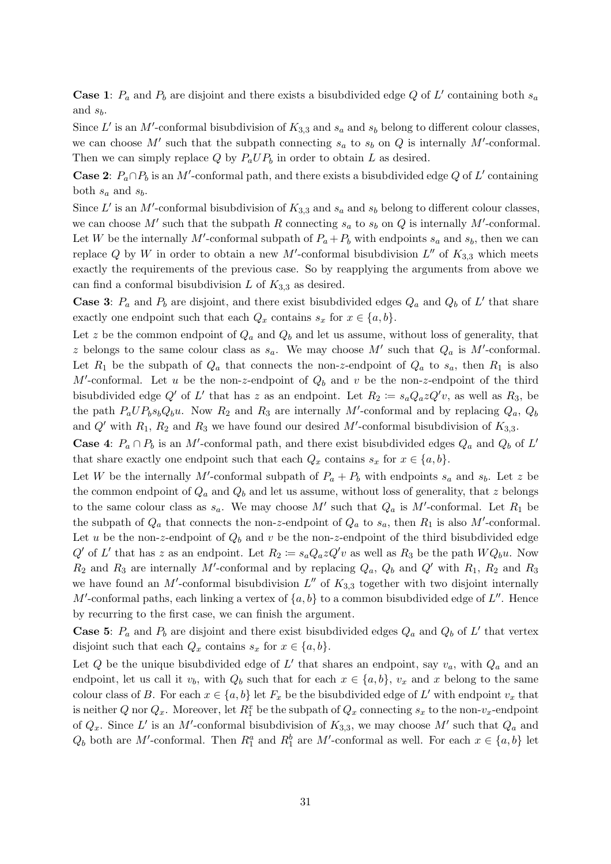**Case 1**:  $P_a$  and  $P_b$  are disjoint and there exists a bisubdivided edge Q of L' containing both  $s_a$ and  $s_b$ .

Since L' is an M'-conformal bisubdivision of  $K_{3,3}$  and  $s_a$  and  $s_b$  belong to different colour classes, we can choose M' such that the subpath connecting  $s_a$  to  $s_b$  on Q is internally M'-conformal. Then we can simply replace  $Q$  by  $P_aUP_b$  in order to obtain  $L$  as desired.

**Case 2**:  $P_a \cap P_b$  is an M'-conformal path, and there exists a bisubdivided edge Q of L' containing both  $s_a$  and  $s_b$ .

Since L' is an M'-conformal bisubdivision of  $K_{3,3}$  and  $s_a$  and  $s_b$  belong to different colour classes, we can choose M' such that the subpath R connecting  $s_a$  to  $s_b$  on Q is internally M'-conformal. Let W be the internally M'-conformal subpath of  $P_a + P_b$  with endpoints  $s_a$  and  $s_b$ , then we can replace Q by W in order to obtain a new M'-conformal bisubdivision  $L''$  of  $K_{3,3}$  which meets exactly the requirements of the previous case. So by reapplying the arguments from above we can find a conformal bisubdivision L of  $K_{3,3}$  as desired.

**Case 3**:  $P_a$  and  $P_b$  are disjoint, and there exist bisubdivided edges  $Q_a$  and  $Q_b$  of L' that share exactly one endpoint such that each  $Q_x$  contains  $s_x$  for  $x \in \{a, b\}.$ 

Let z be the common endpoint of  $Q_a$  and  $Q_b$  and let us assume, without loss of generality, that z belongs to the same colour class as  $s_a$ . We may choose M' such that  $Q_a$  is M'-conformal. Let  $R_1$  be the subpath of  $Q_a$  that connects the non-z-endpoint of  $Q_a$  to  $s_a$ , then  $R_1$  is also M'-conformal. Let u be the non-z-endpoint of  $Q_b$  and v be the non-z-endpoint of the third bisubdivided edge Q' of L' that has z as an endpoint. Let  $R_2 := s_a Q_a z Q' v$ , as well as  $R_3$ , be the path  $P_aUP_b s_bQ_bu$ . Now  $R_2$  and  $R_3$  are internally M'-conformal and by replacing  $Q_a$ ,  $Q_b$ and  $Q'$  with  $R_1, R_2$  and  $R_3$  we have found our desired M'-conformal bisubdivision of  $K_{3,3}$ .

**Case 4**:  $P_a \cap P_b$  is an M'-conformal path, and there exist bisubdivided edges  $Q_a$  and  $Q_b$  of L' that share exactly one endpoint such that each  $Q_x$  contains  $s_x$  for  $x \in \{a, b\}$ .

Let W be the internally M'-conformal subpath of  $P_a + P_b$  with endpoints  $s_a$  and  $s_b$ . Let z be the common endpoint of  $Q_a$  and  $Q_b$  and let us assume, without loss of generality, that z belongs to the same colour class as  $s_a$ . We may choose M' such that  $Q_a$  is M'-conformal. Let  $R_1$  be the subpath of  $Q_a$  that connects the non-z-endpoint of  $Q_a$  to  $s_a$ , then  $R_1$  is also M'-conformal. Let u be the non-z-endpoint of  $Q_b$  and v be the non-z-endpoint of the third bisubdivided edge  $Q'$  of L' that has z as an endpoint. Let  $R_2 \coloneqq s_a Q_a z Q' v$  as well as  $R_3$  be the path  $WQ_b u$ . Now  $R_2$  and  $R_3$  are internally M'-conformal and by replacing  $Q_a$ ,  $Q_b$  and  $Q'$  with  $R_1$ ,  $R_2$  and  $R_3$ we have found an M'-conformal bisubdivision  $L''$  of  $K_{3,3}$  together with two disjoint internally M'-conformal paths, each linking a vertex of  $\{a, b\}$  to a common bisubdivided edge of  $L''$ . Hence by recurring to the first case, we can finish the argument.

**Case 5**:  $P_a$  and  $P_b$  are disjoint and there exist bisubdivided edges  $Q_a$  and  $Q_b$  of L' that vertex disjoint such that each  $Q_x$  contains  $s_x$  for  $x \in \{a, b\}.$ 

Let Q be the unique bisubdivided edge of L' that shares an endpoint, say  $v_a$ , with  $Q_a$  and an endpoint, let us call it  $v_b$ , with  $Q_b$  such that for each  $x \in \{a, b\}$ ,  $v_x$  and x belong to the same colour class of B. For each  $x \in \{a, b\}$  let  $F_x$  be the bisubdivided edge of L' with endpoint  $v_x$  that is neither Q nor  $Q_x$ . Moreover, let  $R_1^x$  be the subpath of  $Q_x$  connecting  $s_x$  to the non- $v_x$ -endpoint of  $Q_x$ . Since L' is an M'-conformal bisubdivision of  $K_{3,3}$ , we may choose M' such that  $Q_a$  and  $Q_b$  both are M'-conformal. Then  $R_1^a$  and  $R_1^b$  are M'-conformal as well. For each  $x \in \{a, b\}$  let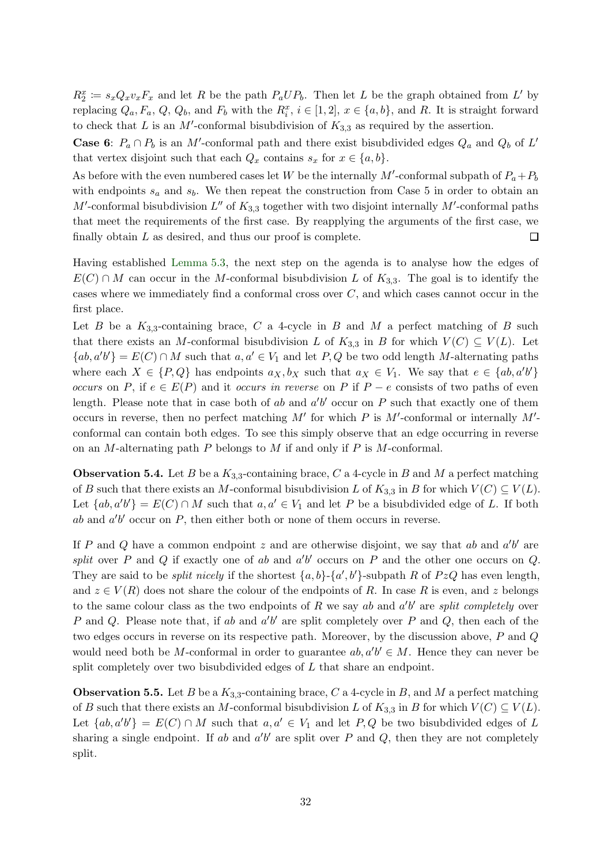$R_2^x := s_x Q_x v_x F_x$  and let R be the path  $P_a U P_b$ . Then let L be the graph obtained from L' by replacing  $Q_a, F_a, Q, Q_b$ , and  $F_b$  with the  $R_i^x, i \in [1, 2], x \in \{a, b\}$ , and R. It is straight forward to check that L is an M'-conformal bisubdivision of  $K_{3,3}$  as required by the assertion.

**Case 6:**  $P_a \cap P_b$  is an M'-conformal path and there exist bisubdivided edges  $Q_a$  and  $Q_b$  of L' that vertex disjoint such that each  $Q_x$  contains  $s_x$  for  $x \in \{a, b\}.$ 

As before with the even numbered cases let W be the internally  $M'$ -conformal subpath of  $P_a + P_b$ with endpoints  $s_a$  and  $s_b$ . We then repeat the construction from Case 5 in order to obtain an M'-conformal bisubdivision  $L''$  of  $K_{3,3}$  together with two disjoint internally M'-conformal paths that meet the requirements of the first case. By reapplying the arguments of the first case, we finally obtain  $L$  as desired, and thus our proof is complete.  $\Box$ 

Having established [Lemma 5.3,](#page-29-0) the next step on the agenda is to analyse how the edges of  $E(C) \cap M$  can occur in the M-conformal bisubdivision L of  $K_{3,3}$ . The goal is to identify the cases where we immediately find a conformal cross over  $C$ , and which cases cannot occur in the first place.

Let B be a  $K_{3,3}$ -containing brace, C a 4-cycle in B and M a perfect matching of B such that there exists an M-conformal bisubdivision L of  $K_{3,3}$  in B for which  $V(C) \subseteq V(L)$ . Let  ${ab, a'b'} = E(C) \cap M$  such that  $a, a' \in V_1$  and let P, Q be two odd length M-alternating paths where each  $X \in \{P, Q\}$  has endpoints  $a_X, b_X$  such that  $a_X \in V_1$ . We say that  $e \in \{ab, a'b'\}$ occurs on P, if  $e \in E(P)$  and it occurs in reverse on P if  $P - e$  consists of two paths of even length. Please note that in case both of  $ab$  and  $a'b'$  occur on P such that exactly one of them occurs in reverse, then no perfect matching  $M'$  for which P is  $M'$ -conformal or internally  $M'$ conformal can contain both edges. To see this simply observe that an edge occurring in reverse on an M-alternating path  $P$  belongs to  $M$  if and only if  $P$  is M-conformal.

**Observation 5.4.** Let B be a  $K_{3,3}$ -containing brace, C a 4-cycle in B and M a perfect matching of B such that there exists an M-conformal bisubdivision L of  $K_{3,3}$  in B for which  $V(C) \subseteq V(L)$ . Let  $\{ab, a'b'\} = E(C) \cap M$  such that  $a, a' \in V_1$  and let P be a bisubdivided edge of L. If both ab and  $a'b'$  occur on  $P$ , then either both or none of them occurs in reverse.

If P and Q have a common endpoint z and are otherwise disjoint, we say that ab and  $a'b'$  are split over P and Q if exactly one of ab and  $a'b'$  occurs on P and the other one occurs on Q. They are said to be *split nicely* if the shortest  $\{a, b\}$ - $\{a', b'\}$ -subpath R of PzQ has even length, and  $z \in V(R)$  does not share the colour of the endpoints of R. In case R is even, and z belongs to the same colour class as the two endpoints of R we say ab and  $a'b'$  are split completely over P and Q. Please note that, if ab and  $a'b'$  are split completely over P and Q, then each of the two edges occurs in reverse on its respective path. Moreover, by the discussion above, P and Q would need both be M-conformal in order to guarantee  $ab, a'b' \in M$ . Hence they can never be split completely over two bisubdivided edges of L that share an endpoint.

<span id="page-31-0"></span>**Observation 5.5.** Let B be a  $K_{3,3}$ -containing brace, C a 4-cycle in B, and M a perfect matching of B such that there exists an M-conformal bisubdivision L of  $K_{3,3}$  in B for which  $V(C) \subseteq V(L)$ . Let  $\{ab, a'b'\} = E(C) \cap M$  such that  $a, a' \in V_1$  and let  $P, Q$  be two bisubdivided edges of L sharing a single endpoint. If ab and  $a'b'$  are split over P and Q, then they are not completely split.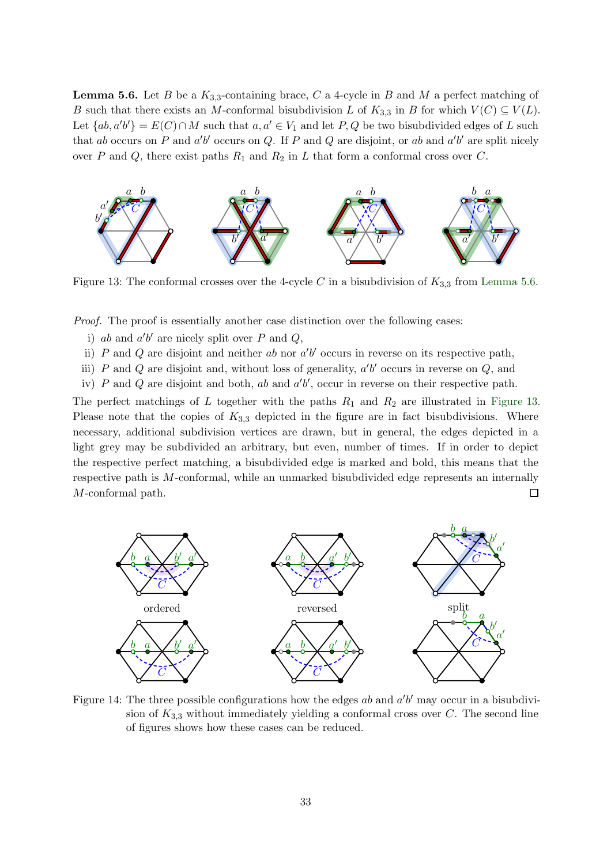**Lemma 5.6.** Let B be a  $K_{3,3}$ -containing brace, C a 4-cycle in B and M a perfect matching of B such that there exists an M-conformal bisubdivision L of  $K_{3,3}$  in B for which  $V(C) \subseteq V(L)$ . Let  $\{ab, a'b'\} = E(C) \cap M$  such that  $a, a' \in V_1$  and let  $P, Q$  be two bisubdivided edges of L such that ab occurs on P and  $a'b'$  occurs on Q. If P and Q are disjoint, or ab and  $a'b'$  are split nicely over P and Q, there exist paths  $R_1$  and  $R_2$  in L that form a conformal cross over C.

<span id="page-32-0"></span>

Figure 13: The conformal crosses over the 4-cycle C in a bisubdivision of  $K_{3,3}$  from [Lemma 5.6.](#page-31-0)

Proof. The proof is essentially another case distinction over the following cases:

- i) ab and  $a'b'$  are nicely split over P and Q,
- ii) P and Q are disjoint and neither ab nor  $a'b'$  occurs in reverse on its respective path,
- iii) P and Q are disjoint and, without loss of generality,  $a'b'$  occurs in reverse on  $Q$ , and

iv) P and Q are disjoint and both, ab and  $a'b'$ , occur in reverse on their respective path.

The perfect matchings of L together with the paths  $R_1$  and  $R_2$  are illustrated in [Figure 13.](#page-32-0) Please note that the copies of  $K_{3,3}$  depicted in the figure are in fact bisubdivisions. Where necessary, additional subdivision vertices are drawn, but in general, the edges depicted in a light grey may be subdivided an arbitrary, but even, number of times. If in order to depict the respective perfect matching, a bisubdivided edge is marked and bold, this means that the respective path is M-conformal, while an unmarked bisubdivided edge represents an internally M-conformal path.  $\Box$ 

<span id="page-32-1"></span>

Figure 14: The three possible configurations how the edges  $ab$  and  $a'b'$  may occur in a bisubdivision of  $K_{3,3}$  without immediately yielding a conformal cross over C. The second line of figures shows how these cases can be reduced.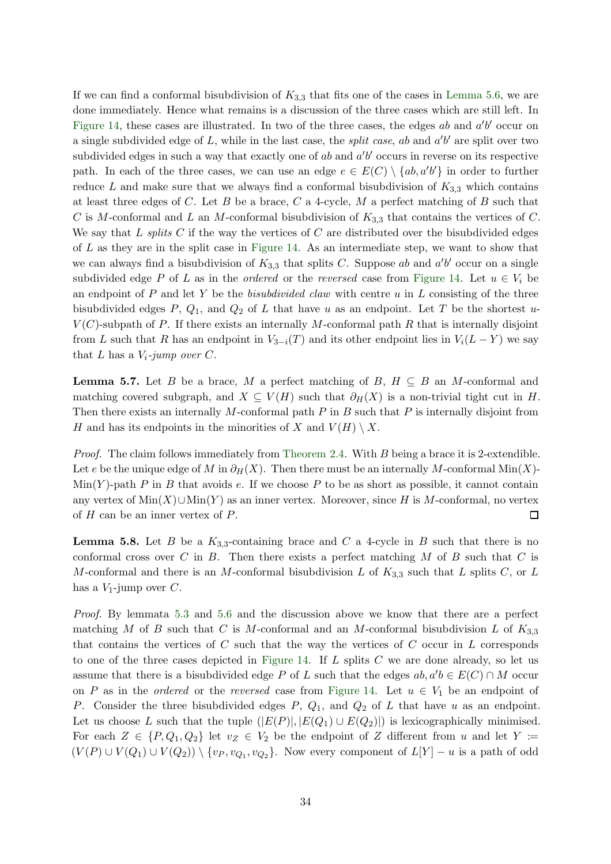If we can find a conformal bisubdivision of  $K_{3,3}$  that fits one of the cases in [Lemma 5.6,](#page-31-0) we are done immediately. Hence what remains is a discussion of the three cases which are still left. In [Figure 14,](#page-32-1) these cases are illustrated. In two of the three cases, the edges  $ab$  and  $a'b'$  occur on a single subdivided edge of L, while in the last case, the *split case*, ab and  $a'b'$  are split over two subdivided edges in such a way that exactly one of  $ab$  and  $a'b'$  occurs in reverse on its respective path. In each of the three cases, we can use an edge  $e \in E(C) \setminus \{ab, a'b'\}$  in order to further reduce L and make sure that we always find a conformal bisubdivision of  $K_{3,3}$  which contains at least three edges of C. Let B be a brace, C a 4-cycle, M a perfect matching of B such that C is M-conformal and L an M-conformal bisubdivision of  $K_{3,3}$  that contains the vertices of C. We say that L splits C if the way the vertices of C are distributed over the bisubdivided edges of L as they are in the split case in [Figure 14.](#page-32-1) As an intermediate step, we want to show that we can always find a bisubdivision of  $K_{3,3}$  that splits C. Suppose ab and  $a'b'$  occur on a single subdivided edge P of L as in the *ordered* or the *reversed* case from [Figure 14.](#page-32-1) Let  $u \in V_i$  be an endpoint of  $P$  and let  $Y$  be the *bisubdivided claw* with centre  $u$  in  $L$  consisting of the three bisubdivided edges P,  $Q_1$ , and  $Q_2$  of L that have u as an endpoint. Let T be the shortest u- $V(C)$ -subpath of P. If there exists an internally M-conformal path R that is internally disjoint from L such that R has an endpoint in  $V_{3-i}(T)$  and its other endpoint lies in  $V_i(L-Y)$  we say that L has a  $V_i$ -jump over C.

<span id="page-33-1"></span>**Lemma 5.7.** Let B be a brace, M a perfect matching of B,  $H \subseteq B$  an M-conformal and matching covered subgraph, and  $X \subseteq V(H)$  such that  $\partial_H(X)$  is a non-trivial tight cut in H. Then there exists an internally  $M$ -conformal path  $P$  in  $B$  such that  $P$  is internally disjoint from H and has its endpoints in the minorities of X and  $V(H) \setminus X$ .

Proof. The claim follows immediately from [Theorem 2.4.](#page-7-3) With B being a brace it is 2-extendible. Let e be the unique edge of M in  $\partial_H(X)$ . Then there must be an internally M-conformal Min $(X)$ - $\text{Min}(Y)$ -path P in B that avoids e. If we choose P to be as short as possible, it cannot contain any vertex of  $\text{Min}(X) \cup \text{Min}(Y)$  as an inner vertex. Moreover, since H is M-conformal, no vertex of  $H$  can be an inner vertex of  $P$ .  $\Box$ 

<span id="page-33-0"></span>**Lemma 5.8.** Let B be a  $K_{3,3}$ -containing brace and C a 4-cycle in B such that there is no conformal cross over  $C$  in  $B$ . Then there exists a perfect matching  $M$  of  $B$  such that  $C$  is M-conformal and there is an M-conformal bisubdivision L of  $K_{3,3}$  such that L splits C, or L has a  $V_1$ -jump over  $C$ .

Proof. By lemmata [5.3](#page-29-0) and [5.6](#page-31-0) and the discussion above we know that there are a perfect matching M of B such that C is M-conformal and an M-conformal bisubdivision L of  $K_{3,3}$ that contains the vertices of  $C$  such that the way the vertices of  $C$  occur in  $L$  corresponds to one of the three cases depicted in [Figure 14.](#page-32-1) If  $L$  splits  $C$  we are done already, so let us assume that there is a bisubdivided edge P of L such that the edges  $ab, a'b \in E(C) \cap M$  occur on P as in the *ordered* or the *reversed* case from [Figure 14.](#page-32-1) Let  $u \in V_1$  be an endpoint of P. Consider the three bisubdivided edges  $P$ ,  $Q_1$ , and  $Q_2$  of  $L$  that have u as an endpoint. Let us choose L such that the tuple  $(|E(P)|, |E(Q_1) \cup E(Q_2)|)$  is lexicographically minimised. For each  $Z \in \{P, Q_1, Q_2\}$  let  $v_Z \in V_2$  be the endpoint of Z different from u and let Y :=  $(V(P) \cup V(Q_1) \cup V(Q_2)) \setminus \{v_P, v_{Q_1}, v_{Q_2}\}.$  Now every component of  $L[Y] - u$  is a path of odd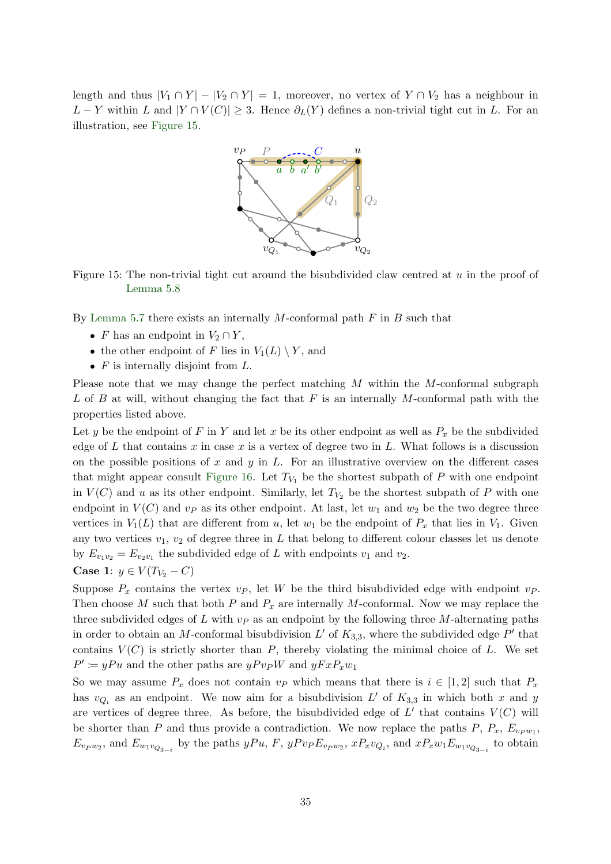<span id="page-34-0"></span>length and thus  $|V_1 \cap Y| - |V_2 \cap Y| = 1$ , moreover, no vertex of  $Y \cap V_2$  has a neighbour in  $L - Y$  within L and  $|Y \cap V(C)| \geq 3$ . Hence  $\partial_L(Y)$  defines a non-trivial tight cut in L. For an illustration, see [Figure 15.](#page-34-0)



Figure 15: The non-trivial tight cut around the bisubdivided claw centred at  $u$  in the proof of [Lemma 5.8](#page-33-0)

By [Lemma 5.7](#page-33-1) there exists an internally M-conformal path  $F$  in  $B$  such that

- F has an endpoint in  $V_2 \cap Y$ ,
- the other endpoint of F lies in  $V_1(L) \setminus Y$ , and
- $F$  is internally disjoint from  $L$ .

Please note that we may change the perfect matching  $M$  within the  $M$ -conformal subgraph L of B at will, without changing the fact that F is an internally M-conformal path with the properties listed above.

Let y be the endpoint of F in Y and let x be its other endpoint as well as  $P_x$  be the subdivided edge of L that contains x in case x is a vertex of degree two in L. What follows is a discussion on the possible positions of x and y in L. For an illustrative overview on the different cases that might appear consult [Figure 16.](#page-35-0) Let  $T_{V_1}$  be the shortest subpath of P with one endpoint in  $V(C)$  and u as its other endpoint. Similarly, let  $T_{V_2}$  be the shortest subpath of P with one endpoint in  $V(C)$  and  $v<sub>P</sub>$  as its other endpoint. At last, let  $w<sub>1</sub>$  and  $w<sub>2</sub>$  be the two degree three vertices in  $V_1(L)$  that are different from u, let  $w_1$  be the endpoint of  $P_x$  that lies in  $V_1$ . Given any two vertices  $v_1, v_2$  of degree three in L that belong to different colour classes let us denote by  $E_{v_1v_2} = E_{v_2v_1}$  the subdivided edge of L with endpoints  $v_1$  and  $v_2$ .

Case 1: 
$$
y \in V(T_{V_2} - C)
$$

Suppose  $P_x$  contains the vertex  $v_P$ , let W be the third bisubdivided edge with endpoint  $v_P$ . Then choose M such that both P and  $P_x$  are internally M-conformal. Now we may replace the three subdivided edges of L with  $v<sub>P</sub>$  as an endpoint by the following three M-alternating paths in order to obtain an M-conformal bisubdivision  $L'$  of  $K_{3,3}$ , where the subdivided edge  $P'$  that contains  $V(C)$  is strictly shorter than P, thereby violating the minimal choice of L. We set  $P' \coloneqq yPu$  and the other paths are  $yPv_{P}W$  and  $yFxP_{x}w_{1}$ 

So we may assume  $P_x$  does not contain  $v_P$  which means that there is  $i \in [1,2]$  such that  $P_x$ has  $v_{Q_i}$  as an endpoint. We now aim for a bisubdivision L' of  $K_{3,3}$  in which both x and y are vertices of degree three. As before, the bisubdivided edge of  $L'$  that contains  $V(C)$  will be shorter than P and thus provide a contradiction. We now replace the paths P,  $P_x$ ,  $E_{v_{P}w_1}$ ,  $E_{v_P w_2}$ , and  $E_{w_1 v_{Q_{3-i}}}$  by the paths  $yPu, F, yP v_P E_{v_P w_2}$ ,  $xP_x v_{Q_i}$ , and  $xP_x w_1 E_{w_1 v_{Q_{3-i}}}$  to obtain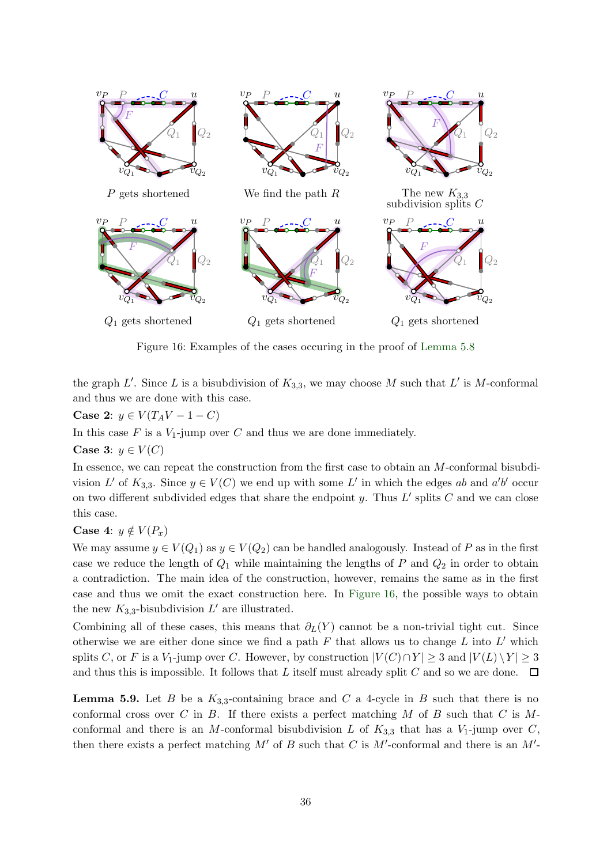<span id="page-35-0"></span>

Figure 16: Examples of the cases occuring in the proof of [Lemma 5.8](#page-33-0)

the graph L'. Since L is a bisubdivision of  $K_{3,3}$ , we may choose M such that L' is M-conformal and thus we are done with this case.

Case 2:  $y \in V(T_A V - 1 - C)$ 

In this case  $F$  is a  $V_1$ -jump over  $C$  and thus we are done immediately.

Case 3:  $y \in V(C)$ 

In essence, we can repeat the construction from the first case to obtain an M-conformal bisubdivision L' of  $K_{3,3}$ . Since  $y \in V(C)$  we end up with some L' in which the edges ab and a'b' occur on two different subdivided edges that share the endpoint y. Thus  $L'$  splits  $C$  and we can close this case.

#### Case 4:  $y \notin V(P_x)$

We may assume  $y \in V(Q_1)$  as  $y \in V(Q_2)$  can be handled analogously. Instead of P as in the first case we reduce the length of  $Q_1$  while maintaining the lengths of P and  $Q_2$  in order to obtain a contradiction. The main idea of the construction, however, remains the same as in the first case and thus we omit the exact construction here. In [Figure 16,](#page-35-0) the possible ways to obtain the new  $K_{3,3}$ -bisubdivision  $L'$  are illustrated.

Combining all of these cases, this means that  $\partial_L(Y)$  cannot be a non-trivial tight cut. Since otherwise we are either done since we find a path  $F$  that allows us to change  $L$  into  $L'$  which splits C, or F is a V<sub>1</sub>-jump over C. However, by construction  $|V(C) \cap Y| \geq 3$  and  $|V(L) \setminus Y| \geq 3$ and thus this is impossible. It follows that L itself must already split C and so we are done.  $\Box$ 

<span id="page-35-1"></span>**Lemma 5.9.** Let B be a  $K_{3,3}$ -containing brace and C a 4-cycle in B such that there is no conformal cross over C in B. If there exists a perfect matching M of B such that C is  $M$ conformal and there is an M-conformal bisubdivision L of  $K_{3,3}$  that has a  $V_1$ -jump over C, then there exists a perfect matching  $M'$  of B such that C is  $M'$ -conformal and there is an  $M'$ -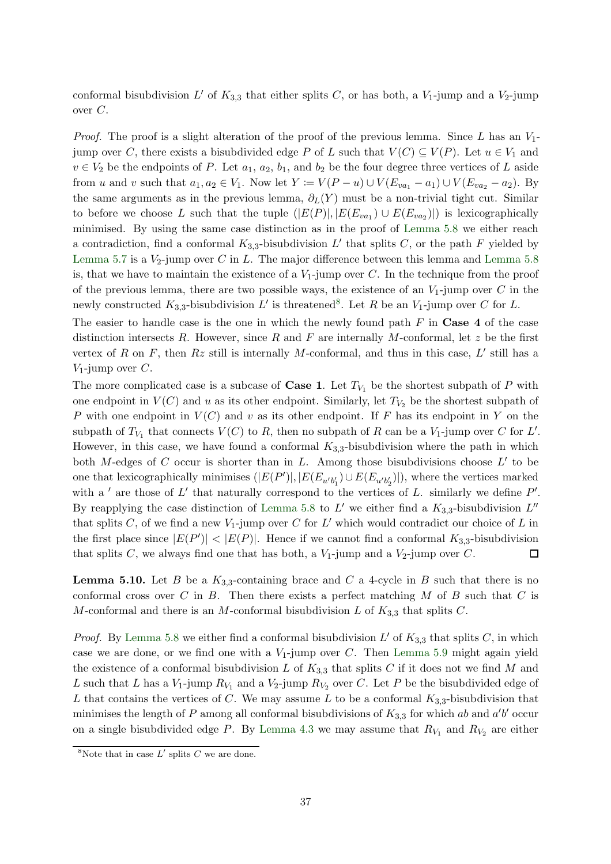conformal bisubdivision  $L'$  of  $K_{3,3}$  that either splits C, or has both, a  $V_1$ -jump and a  $V_2$ -jump over C.

*Proof.* The proof is a slight alteration of the proof of the previous lemma. Since L has an  $V_1$ jump over C, there exists a bisubdivided edge P of L such that  $V(C) \subseteq V(P)$ . Let  $u \in V_1$  and  $v \in V_2$  be the endpoints of P. Let  $a_1, a_2, b_1$ , and  $b_2$  be the four degree three vertices of L aside from u and v such that  $a_1, a_2 \in V_1$ . Now let  $Y \coloneqq V(P - u) \cup V(E_{va_1} - a_1) \cup V(E_{va_2} - a_2)$ . By the same arguments as in the previous lemma,  $\partial_L(Y)$  must be a non-trivial tight cut. Similar to before we choose L such that the tuple  $(|E(P)|, |E(E_{va_1}) \cup E(E_{va_2})|)$  is lexicographically minimised. By using the same case distinction as in the proof of [Lemma 5.8](#page-33-0) we either reach a contradiction, find a conformal  $K_{3,3}$ -bisubdivision L' that splits C, or the path F yielded by [Lemma 5.7](#page-33-1) is a  $V_2$ -jump over C in L. The major difference between this lemma and [Lemma 5.8](#page-33-0) is, that we have to maintain the existence of a  $V_1$ -jump over C. In the technique from the proof of the previous lemma, there are two possible ways, the existence of an  $V_1$ -jump over C in the newly constructed  $K_{3,3}$ -bisubdivision L' is threatened<sup>8</sup>. Let R be an  $V_1$ -jump over C for L.

The easier to handle case is the one in which the newly found path  $F$  in Case 4 of the case distinction intersects R. However, since R and F are internally M-conformal, let z be the first vertex of R on F, then  $Rz$  still is internally M-conformal, and thus in this case, L' still has a  $V_1$ -jump over  $C$ .

The more complicated case is a subcase of **Case 1**. Let  $T_{V_1}$  be the shortest subpath of P with one endpoint in  $V(C)$  and u as its other endpoint. Similarly, let  $T_{V_2}$  be the shortest subpath of P with one endpoint in  $V(C)$  and v as its other endpoint. If F has its endpoint in Y on the subpath of  $T_{V_1}$  that connects  $V(C)$  to R, then no subpath of R can be a  $V_1$ -jump over C for L'. However, in this case, we have found a conformal  $K_{3,3}$ -bisubdivision where the path in which both M-edges of C occur is shorter than in L. Among those bisubdivisions choose  $L'$  to be one that lexicographically minimises  $(|E(P')|, |E(E_{u'b'_1}) \cup E(E_{u'b'_2})|)$ , where the vertices marked with a ' are those of  $L'$  that naturally correspond to the vertices of  $L$ . similarly we define  $P'$ . By reapplying the case distinction of [Lemma 5.8](#page-33-0) to  $L'$  we either find a  $K_{3,3}$ -bisubdivision  $L''$ that splits C, of we find a new  $V_1$ -jump over C for L' which would contradict our choice of L in the first place since  $|E(P')| < |E(P)|$ . Hence if we cannot find a conformal  $K_{3,3}$ -bisubdivision that splits C, we always find one that has both, a  $V_1$ -jump and a  $V_2$ -jump over C.  $\Box$ 

<span id="page-36-0"></span>**Lemma 5.10.** Let B be a  $K_{3,3}$ -containing brace and C a 4-cycle in B such that there is no conformal cross over C in B. Then there exists a perfect matching M of B such that C is M-conformal and there is an M-conformal bisubdivision L of  $K_{3,3}$  that splits C.

*Proof.* By [Lemma 5.8](#page-33-0) we either find a conformal bisubdivision  $L'$  of  $K_{3,3}$  that splits C, in which case we are done, or we find one with a  $V_1$ -jump over C. Then [Lemma 5.9](#page-35-1) might again yield the existence of a conformal bisubdivision L of  $K_{3,3}$  that splits C if it does not we find M and L such that L has a  $V_1$ -jump  $R_{V_1}$  and a  $V_2$ -jump  $R_{V_2}$  over C. Let P be the bisubdivided edge of L that contains the vertices of C. We may assume L to be a conformal  $K_{3,3}$ -bisubdivision that minimises the length of P among all conformal bisubdivisions of  $K_{3,3}$  for which ab and  $a'b'$  occur on a single bisubdivided edge P. By [Lemma 4.3](#page-16-0) we may assume that  $R_{V_1}$  and  $R_{V_2}$  are either

<sup>&</sup>lt;sup>8</sup>Note that in case  $L'$  splits  $C$  we are done.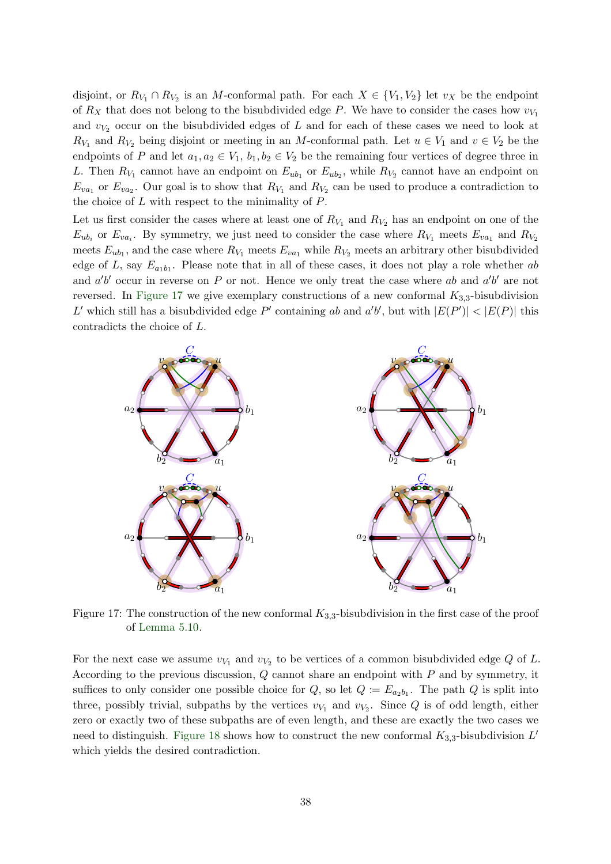disjoint, or  $R_{V_1} \cap R_{V_2}$  is an M-conformal path. For each  $X \in \{V_1, V_2\}$  let  $v_X$  be the endpoint of  $R_X$  that does not belong to the bisubdivided edge P. We have to consider the cases how  $v_{V_1}$ and  $v_{V_2}$  occur on the bisubdivided edges of L and for each of these cases we need to look at  $R_{V_1}$  and  $R_{V_2}$  being disjoint or meeting in an M-conformal path. Let  $u \in V_1$  and  $v \in V_2$  be the endpoints of P and let  $a_1, a_2 \in V_1$ ,  $b_1, b_2 \in V_2$  be the remaining four vertices of degree three in L. Then  $R_{V_1}$  cannot have an endpoint on  $E_{ub_1}$  or  $E_{ub_2}$ , while  $R_{V_2}$  cannot have an endpoint on  $E_{va_1}$  or  $E_{va_2}$ . Our goal is to show that  $R_{V_1}$  and  $R_{V_2}$  can be used to produce a contradiction to the choice of  $L$  with respect to the minimality of  $P$ .

Let us first consider the cases where at least one of  $R_{V_1}$  and  $R_{V_2}$  has an endpoint on one of the  $E_{ub_i}$  or  $E_{va_i}$ . By symmetry, we just need to consider the case where  $R_{V_1}$  meets  $E_{va_1}$  and  $R_{V_2}$ meets  $E_{ub_1}$ , and the case where  $R_{V_1}$  meets  $E_{va_1}$  while  $R_{V_2}$  meets an arbitrary other bisubdivided edge of L, say  $E_{a_1b_1}$ . Please note that in all of these cases, it does not play a role whether ab and  $a'b'$  occur in reverse on P or not. Hence we only treat the case where ab and  $a'b'$  are not reversed. In [Figure 17](#page-37-0) we give exemplary constructions of a new conformal  $K_{3,3}$ -bisubdivision L' which still has a bisubdivided edge P' containing ab and  $a'b'$ , but with  $|E(P')| < |E(P)|$  this contradicts the choice of L.

<span id="page-37-0"></span>

Figure 17: The construction of the new conformal  $K_{3,3}$ -bisubdivision in the first case of the proof of [Lemma 5.10.](#page-36-0)

For the next case we assume  $v_{V_1}$  and  $v_{V_2}$  to be vertices of a common bisubdivided edge Q of L. According to the previous discussion, Q cannot share an endpoint with P and by symmetry, it suffices to only consider one possible choice for  $Q$ , so let  $Q := E_{a_2b_1}$ . The path  $Q$  is split into three, possibly trivial, subpaths by the vertices  $v_{V_1}$  and  $v_{V_2}$ . Since Q is of odd length, either zero or exactly two of these subpaths are of even length, and these are exactly the two cases we need to distinguish. [Figure 18](#page-38-0) shows how to construct the new conformal  $K_{3,3}$ -bisubdivision  $L'$ which yields the desired contradiction.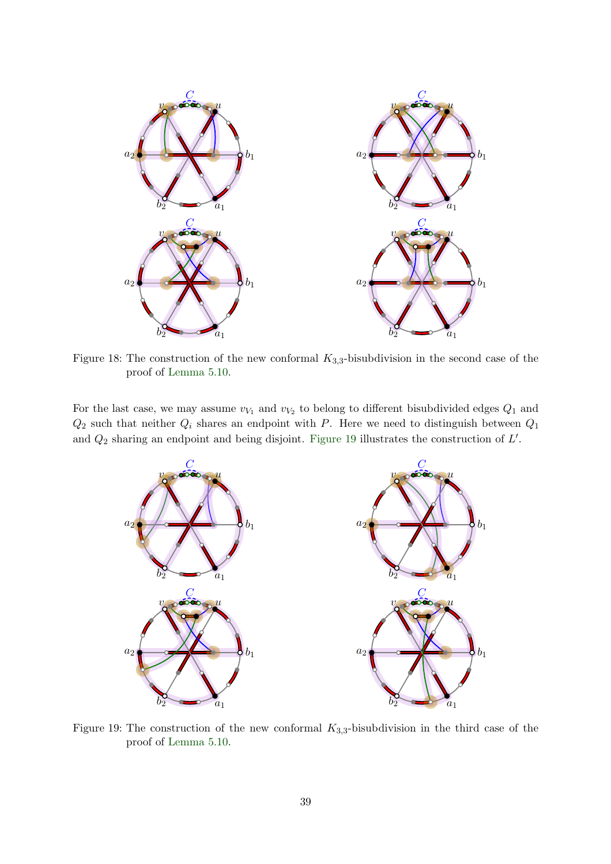<span id="page-38-0"></span>

Figure 18: The construction of the new conformal  $K_{3,3}$ -bisubdivision in the second case of the proof of [Lemma 5.10.](#page-36-0)

<span id="page-38-1"></span>For the last case, we may assume  $v_{V_1}$  and  $v_{V_2}$  to belong to different bisubdivided edges  $Q_1$  and  $Q_2$  such that neither  $Q_i$  shares an endpoint with P. Here we need to distinguish between  $Q_1$ and  $Q_2$  sharing an endpoint and being disjoint. [Figure 19](#page-38-1) illustrates the construction of  $L'$ .



Figure 19: The construction of the new conformal  $K_{3,3}$ -bisubdivision in the third case of the proof of [Lemma 5.10.](#page-36-0)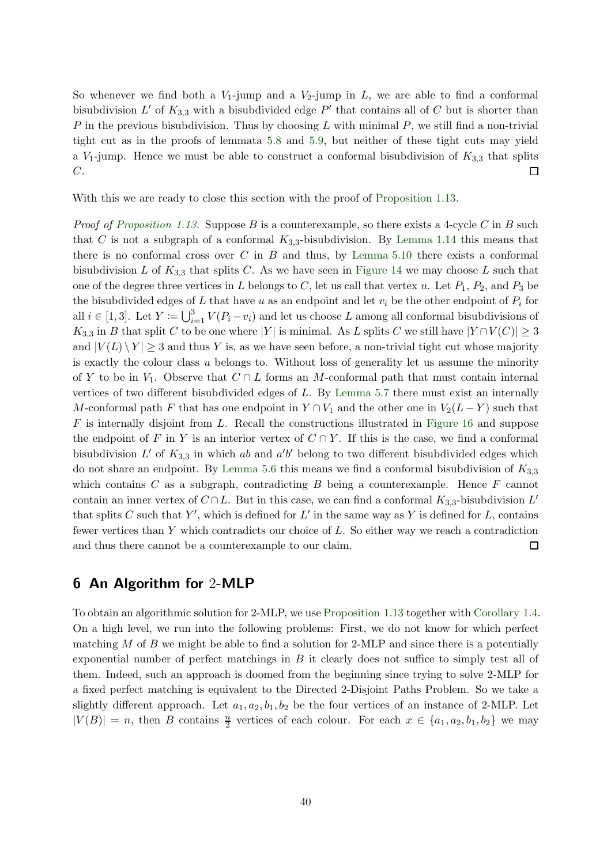So whenever we find both a  $V_1$ -jump and a  $V_2$ -jump in  $L$ , we are able to find a conformal bisubdivision L' of  $K_{3,3}$  with a bisubdivided edge P' that contains all of C but is shorter than P in the previous bisubdivision. Thus by choosing L with minimal  $P$ , we still find a non-trivial tight cut as in the proofs of lemmata [5.8](#page-33-0) and [5.9,](#page-35-1) but neither of these tight cuts may yield a  $V_1$ -jump. Hence we must be able to construct a conformal bisubdivision of  $K_{3,3}$  that splits  $C$ .  $\Box$ 

With this we are ready to close this section with the proof of [Proposition 1.13.](#page-5-1)

*Proof of [Proposition 1.13.](#page-5-1)* Suppose B is a counterexample, so there exists a 4-cycle C in B such that C is not a subgraph of a conformal  $K_{3,3}$ -bisubdivision. By [Lemma 1.14](#page-5-2) this means that there is no conformal cross over C in B and thus, by Lemma  $5.10$  there exists a conformal bisubdivision L of  $K_{3,3}$  that splits C. As we have seen in [Figure 14](#page-32-1) we may choose L such that one of the degree three vertices in L belongs to C, let us call that vertex u. Let  $P_1$ ,  $P_2$ , and  $P_3$  be the bisubdivided edges of L that have u as an endpoint and let  $v_i$  be the other endpoint of  $P_i$  for all  $i \in [1,3]$ . Let  $Y := \bigcup_{i=1}^{3} V(P_i - v_i)$  and let us choose L among all conformal bisubdivisions of K<sub>3,3</sub> in B that split C to be one where |Y| is minimal. As L splits C we still have  $|Y \cap V(C)| \geq 3$ and  $|V(L) \setminus Y| \geq 3$  and thus Y is, as we have seen before, a non-trivial tight cut whose majority is exactly the colour class  $u$  belongs to. Without loss of generality let us assume the minority of Y to be in  $V_1$ . Observe that  $C \cap L$  forms an M-conformal path that must contain internal vertices of two different bisubdivided edges of L. By [Lemma 5.7](#page-33-1) there must exist an internally M-conformal path F that has one endpoint in  $Y \cap V_1$  and the other one in  $V_2(L-Y)$  such that  $F$  is internally disjoint from  $L$ . Recall the constructions illustrated in [Figure 16](#page-35-0) and suppose the endpoint of F in Y is an interior vertex of  $C \cap Y$ . If this is the case, we find a conformal bisubdivision  $L'$  of  $K_{3,3}$  in which ab and  $a'b'$  belong to two different bisubdivided edges which do not share an endpoint. By [Lemma 5.6](#page-31-0) this means we find a conformal bisubdivision of  $K_{3,3}$ which contains  $C$  as a subgraph, contradicting  $B$  being a counterexample. Hence  $F$  cannot contain an inner vertex of  $C \cap L$ . But in this case, we can find a conformal  $K_{3,3}$ -bisubdivision  $L'$ that splits C such that Y', which is defined for  $L'$  in the same way as Y is defined for L, contains fewer vertices than  $Y$  which contradicts our choice of  $L$ . So either way we reach a contradiction and thus there cannot be a counterexample to our claim.  $\Box$ 

### <span id="page-39-0"></span>6 An Algorithm for 2-MLP

To obtain an algorithmic solution for 2-MLP, we use [Proposition 1.13](#page-5-1) together with [Corollary 1.4.](#page-2-2) On a high level, we run into the following problems: First, we do not know for which perfect matching  $M$  of  $B$  we might be able to find a solution for 2-MLP and since there is a potentially exponential number of perfect matchings in  $B$  it clearly does not suffice to simply test all of them. Indeed, such an approach is doomed from the beginning since trying to solve 2-MLP for a fixed perfect matching is equivalent to the Directed 2-Disjoint Paths Problem. So we take a slightly different approach. Let  $a_1, a_2, b_1, b_2$  be the four vertices of an instance of 2-MLP. Let  $|V(B)| = n$ , then B contains  $\frac{n}{2}$  vertices of each colour. For each  $x \in \{a_1, a_2, b_1, b_2\}$  we may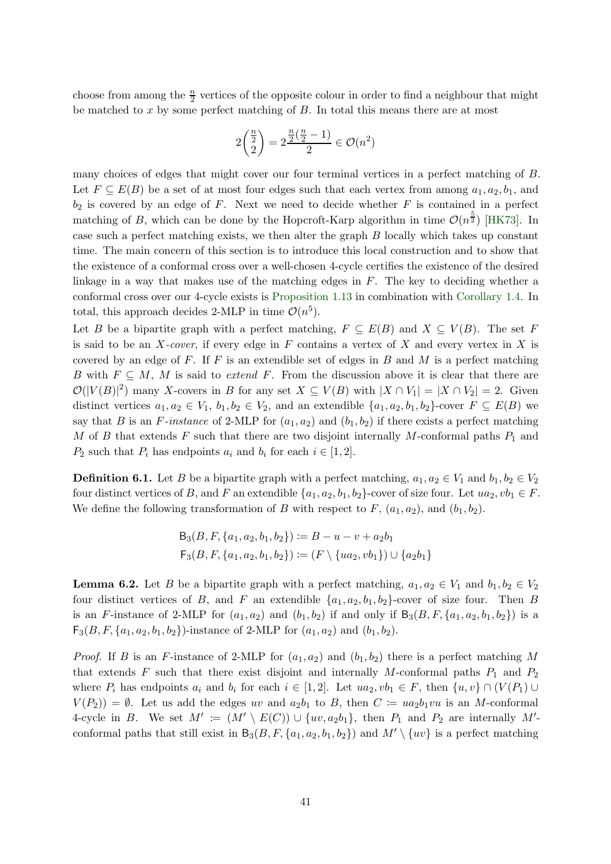choose from among the  $\frac{n}{2}$  vertices of the opposite colour in order to find a neighbour that might be matched to  $x$  by some perfect matching of  $B$ . In total this means there are at most

$$
2\binom{\frac{n}{2}}{2}=2\frac{\frac{n}{2}(\frac{n}{2}-1)}{2}\in\mathcal{O}(n^2)
$$

many choices of edges that might cover our four terminal vertices in a perfect matching of B. Let  $F \subseteq E(B)$  be a set of at most four edges such that each vertex from among  $a_1, a_2, b_1$ , and  $b_2$  is covered by an edge of F. Next we need to decide whether F is contained in a perfect matching of B, which can be done by the Hopcroft-Karp algorithm in time  $\mathcal{O}(n^{\frac{5}{2}})$  [\[HK73\]](#page-47-17). In case such a perfect matching exists, we then alter the graph B locally which takes up constant time. The main concern of this section is to introduce this local construction and to show that the existence of a conformal cross over a well-chosen 4-cycle certifies the existence of the desired linkage in a way that makes use of the matching edges in  $F$ . The key to deciding whether a conformal cross over our 4-cycle exists is [Proposition 1.13](#page-5-1) in combination with [Corollary 1.4.](#page-2-2) In total, this approach decides 2-MLP in time  $\mathcal{O}(n^5)$ .

Let B be a bipartite graph with a perfect matching,  $F \subseteq E(B)$  and  $X \subseteq V(B)$ . The set F is said to be an X-cover, if every edge in F contains a vertex of X and every vertex in X is covered by an edge of  $F$ . If  $F$  is an extendible set of edges in  $B$  and  $M$  is a perfect matching B with  $F \subseteq M$ , M is said to extend F. From the discussion above it is clear that there are  $\mathcal{O}(|V(B)|^2)$  many X-covers in B for any set  $X \subseteq V(B)$  with  $|X \cap V_1| = |X \cap V_2| = 2$ . Given distinct vertices  $a_1, a_2 \in V_1$ ,  $b_1, b_2 \in V_2$ , and an extendible  $\{a_1, a_2, b_1, b_2\}$ -cover  $F \subseteq E(B)$  we say that B is an F-instance of 2-MLP for  $(a_1, a_2)$  and  $(b_1, b_2)$  if there exists a perfect matching M of B that extends F such that there are two disjoint internally M-conformal paths  $P_1$  and  $P_2$  such that  $P_i$  has endpoints  $a_i$  and  $b_i$  for each  $i \in [1,2]$ .

**Definition 6.1.** Let B be a bipartite graph with a perfect matching,  $a_1, a_2 \in V_1$  and  $b_1, b_2 \in V_2$ four distinct vertices of B, and F an extendible  $\{a_1, a_2, b_1, b_2\}$ -cover of size four. Let  $ua_2, vb_1 \in F$ . We define the following transformation of B with respect to F,  $(a_1, a_2)$ , and  $(b_1, b_2)$ .

$$
B_3(B, F, \{a_1, a_2, b_1, b_2\}) := B - u - v + a_2b_1
$$
  

$$
F_3(B, F, \{a_1, a_2, b_1, b_2\}) := (F \setminus \{ua_2, vb_1\}) \cup \{a_2b_1\}
$$

<span id="page-40-0"></span>**Lemma 6.2.** Let B be a bipartite graph with a perfect matching,  $a_1, a_2 \in V_1$  and  $b_1, b_2 \in V_2$ four distinct vertices of B, and F an extendible  $\{a_1, a_2, b_1, b_2\}$ -cover of size four. Then B is an F-instance of 2-MLP for  $(a_1, a_2)$  and  $(b_1, b_2)$  if and only if  $B_3(B, F, \{a_1, a_2, b_1, b_2\})$  is a  $\mathsf{F}_3(B, F, \{a_1, a_2, b_1, b_2\})$ -instance of 2-MLP for  $(a_1, a_2)$  and  $(b_1, b_2)$ .

*Proof.* If B is an F-instance of 2-MLP for  $(a_1, a_2)$  and  $(b_1, b_2)$  there is a perfect matching M that extends F such that there exist disjoint and internally M-conformal paths  $P_1$  and  $P_2$ where  $P_i$  has endpoints  $a_i$  and  $b_i$  for each  $i \in [1,2]$ . Let  $ua_2, vb_1 \in F$ , then  $\{u, v\} \cap (V(P_1) \cup$  $V(P_2) = \emptyset$ . Let us add the edges uv and  $a_2b_1$  to B, then  $C := ua_2b_1vu$  is an M-conformal 4-cycle in B. We set  $M' := (M' \setminus E(C)) \cup \{uv, a_2b_1\}$ , then  $P_1$  and  $P_2$  are internally  $M'$ conformal paths that still exist in  $B_3(B, F, \{a_1, a_2, b_1, b_2\})$  and  $M' \setminus \{uv\}$  is a perfect matching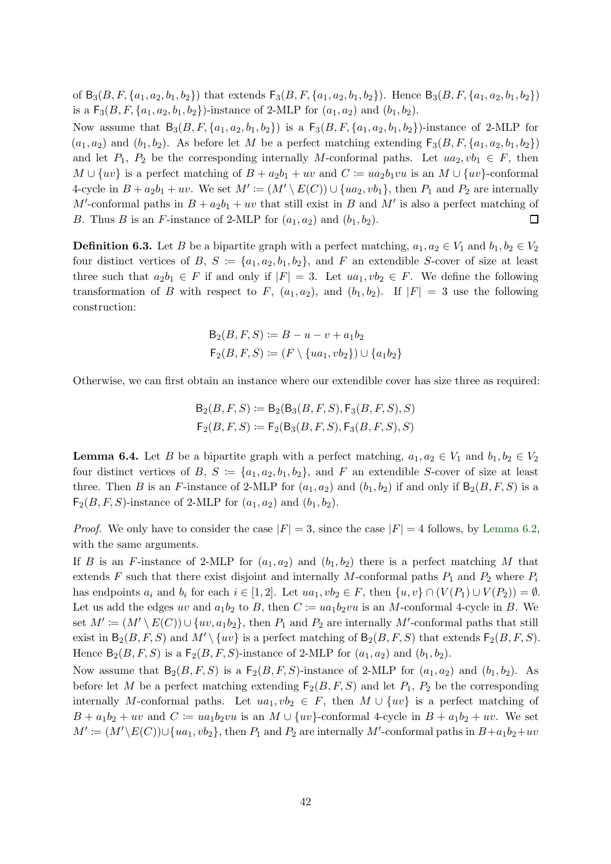of  $B_3(B, F, \{a_1, a_2, b_1, b_2\})$  that extends  $F_3(B, F, \{a_1, a_2, b_1, b_2\})$ . Hence  $B_3(B, F, \{a_1, a_2, b_1, b_2\})$ is a  $\mathsf{F}_3(B, F, \{a_1, a_2, b_1, b_2\})$ -instance of 2-MLP for  $(a_1, a_2)$  and  $(b_1, b_2)$ .

Now assume that  $B_3(B, F, \{a_1, a_2, b_1, b_2\})$  is a  $F_3(B, F, \{a_1, a_2, b_1, b_2\})$ -instance of 2-MLP for  $(a_1, a_2)$  and  $(b_1, b_2)$ . As before let M be a perfect matching extending  $F_3(B, F, \{a_1, a_2, b_1, b_2\})$ and let  $P_1$ ,  $P_2$  be the corresponding internally M-conformal paths. Let  $ua_2, vb_1 \in F$ , then  $M \cup \{uv\}$  is a perfect matching of  $B + a_2b_1 + uv$  and  $C \coloneqq ua_2b_1vu$  is an  $M \cup \{uv\}$ -conformal 4-cycle in  $B + a_2b_1 + uv$ . We set  $M' := (M' \setminus E(C)) \cup \{ua_2, vb_1\}$ , then  $P_1$  and  $P_2$  are internally M'-conformal paths in  $B + a_2b_1 + uv$  that still exist in B and M' is also a perfect matching of B. Thus B is an F-instance of 2-MLP for  $(a_1, a_2)$  and  $(b_1, b_2)$ .  $\Box$ 

**Definition 6.3.** Let B be a bipartite graph with a perfect matching,  $a_1, a_2 \in V_1$  and  $b_1, b_2 \in V_2$ four distinct vertices of B,  $S := \{a_1, a_2, b_1, b_2\}$ , and F an extendible S-cover of size at least three such that  $a_2b_1 \in F$  if and only if  $|F| = 3$ . Let  $ua_1, vb_2 \in F$ . We define the following transformation of B with respect to F,  $(a_1, a_2)$ , and  $(b_1, b_2)$ . If  $|F| = 3$  use the following construction:

$$
B_2(B, F, S) := B - u - v + a_1 b_2
$$
  

$$
F_2(B, F, S) := (F \setminus \{ua_1, vb_2\}) \cup \{a_1 b_2\}
$$

Otherwise, we can first obtain an instance where our extendible cover has size three as required:

$$
\begin{aligned} \mathsf{B}_2(B,F,S) &:= \mathsf{B}_2(\mathsf{B}_3(B,F,S),\mathsf{F}_3(B,F,S),S) \\ \mathsf{F}_2(B,F,S) &:= \mathsf{F}_2(\mathsf{B}_3(B,F,S),\mathsf{F}_3(B,F,S),S) \end{aligned}
$$

<span id="page-41-0"></span>**Lemma 6.4.** Let B be a bipartite graph with a perfect matching,  $a_1, a_2 \in V_1$  and  $b_1, b_2 \in V_2$ four distinct vertices of B,  $S := \{a_1, a_2, b_1, b_2\}$ , and F an extendible S-cover of size at least three. Then B is an F-instance of 2-MLP for  $(a_1, a_2)$  and  $(b_1, b_2)$  if and only if  $B_2(B, F, S)$  is a  $F_2(B, F, S)$ -instance of 2-MLP for  $(a_1, a_2)$  and  $(b_1, b_2)$ .

*Proof.* We only have to consider the case  $|F| = 3$ , since the case  $|F| = 4$  follows, by [Lemma 6.2,](#page-40-0) with the same arguments.

If B is an F-instance of 2-MLP for  $(a_1, a_2)$  and  $(b_1, b_2)$  there is a perfect matching M that extends F such that there exist disjoint and internally M-conformal paths  $P_1$  and  $P_2$  where  $P_i$ has endpoints  $a_i$  and  $b_i$  for each  $i \in [1,2]$ . Let  $ua_1, vb_2 \in F$ , then  $\{u, v\} \cap (V(P_1) \cup V(P_2)) = \emptyset$ . Let us add the edges uv and  $a_1b_2$  to B, then  $C \coloneqq ua_1b_2vu$  is an M-conformal 4-cycle in B. We set  $M' := (M' \setminus E(C)) \cup \{uv, a_1b_2\}$ , then  $P_1$  and  $P_2$  are internally M'-conformal paths that still exist in  $B_2(B, F, S)$  and  $M' \setminus \{uv\}$  is a perfect matching of  $B_2(B, F, S)$  that extends  $F_2(B, F, S)$ . Hence  $B_2(B, F, S)$  is a  $F_2(B, F, S)$ -instance of 2-MLP for  $(a_1, a_2)$  and  $(b_1, b_2)$ .

Now assume that  $B_2(B, F, S)$  is a  $F_2(B, F, S)$ -instance of 2-MLP for  $(a_1, a_2)$  and  $(b_1, b_2)$ . As before let M be a perfect matching extending  $F_2(B, F, S)$  and let  $P_1$ ,  $P_2$  be the corresponding internally M-conformal paths. Let  $ua_1, vb_2 \in F$ , then  $M \cup \{uv\}$  is a perfect matching of  $B + a_1b_2 + uv$  and  $C \coloneqq ua_1b_2vu$  is an  $M \cup \{uv\}$ -conformal 4-cycle in  $B + a_1b_2 + uv$ . We set  $M' \coloneqq (M' \setminus E(C)) \cup \{ua_1, vb_2\}$ , then  $P_1$  and  $P_2$  are internally M'-conformal paths in  $B+a_1b_2+uv$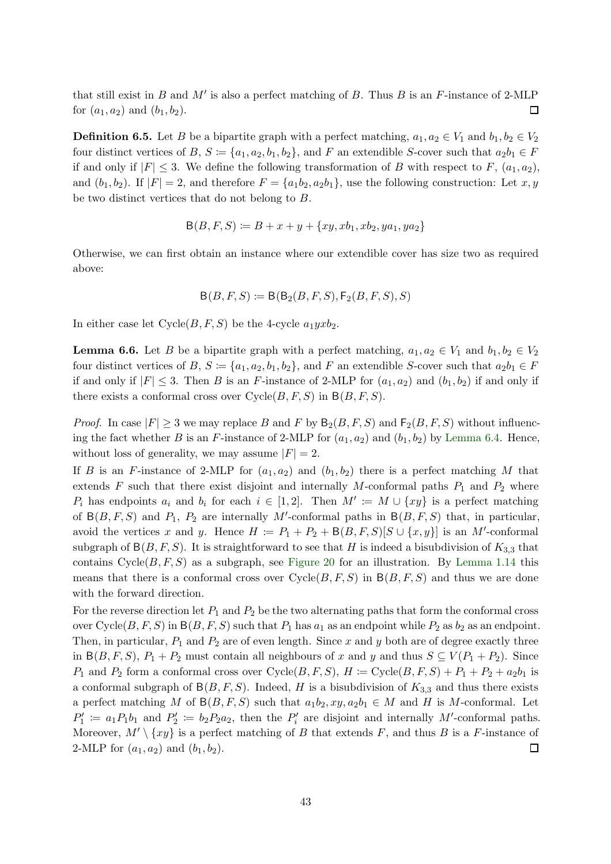that still exist in  $B$  and  $M'$  is also a perfect matching of  $B$ . Thus  $B$  is an  $F$ -instance of 2-MLP for  $(a_1, a_2)$  and  $(b_1, b_2)$ .  $\Box$ 

**Definition 6.5.** Let B be a bipartite graph with a perfect matching,  $a_1, a_2 \in V_1$  and  $b_1, b_2 \in V_2$ four distinct vertices of B,  $S := \{a_1, a_2, b_1, b_2\}$ , and F an extendible S-cover such that  $a_2b_1 \in F$ if and only if  $|F| \leq 3$ . We define the following transformation of B with respect to F,  $(a_1, a_2)$ , and  $(b_1, b_2)$ . If  $|F| = 2$ , and therefore  $F = \{a_1b_2, a_2b_1\}$ , use the following construction: Let x, y be two distinct vertices that do not belong to B.

$$
B(B, F, S) := B + x + y + \{xy, xb_1, xb_2, ya_1, ya_2\}
$$

Otherwise, we can first obtain an instance where our extendible cover has size two as required above:

$$
\mathsf{B}(B,F,S) \coloneqq \mathsf{B}(\mathsf{B}_2(B,F,S),\mathsf{F}_2(B,F,S),S)
$$

<span id="page-42-0"></span>In either case let  $Cycle(B, F, S)$  be the 4-cycle  $a_1yxb_2$ .

**Lemma 6.6.** Let B be a bipartite graph with a perfect matching,  $a_1, a_2 \in V_1$  and  $b_1, b_2 \in V_2$ four distinct vertices of B,  $S := \{a_1, a_2, b_1, b_2\}$ , and F an extendible S-cover such that  $a_2b_1 \in F$ if and only if  $|F| \leq 3$ . Then B is an F-instance of 2-MLP for  $(a_1, a_2)$  and  $(b_1, b_2)$  if and only if there exists a conformal cross over  $Cycle(B, F, S)$  in  $B(B, F, S)$ .

*Proof.* In case  $|F| > 3$  we may replace B and F by  $B_2(B, F, S)$  and  $F_2(B, F, S)$  without influencing the fact whether B is an F-instance of 2-MLP for  $(a_1, a_2)$  and  $(b_1, b_2)$  by [Lemma 6.4.](#page-41-0) Hence, without loss of generality, we may assume  $|F| = 2$ .

If B is an F-instance of 2-MLP for  $(a_1, a_2)$  and  $(b_1, b_2)$  there is a perfect matching M that extends  $F$  such that there exist disjoint and internally  $M$ -conformal paths  $P_1$  and  $P_2$  where  $P_i$  has endpoints  $a_i$  and  $b_i$  for each  $i \in [1,2]$ . Then  $M' \coloneqq M \cup \{xy\}$  is a perfect matching of  $B(B, F, S)$  and  $P_1$ ,  $P_2$  are internally M'-conformal paths in  $B(B, F, S)$  that, in particular, avoid the vertices x and y. Hence  $H := P_1 + P_2 + B(B, F, S)[S \cup \{x, y\}]$  is an M'-conformal subgraph of  $B(B, F, S)$ . It is straightforward to see that H is indeed a bisubdivision of  $K_{3,3}$  that contains  $Cycle(B, F, S)$  as a subgraph, see [Figure 20](#page-43-0) for an illustration. By [Lemma 1.14](#page-5-2) this means that there is a conformal cross over  $\text{Cycle}(B, F, S)$  in  $B(B, F, S)$  and thus we are done with the forward direction.

For the reverse direction let  $P_1$  and  $P_2$  be the two alternating paths that form the conformal cross over Cycle $(B, F, S)$  in  $B(B, F, S)$  such that  $P_1$  has  $a_1$  as an endpoint while  $P_2$  as  $b_2$  as an endpoint. Then, in particular,  $P_1$  and  $P_2$  are of even length. Since x and y both are of degree exactly three in B(B, F, S),  $P_1 + P_2$  must contain all neighbours of x and y and thus  $S \subseteq V(P_1 + P_2)$ . Since  $P_1$  and  $P_2$  form a conformal cross over Cycle(B, F, S),  $H = \text{Cycle}(B, F, S) + P_1 + P_2 + a_2b_1$  is a conformal subgraph of  $B(B, F, S)$ . Indeed, H is a bisubdivision of  $K_{3,3}$  and thus there exists a perfect matching M of  $B(B, F, S)$  such that  $a_1b_2, xy, a_2b_1 \in M$  and H is M-conformal. Let  $P'_1 := a_1 P_1 b_1$  and  $P'_2 := b_2 P_2 a_2$ , then the  $P'_i$  are disjoint and internally M'-conformal paths. Moreover,  $M' \setminus \{xy\}$  is a perfect matching of B that extends F, and thus B is a F-instance of 2-MLP for  $(a_1, a_2)$  and  $(b_1, b_2)$ .  $\Box$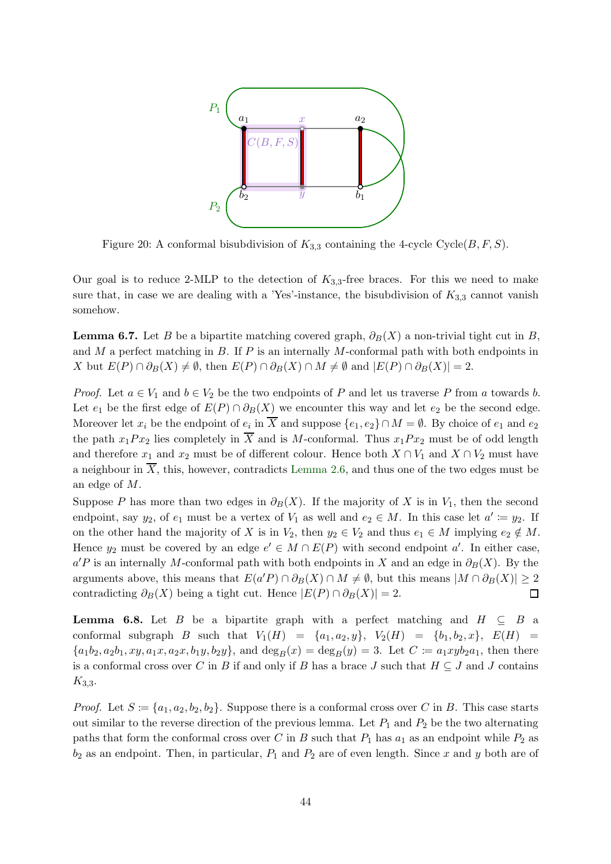<span id="page-43-0"></span>

Figure 20: A conformal bisubdivision of  $K_{3,3}$  containing the 4-cycle Cycle( $B, F, S$ ).

<span id="page-43-1"></span>Our goal is to reduce 2-MLP to the detection of  $K_{3,3}$ -free braces. For this we need to make sure that, in case we are dealing with a 'Yes'-instance, the bisubdivision of  $K_{3,3}$  cannot vanish somehow.

**Lemma 6.7.** Let B be a bipartite matching covered graph,  $\partial_B(X)$  a non-trivial tight cut in B, and M a perfect matching in B. If P is an internally M-conformal path with both endpoints in X but  $E(P) \cap \partial_B(X) \neq \emptyset$ , then  $E(P) \cap \partial_B(X) \cap M \neq \emptyset$  and  $|E(P) \cap \partial_B(X)| = 2$ .

*Proof.* Let  $a \in V_1$  and  $b \in V_2$  be the two endpoints of P and let us traverse P from a towards b. Let  $e_1$  be the first edge of  $E(P) \cap \partial_B(X)$  we encounter this way and let  $e_2$  be the second edge. Moreover let  $x_i$  be the endpoint of  $e_i$  in X and suppose  $\{e_1, e_2\} \cap M = \emptyset$ . By choice of  $e_1$  and  $e_2$ the path  $x_1Px_2$  lies completely in  $\overline{X}$  and is M-conformal. Thus  $x_1Px_2$  must be of odd length and therefore  $x_1$  and  $x_2$  must be of different colour. Hence both  $X \cap V_1$  and  $X \cap V_2$  must have a neighbour in  $\overline{X}$ , this, however, contradicts [Lemma 2.6,](#page-8-0) and thus one of the two edges must be an edge of M.

Suppose P has more than two edges in  $\partial_B(X)$ . If the majority of X is in V<sub>1</sub>, then the second endpoint, say  $y_2$ , of  $e_1$  must be a vertex of  $V_1$  as well and  $e_2 \in M$ . In this case let  $a' \coloneqq y_2$ . If on the other hand the majority of X is in  $V_2$ , then  $y_2 \in V_2$  and thus  $e_1 \in M$  implying  $e_2 \notin M$ . Hence  $y_2$  must be covered by an edge  $e' \in M \cap E(P)$  with second endpoint a'. In either case,  $a'P$  is an internally M-conformal path with both endpoints in X and an edge in  $\partial_B(X)$ . By the arguments above, this means that  $E(a'P) \cap \partial_B(X) \cap M \neq \emptyset$ , but this means  $|M \cap \partial_B(X)| \geq 2$ contradicting  $\partial_B(X)$  being a tight cut. Hence  $|E(P) \cap \partial_B(X)| = 2$ .  $\Box$ 

<span id="page-43-2"></span>**Lemma 6.8.** Let B be a bipartite graph with a perfect matching and  $H \subseteq B$  a conformal subgraph B such that  $V_1(H) = \{a_1, a_2, y\}$ ,  $V_2(H) = \{b_1, b_2, x\}$ ,  $E(H) =$  ${a_1b_2, a_2b_1, xy, a_1x, a_2x, b_1y, b_2y}$ , and  $\deg_B(x) = \deg_B(y) = 3$ . Let  $C := a_1xyb_2a_1$ , then there is a conformal cross over C in B if and only if B has a brace J such that  $H \subseteq J$  and J contains  $K_{3,3}$ .

*Proof.* Let  $S \coloneqq \{a_1, a_2, b_2, b_2\}$ . Suppose there is a conformal cross over C in B. This case starts out similar to the reverse direction of the previous lemma. Let  $P_1$  and  $P_2$  be the two alternating paths that form the conformal cross over C in B such that  $P_1$  has  $a_1$  as an endpoint while  $P_2$  as  $b_2$  as an endpoint. Then, in particular,  $P_1$  and  $P_2$  are of even length. Since x and y both are of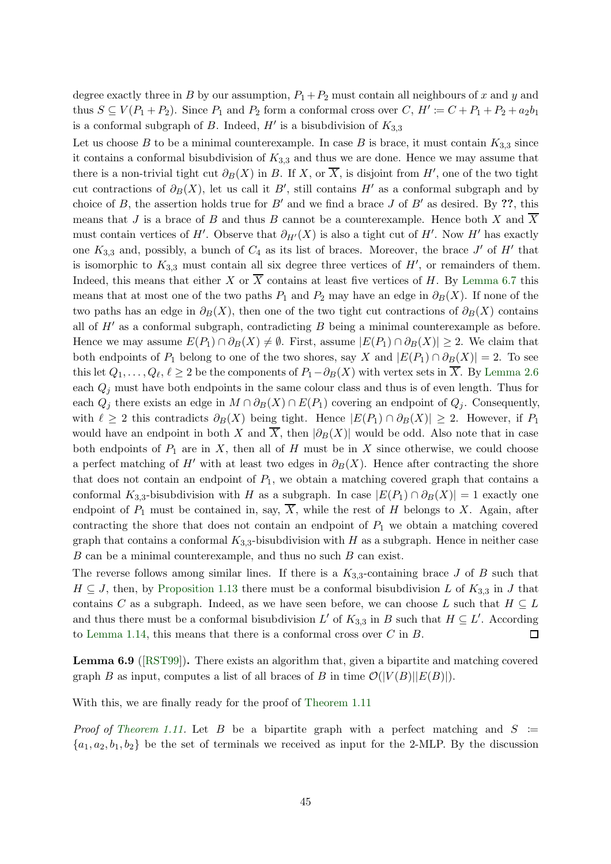degree exactly three in B by our assumption,  $P_1 + P_2$  must contain all neighbours of x and y and thus  $S \subseteq V(P_1 + P_2)$ . Since  $P_1$  and  $P_2$  form a conformal cross over  $C, H' \coloneqq C + P_1 + P_2 + a_2b_1$ is a conformal subgraph of B. Indeed,  $H'$  is a bisubdivision of  $K_{3,3}$ 

Let us choose B to be a minimal counterexample. In case B is brace, it must contain  $K_{3,3}$  since it contains a conformal bisubdivision of  $K_{3,3}$  and thus we are done. Hence we may assume that there is a non-trivial tight cut  $\partial_B(X)$  in B. If X, or  $\overline{X}$ , is disjoint from H', one of the two tight cut contractions of  $\partial_B(X)$ , let us call it B', still contains H' as a conformal subgraph and by choice of B, the assertion holds true for B' and we find a brace J of B' as desired. By ??, this means that J is a brace of B and thus B cannot be a counterexample. Hence both X and  $\overline{X}$ must contain vertices of H'. Observe that  $\partial_{H'}(X)$  is also a tight cut of H'. Now H' has exactly one  $K_{3,3}$  and, possibly, a bunch of  $C_4$  as its list of braces. Moreover, the brace J' of H' that is isomorphic to  $K_{3,3}$  must contain all six degree three vertices of  $H'$ , or remainders of them. Indeed, this means that either X or  $\overline{X}$  contains at least five vertices of H. By [Lemma 6.7](#page-43-1) this means that at most one of the two paths  $P_1$  and  $P_2$  may have an edge in  $\partial_B(X)$ . If none of the two paths has an edge in  $\partial_B(X)$ , then one of the two tight cut contractions of  $\partial_B(X)$  contains all of  $H'$  as a conformal subgraph, contradicting  $B$  being a minimal counterexample as before. Hence we may assume  $E(P_1) \cap \partial_B(X) \neq \emptyset$ . First, assume  $|E(P_1) \cap \partial_B(X)| \geq 2$ . We claim that both endpoints of  $P_1$  belong to one of the two shores, say X and  $|E(P_1) \cap \partial_B(X)| = 2$ . To see this let  $Q_1, \ldots, Q_\ell, \ell \geq 2$  be the components of  $P_1 - \partial_B(X)$  with vertex sets in X. By [Lemma 2.6](#page-8-0) each  $Q_i$  must have both endpoints in the same colour class and thus is of even length. Thus for each  $Q_j$  there exists an edge in  $M \cap \partial_B(X) \cap E(P_1)$  covering an endpoint of  $Q_j$ . Consequently, with  $\ell \geq 2$  this contradicts  $\partial_B(X)$  being tight. Hence  $|E(P_1) \cap \partial_B(X)| \geq 2$ . However, if  $P_1$ would have an endpoint in both X and  $\overline{X}$ , then  $|\partial_B(X)|$  would be odd. Also note that in case both endpoints of  $P_1$  are in X, then all of H must be in X since otherwise, we could choose a perfect matching of H' with at least two edges in  $\partial_B(X)$ . Hence after contracting the shore that does not contain an endpoint of  $P_1$ , we obtain a matching covered graph that contains a conformal  $K_{3,3}$ -bisubdivision with H as a subgraph. In case  $|E(P_1) \cap \partial_B(X)| = 1$  exactly one endpoint of  $P_1$  must be contained in, say,  $\overline{X}$ , while the rest of H belongs to X. Again, after contracting the shore that does not contain an endpoint of  $P_1$  we obtain a matching covered graph that contains a conformal  $K_{3,3}$ -bisubdivision with H as a subgraph. Hence in neither case  $B$  can be a minimal counterexample, and thus no such  $B$  can exist.

The reverse follows among similar lines. If there is a  $K_{3,3}$ -containing brace J of B such that  $H \subseteq J$ , then, by [Proposition 1.13](#page-5-1) there must be a conformal bisubdivision L of  $K_{3,3}$  in J that contains C as a subgraph. Indeed, as we have seen before, we can choose L such that  $H \subseteq L$ and thus there must be a conformal bisubdivision L' of  $K_{3,3}$  in B such that  $H \subseteq L'$ . According to [Lemma 1.14,](#page-5-2) this means that there is a conformal cross over  $C$  in  $B$ .  $\Box$ 

<span id="page-44-0"></span>Lemma 6.9 ([\[RST99\]](#page-48-7)). There exists an algorithm that, given a bipartite and matching covered graph B as input, computes a list of all braces of B in time  $\mathcal{O}(|V(B)||E(B)|)$ .

With this, we are finally ready for the proof of [Theorem 1.11](#page-5-3)

*Proof of [Theorem 1.11.](#page-5-3)* Let B be a bipartite graph with a perfect matching and  $S :=$  ${a_1, a_2, b_1, b_2}$  be the set of terminals we received as input for the 2-MLP. By the discussion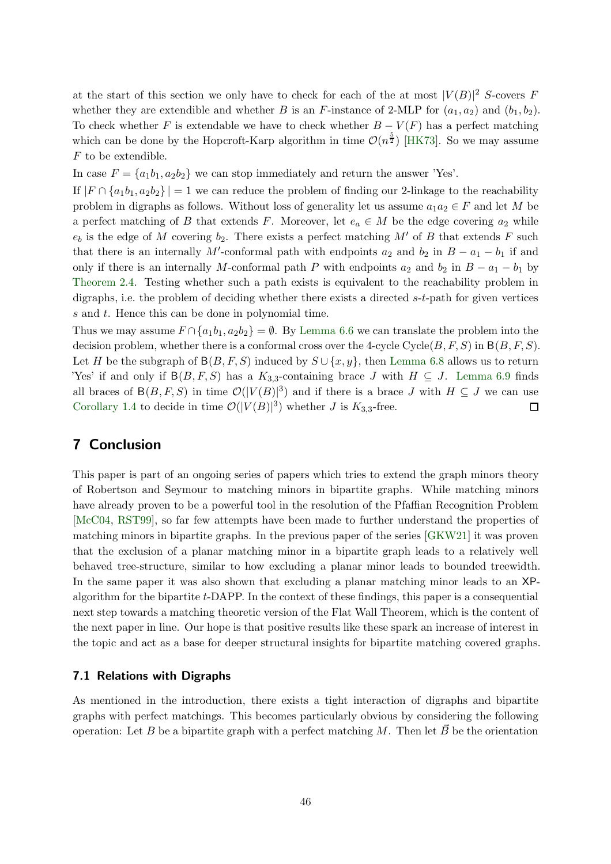at the start of this section we only have to check for each of the at most  $|V(B)|^2$  S-covers F whether they are extendible and whether B is an F-instance of 2-MLP for  $(a_1, a_2)$  and  $(b_1, b_2)$ . To check whether F is extendable we have to check whether  $B - V(F)$  has a perfect matching which can be done by the Hopcroft-Karp algorithm in time  $\mathcal{O}(n^{\frac{5}{2}})$  [\[HK73\]](#page-47-17). So we may assume  ${\cal F}$  to be extendible.

In case  $F = \{a_1b_1, a_2b_2\}$  we can stop immediately and return the answer 'Yes'.

If  $|F \cap \{a_1b_1, a_2b_2\}| = 1$  we can reduce the problem of finding our 2-linkage to the reachability problem in digraphs as follows. Without loss of generality let us assume  $a_1a_2 \in F$  and let M be a perfect matching of B that extends F. Moreover, let  $e_a \in M$  be the edge covering  $a_2$  while  $e_b$  is the edge of M covering  $b_2$ . There exists a perfect matching M' of B that extends F such that there is an internally M'-conformal path with endpoints  $a_2$  and  $b_2$  in  $B - a_1 - b_1$  if and only if there is an internally M-conformal path P with endpoints  $a_2$  and  $b_2$  in  $B - a_1 - b_1$  by [Theorem 2.4.](#page-7-3) Testing whether such a path exists is equivalent to the reachability problem in digraphs, i.e. the problem of deciding whether there exists a directed s-t-path for given vertices s and t. Hence this can be done in polynomial time.

Thus we may assume  $F \cap \{a_1b_1, a_2b_2\} = \emptyset$ . By [Lemma 6.6](#page-42-0) we can translate the problem into the decision problem, whether there is a conformal cross over the 4-cycle Cycle  $(B, F, S)$  in  $B(B, F, S)$ . Let H be the subgraph of  $B(B, F, S)$  induced by  $S \cup \{x, y\}$ , then [Lemma 6.8](#page-43-2) allows us to return 'Yes' if and only if  $B(B, F, S)$  has a  $K_{3,3}$ -containing brace J with  $H \subseteq J$ . [Lemma 6.9](#page-44-0) finds all braces of  $B(B, F, S)$  in time  $\mathcal{O}(|V(B)|^3)$  and if there is a brace J with  $H \subseteq J$  we can use [Corollary 1.4](#page-2-2) to decide in time  $\mathcal{O}(|V(B)|^3)$  whether J is  $K_{3,3}$ -free.  $\Box$ 

# <span id="page-45-0"></span>7 Conclusion

This paper is part of an ongoing series of papers which tries to extend the graph minors theory of Robertson and Seymour to matching minors in bipartite graphs. While matching minors have already proven to be a powerful tool in the resolution of the Pfaffian Recognition Problem [\[McC04,](#page-47-6) [RST99\]](#page-48-7), so far few attempts have been made to further understand the properties of matching minors in bipartite graphs. In the previous paper of the series [\[GKW21\]](#page-47-10) it was proven that the exclusion of a planar matching minor in a bipartite graph leads to a relatively well behaved tree-structure, similar to how excluding a planar minor leads to bounded treewidth. In the same paper it was also shown that excluding a planar matching minor leads to an XPalgorithm for the bipartite  $t$ -DAPP. In the context of these findings, this paper is a consequential next step towards a matching theoretic version of the Flat Wall Theorem, which is the content of the next paper in line. Our hope is that positive results like these spark an increase of interest in the topic and act as a base for deeper structural insights for bipartite matching covered graphs.

#### 7.1 Relations with Digraphs

As mentioned in the introduction, there exists a tight interaction of digraphs and bipartite graphs with perfect matchings. This becomes particularly obvious by considering the following operation: Let B be a bipartite graph with a perfect matching M. Then let  $\vec{B}~$  be the orientation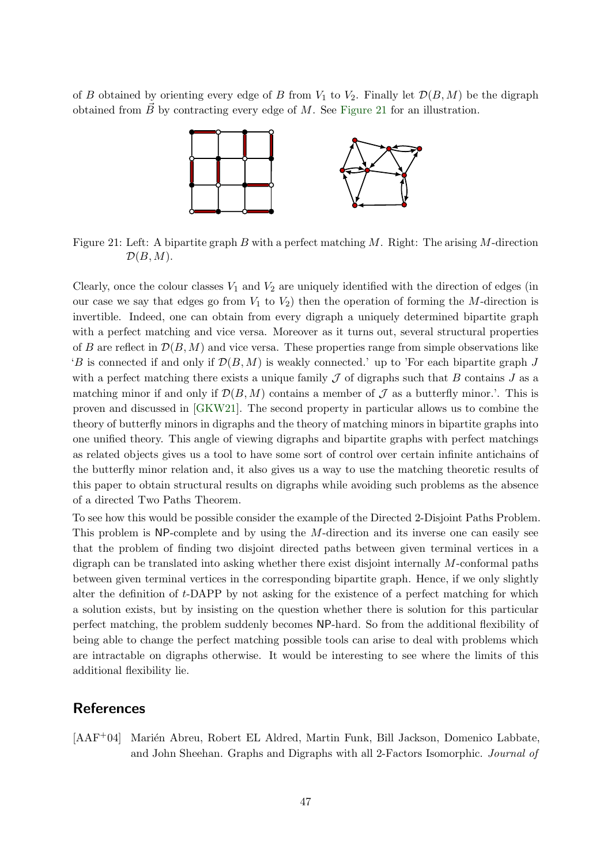<span id="page-46-1"></span>of B obtained by orienting every edge of B from  $V_1$  to  $V_2$ . Finally let  $\mathcal{D}(B, M)$  be the digraph obtained from  $\vec{B}$  by contracting every edge of M. See [Figure 21](#page-46-1) for an illustration.



Figure 21: Left: A bipartite graph B with a perfect matching  $M$ . Right: The arising M-direction  $\mathcal{D}(B, M)$ .

Clearly, once the colour classes  $V_1$  and  $V_2$  are uniquely identified with the direction of edges (in our case we say that edges go from  $V_1$  to  $V_2$ ) then the operation of forming the M-direction is invertible. Indeed, one can obtain from every digraph a uniquely determined bipartite graph with a perfect matching and vice versa. Moreover as it turns out, several structural properties of B are reflect in  $\mathcal{D}(B, M)$  and vice versa. These properties range from simple observations like  $B$  is connected if and only if  $\mathcal{D}(B, M)$  is weakly connected.' up to 'For each bipartite graph J with a perfect matching there exists a unique family  $\mathcal J$  of digraphs such that B contains J as a matching minor if and only if  $\mathcal{D}(B, M)$  contains a member of  $\mathcal J$  as a butterfly minor.'. This is proven and discussed in [\[GKW21\]](#page-47-10). The second property in particular allows us to combine the theory of butterfly minors in digraphs and the theory of matching minors in bipartite graphs into one unified theory. This angle of viewing digraphs and bipartite graphs with perfect matchings as related objects gives us a tool to have some sort of control over certain infinite antichains of the butterfly minor relation and, it also gives us a way to use the matching theoretic results of this paper to obtain structural results on digraphs while avoiding such problems as the absence of a directed Two Paths Theorem.

To see how this would be possible consider the example of the Directed 2-Disjoint Paths Problem. This problem is NP-complete and by using the M-direction and its inverse one can easily see that the problem of finding two disjoint directed paths between given terminal vertices in a digraph can be translated into asking whether there exist disjoint internally M-conformal paths between given terminal vertices in the corresponding bipartite graph. Hence, if we only slightly alter the definition of t-DAPP by not asking for the existence of a perfect matching for which a solution exists, but by insisting on the question whether there is solution for this particular perfect matching, the problem suddenly becomes NP-hard. So from the additional flexibility of being able to change the perfect matching possible tools can arise to deal with problems which are intractable on digraphs otherwise. It would be interesting to see where the limits of this additional flexibility lie.

#### References

<span id="page-46-0"></span>[AAF<sup>+</sup>04] Marién Abreu, Robert EL Aldred, Martin Funk, Bill Jackson, Domenico Labbate, and John Sheehan. Graphs and Digraphs with all 2-Factors Isomorphic. Journal of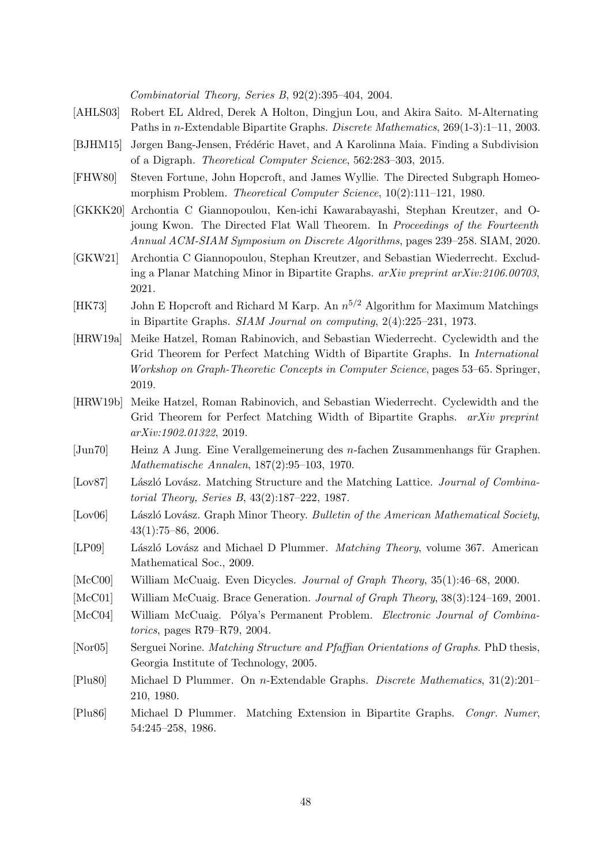Combinatorial Theory, Series B, 92(2):395–404, 2004.

- <span id="page-47-14"></span>[AHLS03] Robert EL Aldred, Derek A Holton, Dingjun Lou, and Akira Saito. M-Alternating Paths in n-Extendable Bipartite Graphs. Discrete Mathematics, 269(1-3):1–11, 2003.
- <span id="page-47-3"></span>[BJHM15] Jørgen Bang-Jensen, Frédéric Havet, and A Karolinna Maia. Finding a Subdivision of a Digraph. Theoretical Computer Science, 562:283–303, 2015.
- <span id="page-47-2"></span>[FHW80] Steven Fortune, John Hopcroft, and James Wyllie. The Directed Subgraph Homeomorphism Problem. *Theoretical Computer Science*,  $10(2):111-121$ , 1980.
- <span id="page-47-4"></span>[GKKK20] Archontia C Giannopoulou, Ken-ichi Kawarabayashi, Stephan Kreutzer, and Ojoung Kwon. The Directed Flat Wall Theorem. In Proceedings of the Fourteenth Annual ACM-SIAM Symposium on Discrete Algorithms, pages 239–258. SIAM, 2020.
- <span id="page-47-10"></span>[GKW21] Archontia C Giannopoulou, Stephan Kreutzer, and Sebastian Wiederrecht. Excluding a Planar Matching Minor in Bipartite Graphs. arXiv preprint arXiv:2106.00703, 2021.
- <span id="page-47-17"></span>[HK73] John E Hopcroft and Richard M Karp. An  $n^{5/2}$  Algorithm for Maximum Matchings in Bipartite Graphs. SIAM Journal on computing, 2(4):225–231, 1973.
- <span id="page-47-8"></span>[HRW19a] Meike Hatzel, Roman Rabinovich, and Sebastian Wiederrecht. Cyclewidth and the Grid Theorem for Perfect Matching Width of Bipartite Graphs. In International Workshop on Graph-Theoretic Concepts in Computer Science, pages 53–65. Springer, 2019.
- <span id="page-47-9"></span>[HRW19b] Meike Hatzel, Roman Rabinovich, and Sebastian Wiederrecht. Cyclewidth and the Grid Theorem for Perfect Matching Width of Bipartite Graphs. arXiv preprint arXiv:1902.01322, 2019.
- <span id="page-47-1"></span>[Jun70] Heinz A Jung. Eine Verallgemeinerung des n-fachen Zusammenhangs für Graphen. Mathematische Annalen, 187(2):95–103, 1970.
- <span id="page-47-5"></span>[Lov87] László Lovász. Matching Structure and the Matching Lattice. Journal of Combinatorial Theory, Series B, 43(2):187–222, 1987.
- <span id="page-47-0"></span>[Lov06] László Lovász. Graph Minor Theory. Bulletin of the American Mathematical Society, 43(1):75–86, 2006.
- <span id="page-47-11"></span>[LP09] László Lovász and Michael D Plummer. Matching Theory, volume 367. American Mathematical Soc., 2009.
- <span id="page-47-15"></span>[McC00] William McCuaig. Even Dicycles. Journal of Graph Theory, 35(1):46–68, 2000.
- <span id="page-47-16"></span>[McC01] William McCuaig. Brace Generation. Journal of Graph Theory, 38(3):124–169, 2001.
- <span id="page-47-6"></span>[McC04] William McCuaig. Pólya's Permanent Problem. Electronic Journal of Combinatorics, pages R79–R79, 2004.
- <span id="page-47-7"></span>[Nor05] Serguei Norine. *Matching Structure and Pfaffian Orientations of Graphs*. PhD thesis, Georgia Institute of Technology, 2005.
- <span id="page-47-12"></span>[Plu80] Michael D Plummer. On n-Extendable Graphs. Discrete Mathematics, 31(2):201– 210, 1980.
- <span id="page-47-13"></span>[Plu86] Michael D Plummer. Matching Extension in Bipartite Graphs. Congr. Numer, 54:245–258, 1986.